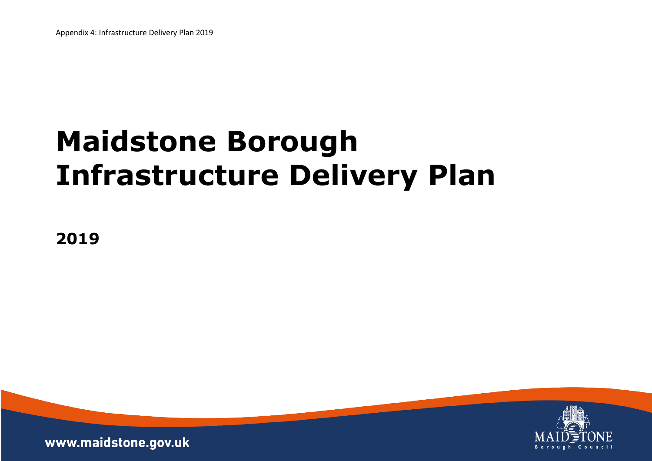# **Maidstone Borough Infrastructure Delivery Plan**

1

**2019**



www.maidstone.gov.uk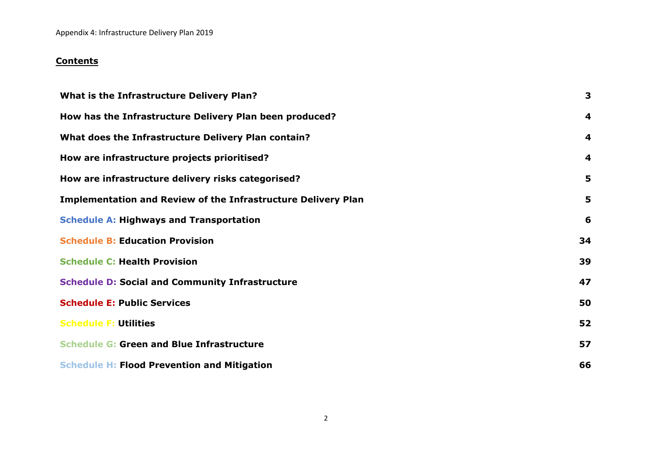Appendix 4: Infrastructure Delivery Plan 2019

# **Contents**

| What is the Infrastructure Delivery Plan?                            | 3                       |
|----------------------------------------------------------------------|-------------------------|
| How has the Infrastructure Delivery Plan been produced?              | $\boldsymbol{4}$        |
| What does the Infrastructure Delivery Plan contain?                  | $\boldsymbol{4}$        |
| How are infrastructure projects prioritised?                         | $\overline{\mathbf{4}}$ |
| How are infrastructure delivery risks categorised?                   | 5                       |
| <b>Implementation and Review of the Infrastructure Delivery Plan</b> | 5                       |
| <b>Schedule A: Highways and Transportation</b>                       | 6                       |
| <b>Schedule B: Education Provision</b>                               | 34                      |
| <b>Schedule C: Health Provision</b>                                  | 39                      |
| <b>Schedule D: Social and Community Infrastructure</b>               | 47                      |
| <b>Schedule E: Public Services</b>                                   | 50                      |
| <b>Schedule F: Utilities</b>                                         | 52                      |
| <b>Schedule G: Green and Blue Infrastructure</b>                     | 57                      |
| <b>Schedule H: Flood Prevention and Mitigation</b>                   | 66                      |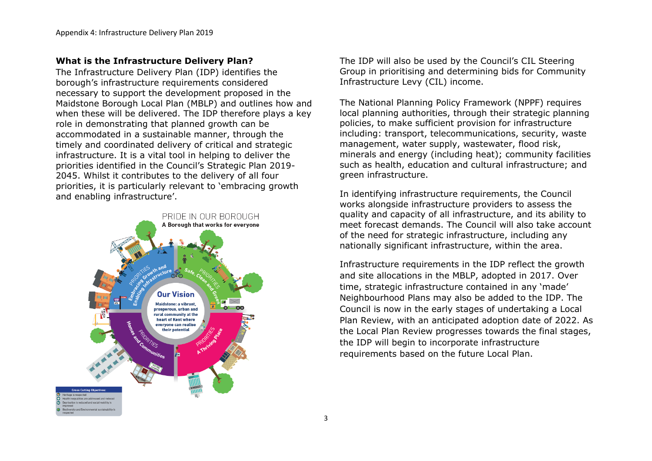## **What is the Infrastructure Delivery Plan?**

The Infrastructure Delivery Plan (IDP) identifies the borough's infrastructure requirements considered necessary to support the development proposed in the Maidstone Borough Local Plan (MBLP) and outlines how and when these will be delivered. The IDP therefore plays a key role in demonstrating that planned growth can be accommodated in a sustainable manner, through the timely and coordinated delivery of critical and strategic infrastructure. It is a vital tool in helping to deliver the priorities identified in the Council's Strategic Plan 2019- 2045. Whilst it contributes to the delivery of all four priorities, it is particularly relevant to 'embracing growth and enabling infrastructure'.



The IDP will also be used by the Council's CIL Steering Group in prioritising and determining bids for Community Infrastructure Levy (CIL) income.

The National Planning Policy Framework (NPPF) requires local planning authorities, through their strategic planning policies, to make sufficient provision for infrastructure including: transport, telecommunications, security, waste management, water supply, wastewater, flood risk, minerals and energy (including heat); community facilities such as health, education and cultural infrastructure; and green infrastructure.

In identifying infrastructure requirements, the Council works alongside infrastructure providers to assess the quality and capacity of all infrastructure, and its ability to meet forecast demands. The Council will also take account of the need for strategic infrastructure, including any nationally significant infrastructure, within the area.

Infrastructure requirements in the IDP reflect the growth and site allocations in the MBLP, adopted in 2017. Over time, strategic infrastructure contained in any 'made' Neighbourhood Plans may also be added to the IDP. The Council is now in the early stages of undertaking a Local Plan Review, with an anticipated adoption date of 2022. As the Local Plan Review progresses towards the final stages, the IDP will begin to incorporate infrastructure requirements based on the future Local Plan.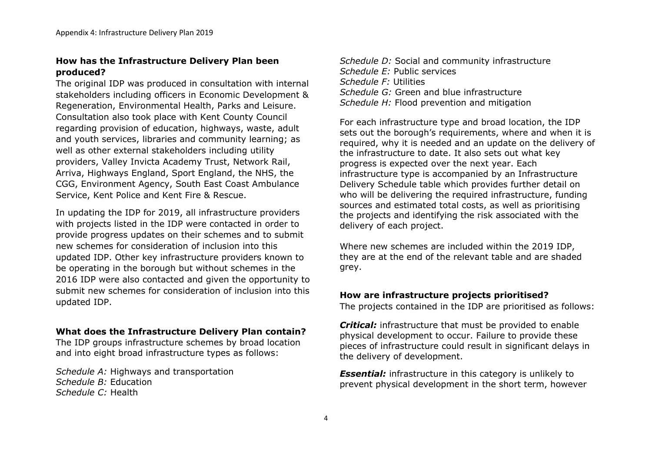## **How has the Infrastructure Delivery Plan been produced?**

The original IDP was produced in consultation with internal stakeholders including officers in Economic Development & Regeneration, Environmental Health, Parks and Leisure. Consultation also took place with Kent County Council regarding provision of education, highways, waste, adult and youth services, libraries and community learning; as well as other external stakeholders including utility providers, Valley Invicta Academy Trust, Network Rail, Arriva, Highways England, Sport England, the NHS, the CGG, Environment Agency, South East Coast Ambulance Service, Kent Police and Kent Fire & Rescue.

In updating the IDP for 2019, all infrastructure providers with projects listed in the IDP were contacted in order to provide progress updates on their schemes and to submit new schemes for consideration of inclusion into this updated IDP. Other key infrastructure providers known to be operating in the borough but without schemes in the 2016 IDP were also contacted and given the opportunity to submit new schemes for consideration of inclusion into this updated IDP.

#### **What does the Infrastructure Delivery Plan contain?**

The IDP groups infrastructure schemes by broad location and into eight broad infrastructure types as follows:

*Schedule A:* Highways and transportation *Schedule B:* Education *Schedule C:* Health

*Schedule D:* Social and community infrastructure *Schedule E:* Public services *Schedule F:* Utilities *Schedule G:* Green and blue infrastructure *Schedule H:* Flood prevention and mitigation

For each infrastructure type and broad location, the IDP sets out the borough's requirements, where and when it is required, why it is needed and an update on the delivery of the infrastructure to date. It also sets out what key progress is expected over the next year. Each infrastructure type is accompanied by an Infrastructure Delivery Schedule table which provides further detail on who will be delivering the required infrastructure, funding sources and estimated total costs, as well as prioritising the projects and identifying the risk associated with the delivery of each project.

Where new schemes are included within the 2019 IDP, they are at the end of the relevant table and are shaded grey.

## **How are infrastructure projects prioritised?**

The projects contained in the IDP are prioritised as follows:

*Critical:* infrastructure that must be provided to enable physical development to occur. Failure to provide these pieces of infrastructure could result in significant delays in the delivery of development.

*Essential:* infrastructure in this category is unlikely to prevent physical development in the short term, however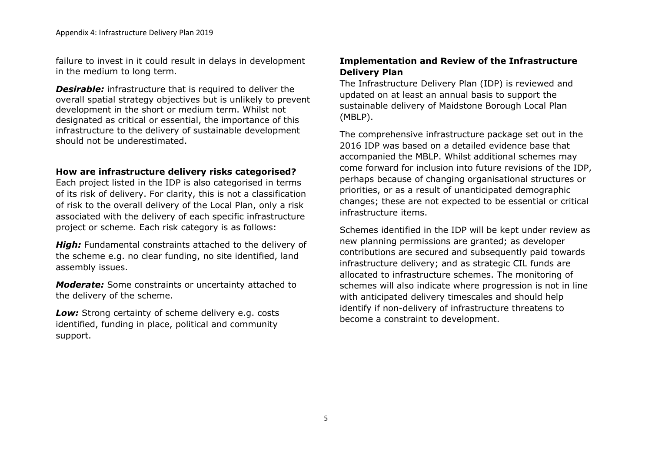failure to invest in it could result in delays in development in the medium to long term.

*Desirable:* infrastructure that is required to deliver the overall spatial strategy objectives but is unlikely to prevent development in the short or medium term. Whilst not designated as critical or essential, the importance of this infrastructure to the delivery of sustainable development should not be underestimated.

## **How are infrastructure delivery risks categorised?**

Each project listed in the IDP is also categorised in terms of its risk of delivery. For clarity, this is not a classification of risk to the overall delivery of the Local Plan, only a risk associated with the delivery of each specific infrastructure project or scheme. Each risk category is as follows:

**High:** Fundamental constraints attached to the delivery of the scheme e.g. no clear funding, no site identified, land assembly issues.

*Moderate:* Some constraints or uncertainty attached to the delivery of the scheme.

**Low:** Strong certainty of scheme delivery e.g. costs identified, funding in place, political and community support.

# **Implementation and Review of the Infrastructure Delivery Plan**

The Infrastructure Delivery Plan (IDP) is reviewed and updated on at least an annual basis to support the sustainable delivery of Maidstone Borough Local Plan (MBLP).

The comprehensive infrastructure package set out in the 2016 IDP was based on a detailed evidence base that accompanied the MBLP. Whilst additional schemes may come forward for inclusion into future revisions of the IDP, perhaps because of changing organisational structures or priorities, or as a result of unanticipated demographic changes; these are not expected to be essential or critical infrastructure items.

Schemes identified in the IDP will be kept under review as new planning permissions are granted; as developer contributions are secured and subsequently paid towards infrastructure delivery; and as strategic CIL funds are allocated to infrastructure schemes. The monitoring of schemes will also indicate where progression is not in line with anticipated delivery timescales and should help identify if non-delivery of infrastructure threatens to become a constraint to development.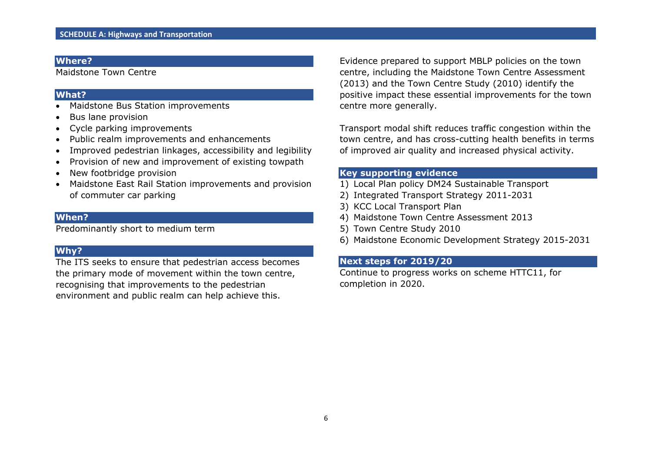Maidstone Town Centre

#### **What?**

- Maidstone Bus Station improvements
- Bus lane provision
- Cycle parking improvements
- Public realm improvements and enhancements
- Improved pedestrian linkages, accessibility and legibility
- Provision of new and improvement of existing towpath
- New footbridge provision
- Maidstone East Rail Station improvements and provision of commuter car parking

## **When?**

Predominantly short to medium term

# **Why?**

The ITS seeks to ensure that pedestrian access becomes the primary mode of movement within the town centre, recognising that improvements to the pedestrian environment and public realm can help achieve this.

Evidence prepared to support MBLP policies on the town centre, including the Maidstone Town Centre Assessment (2013) and the Town Centre Study (2010) identify the positive impact these essential improvements for the town centre more generally.

Transport modal shift reduces traffic congestion within the town centre, and has cross-cutting health benefits in terms of improved air quality and increased physical activity.

## **Key supporting evidence**

- 1) Local Plan policy DM24 Sustainable Transport
- 2) Integrated Transport Strategy 2011-2031
- 3) KCC Local Transport Plan
- 4) Maidstone Town Centre Assessment 2013
- 5) Town Centre Study 2010
- 6) Maidstone Economic Development Strategy 2015-2031

## **Next steps for 2019/20**

Continue to progress works on scheme HTTC11, for completion in 2020.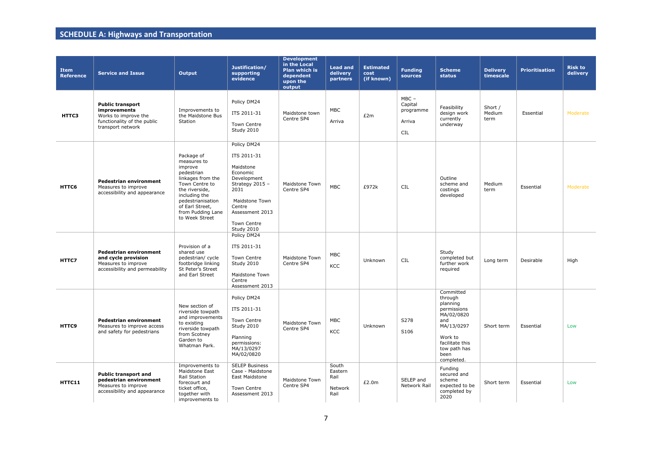| <b>Item</b><br><b>Reference</b> | <b>Service and Issue</b>                                                                                            | Output                                                                                                                                                                                                      | Justification/<br>supporting<br>evidence                                                                                                                                  | <b>Development</b><br>in the Local<br>Plan which is<br>dependent<br>upon the<br>output | <b>Lead and</b><br>delivery<br>partners     | <b>Estimated</b><br>cost<br>(if known) | <b>Funding</b><br>sources                        | <b>Scheme</b><br>status                                                                                                                                | <b>Delivery</b><br>timescale | <b>Prioritisation</b> | <b>Risk to</b><br>delivery |
|---------------------------------|---------------------------------------------------------------------------------------------------------------------|-------------------------------------------------------------------------------------------------------------------------------------------------------------------------------------------------------------|---------------------------------------------------------------------------------------------------------------------------------------------------------------------------|----------------------------------------------------------------------------------------|---------------------------------------------|----------------------------------------|--------------------------------------------------|--------------------------------------------------------------------------------------------------------------------------------------------------------|------------------------------|-----------------------|----------------------------|
| HTTC3                           | <b>Public transport</b><br>improvements<br>Works to improve the<br>functionality of the public<br>transport network | Improvements to<br>the Maidstone Bus<br>Station                                                                                                                                                             | Policy DM24<br>ITS 2011-31<br>Town Centre<br>Study 2010                                                                                                                   | Maidstone town<br>Centre SP4                                                           | MBC<br>Arriva                               | £2m                                    | $MBC -$<br>Capital<br>programme<br>Arriva<br>CIL | Feasibility<br>design work<br>currently<br>underway                                                                                                    | Short /<br>Medium<br>term    | Essential             | Moderate                   |
| HTTC6                           | <b>Pedestrian environment</b><br>Measures to improve<br>accessibility and appearance                                | Package of<br>measures to<br>improve<br>pedestrian<br>linkages from the<br>Town Centre to<br>the riverside,<br>including the<br>pedestrianisation<br>of Earl Street,<br>from Pudding Lane<br>to Week Street | Policy DM24<br>ITS 2011-31<br>Maidstone<br>Economic<br>Development<br>Strategy 2015 -<br>2031<br>Maidstone Town<br>Centre<br>Assessment 2013<br>Town Centre<br>Study 2010 | Maidstone Town<br>Centre SP4                                                           | <b>MBC</b>                                  | £972k                                  | CIL                                              | Outline<br>scheme and<br>costings<br>developed                                                                                                         | Medium<br>term               | Essential             | Moderate                   |
| HTTC7                           | <b>Pedestrian environment</b><br>and cycle provision<br>Measures to improve<br>accessibility and permeability       | Provision of a<br>shared use<br>pedestrian/ cycle<br>footbridge linking<br>St Peter's Street<br>and Earl Street                                                                                             | Policy DM24<br>ITS 2011-31<br>Town Centre<br>Study 2010<br>Maidstone Town<br>Centre<br>Assessment 2013                                                                    | Maidstone Town<br>Centre SP4                                                           | MBC<br>KCC                                  | Unknown                                | <b>CIL</b>                                       | Study<br>completed but<br>further work<br>required                                                                                                     | Long term                    | Desirable             | High                       |
| HTTC9                           | <b>Pedestrian environment</b><br>Measures to improve access<br>and safety for pedestrians                           | New section of<br>riverside towpath<br>and improvements<br>to existing<br>riverside towpath<br>from Scotney<br>Garden to<br>Whatman Park.                                                                   | Policy DM24<br>ITS 2011-31<br>Town Centre<br>Study 2010<br>Planning<br>permissions:<br>MA/13/0297<br>MA/02/0820                                                           | Maidstone Town<br>Centre SP4                                                           | MBC<br>KCC                                  | Unknown                                | S278<br>S106                                     | Committed<br>through<br>planning<br>permissions<br>MA/02/0820<br>and<br>MA/13/0297<br>Work to<br>facilitate this<br>tow path has<br>been<br>completed. | Short term                   | Essential             | Low                        |
| HTTC11                          | <b>Public transport and</b><br>pedestrian environment<br>Measures to improve<br>accessibility and appearance        | Improvements to<br>Maidstone East<br>Rail Station<br>forecourt and<br>ticket office,<br>together with<br>improvements to                                                                                    | <b>SELEP Business</b><br>Case - Maidstone<br>East Maidstone<br>Town Centre<br>Assessment 2013                                                                             | Maidstone Town<br>Centre SP4                                                           | South<br>Eastern<br>Rail<br>Network<br>Rail | £2.0m                                  | SELEP and<br>Network Rail                        | Fundina<br>secured and<br>scheme<br>expected to be<br>completed by<br>2020                                                                             | Short term                   | Essential             | Low                        |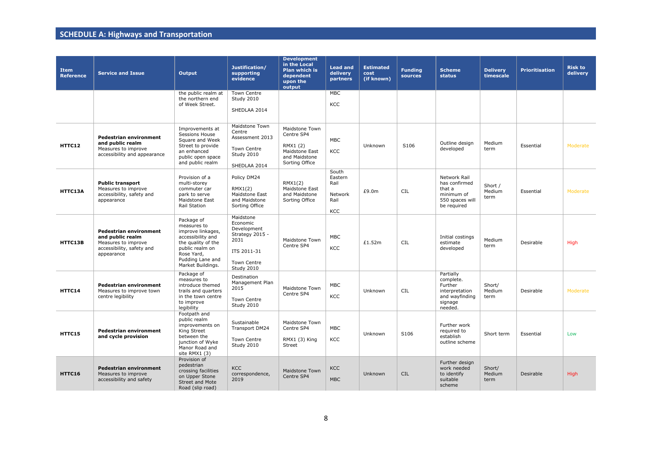| <b>Item</b><br><b>Reference</b> | <b>Service and Issue</b>                                                                                            | Output                                                                                                                                                              | Justification/<br>supporting<br>evidence                                                                           | <b>Development</b><br>in the Local<br><b>Plan which is</b><br>dependent<br>upon the<br>output | <b>Lead and</b><br>delivery<br>partners            | <b>Estimated</b><br>cost<br>(if known) | <b>Funding</b><br>sources | <b>Scheme</b><br>status                                                                     | <b>Delivery</b><br>timescale | <b>Prioritisation</b> | <b>Risk to</b><br>delivery |
|---------------------------------|---------------------------------------------------------------------------------------------------------------------|---------------------------------------------------------------------------------------------------------------------------------------------------------------------|--------------------------------------------------------------------------------------------------------------------|-----------------------------------------------------------------------------------------------|----------------------------------------------------|----------------------------------------|---------------------------|---------------------------------------------------------------------------------------------|------------------------------|-----------------------|----------------------------|
|                                 |                                                                                                                     | the public realm at<br>the northern end<br>of Week Street.                                                                                                          | <b>Town Centre</b><br>Study 2010<br>SHEDLAA 2014                                                                   |                                                                                               | <b>MBC</b><br>KCC                                  |                                        |                           |                                                                                             |                              |                       |                            |
| HTTC12                          | <b>Pedestrian environment</b><br>and public realm<br>Measures to improve<br>accessibility and appearance            | Improvements at<br>Sessions House<br>Square and Week<br>Street to provide<br>an enhanced<br>public open space<br>and public realm                                   | Maidstone Town<br>Centre<br>Assessment 2013<br>Town Centre<br>Study 2010<br>SHEDLAA 2014                           | Maidstone Town<br>Centre SP4<br>RMX1 (2)<br>Maidstone East<br>and Maidstone<br>Sorting Office | <b>MBC</b><br><b>KCC</b>                           | Unknown                                | S106                      | Outline design<br>developed                                                                 | Medium<br>term               | Essential             | Moderate                   |
| HTTC13A                         | <b>Public transport</b><br>Measures to improve<br>accessibility, safety and<br>appearance                           | Provision of a<br>multi-storey<br>commuter car<br>park to serve<br>Maidstone East<br>Rail Station                                                                   | Policy DM24<br>RMX1(2)<br>Maidstone East<br>and Maidstone<br>Sorting Office                                        | RMX1(2)<br>Maidstone East<br>and Maidstone<br>Sorting Office                                  | South<br>Eastern<br>Rail<br>Network<br>Rail<br>KCC | £9.0m                                  | <b>CIL</b>                | Network Rail<br>has confirmed<br>that a<br>minimum of<br>550 spaces will<br>be required     | Short /<br>Medium<br>term    | Essential             | Moderate                   |
| HTTC13B                         | <b>Pedestrian environment</b><br>and public realm<br>Measures to improve<br>accessibility, safety and<br>appearance | Package of<br>measures to<br>improve linkages,<br>accessibility and<br>the quality of the<br>public realm on<br>Rose Yard,<br>Pudding Lane and<br>Market Buildings. | Maidstone<br>Economic<br>Development<br>Strategy 2015 -<br>2031<br>ITS 2011-31<br><b>Town Centre</b><br>Study 2010 | Maidstone Town<br>Centre SP4                                                                  | <b>MBC</b><br>KCC                                  | £1.52m                                 | <b>CIL</b>                | Initial costings<br>estimate<br>developed                                                   | Medium<br>term               | Desirable             | High                       |
| HTTC14                          | <b>Pedestrian environment</b><br>Measures to improve town<br>centre legibility                                      | Package of<br>measures to<br>introduce themed<br>trails and quarters<br>in the town centre<br>to improve<br>legibility                                              | Destination<br>Management Plan<br>2015<br><b>Town Centre</b><br>Study 2010                                         | Maidstone Town<br>Centre SP4                                                                  | <b>MBC</b><br>KCC                                  | Unknown                                | <b>CIL</b>                | Partially<br>complete.<br>Further<br>interpretation<br>and wayfinding<br>signage<br>needed. | Short/<br>Medium<br>term     | Desirable             | Moderate                   |
| HTTC15                          | <b>Pedestrian environment</b><br>and cycle provision                                                                | Footpath and<br>public realm<br>improvements on<br>King Street<br>between the<br>junction of Wyke<br>Manor Road and<br>site RMX1 (3)                                | Sustainable<br>Transport DM24<br><b>Town Centre</b><br>Study 2010                                                  | Maidstone Town<br>Centre SP4<br>RMX1 (3) King<br>Street                                       | <b>MBC</b><br>KCC                                  | Unknown                                | S106                      | Further work<br>required to<br>establish<br>outline scheme                                  | Short term                   | Essential             | Low                        |
| HTTC16                          | <b>Pedestrian environment</b><br>Measures to improve<br>accessibility and safety                                    | Provision of<br>pedestrian<br>crossing facilities<br>on Upper Stone<br><b>Street and Mote</b><br>Road (slip road)                                                   | <b>KCC</b><br>correspondence,<br>2019                                                                              | Maidstone Town<br>Centre SP4                                                                  | <b>KCC</b><br><b>MBC</b>                           | Unknown                                | <b>CIL</b>                | Further design<br>work needed<br>to identify<br>suitable<br>scheme                          | Short/<br>Medium<br>term     | Desirable             | <b>High</b>                |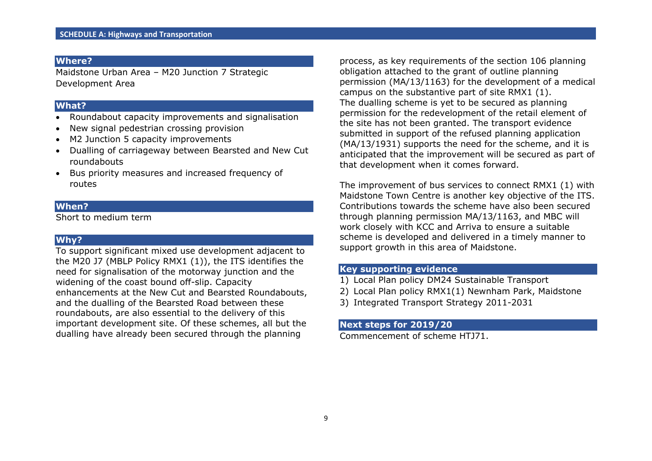Maidstone Urban Area – M20 Junction 7 Strategic Development Area

## **What?**

- Roundabout capacity improvements and signalisation
- New signal pedestrian crossing provision
- M2 Junction 5 capacity improvements
- Dualling of carriageway between Bearsted and New Cut roundabouts
- Bus priority measures and increased frequency of routes

## **When?**

Short to medium term

## **Why?**

To support significant mixed use development adjacent to the M20 J7 (MBLP Policy RMX1 (1)), the ITS identifies the need for signalisation of the motorway junction and the widening of the coast bound off-slip. Capacity enhancements at the New Cut and Bearsted Roundabouts, and the dualling of the Bearsted Road between these roundabouts, are also essential to the delivery of this important development site. Of these schemes, all but the dualling have already been secured through the planning

process, as key requirements of the section 106 planning obligation attached to the grant of outline planning permission (MA/13/1163) for the development of a medical campus on the substantive part of site RMX1 (1). The dualling scheme is yet to be secured as planning permission for the redevelopment of the retail element of the site has not been granted. The transport evidence submitted in support of the refused planning application (MA/13/1931) supports the need for the scheme, and it is anticipated that the improvement will be secured as part of that development when it comes forward.

The improvement of bus services to connect RMX1 (1) with Maidstone Town Centre is another key objective of the ITS. Contributions towards the scheme have also been secured through planning permission MA/13/1163, and MBC will work closely with KCC and Arriva to ensure a suitable scheme is developed and delivered in a timely manner to support growth in this area of Maidstone.

## **Key supporting evidence**

- 1) Local Plan policy DM24 Sustainable Transport
- 2) Local Plan policy RMX1(1) Newnham Park, Maidstone
- 3) Integrated Transport Strategy 2011-2031

#### **Next steps for 2019/20**

Commencement of scheme HTJ71.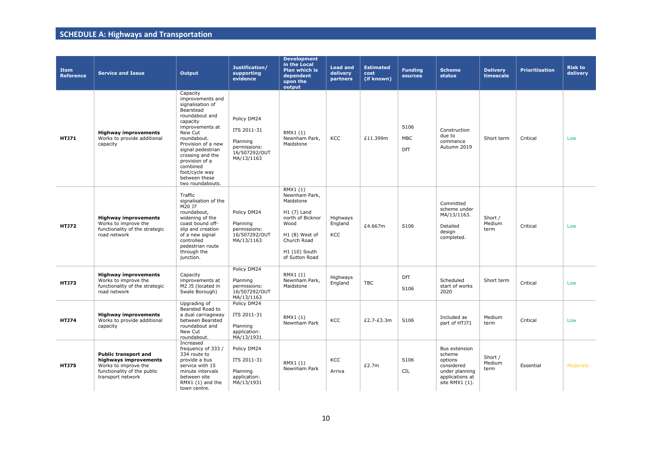| <b>Item</b><br><b>Reference</b> | <b>Service and Issue</b>                                                                                                         | <b>Output</b>                                                                                                                                                                                                                                                                                | Justification/<br>supporting<br>evidence                                              | <b>Development</b><br>in the Local<br><b>Plan which is</b><br>dependent<br>upon the<br>output                                                          | <b>Lead and</b><br>delivery<br>partners | <b>Estimated</b><br>cost<br>(if known) | <b>Funding</b><br>sources | <b>Scheme</b><br><b>status</b>                                                                          | <b>Delivery</b><br>timescale | <b>Prioritisation</b> | <b>Risk to</b><br>delivery |
|---------------------------------|----------------------------------------------------------------------------------------------------------------------------------|----------------------------------------------------------------------------------------------------------------------------------------------------------------------------------------------------------------------------------------------------------------------------------------------|---------------------------------------------------------------------------------------|--------------------------------------------------------------------------------------------------------------------------------------------------------|-----------------------------------------|----------------------------------------|---------------------------|---------------------------------------------------------------------------------------------------------|------------------------------|-----------------------|----------------------------|
| <b>HTJ71</b>                    | <b>Highway improvements</b><br>Works to provide additional<br>capacity                                                           | Capacity<br>improvements and<br>signalisation of<br>Bearstead<br>roundabout and<br>capacity<br>improvements at<br>New Cut<br>roundabout.<br>Provision of a new<br>signal pedestrian<br>crossing and the<br>provision of a<br>combined<br>foot/cycle way<br>between these<br>two roundabouts. | Policy DM24<br>ITS 2011-31<br>Planning<br>permissions:<br>16/507292/OUT<br>MA/13/1163 | RMX1 (1)<br>Newnham Park,<br>Maidstone                                                                                                                 | KCC                                     | £11.399m                               | S106<br><b>MBC</b><br>DfT | Construction<br>due to<br>commence<br>Autumn 2019                                                       | Short term                   | Critical              | Low                        |
| <b>HTJ72</b>                    | <b>Highway improvements</b><br>Works to improve the<br>functionality of the strategic<br>road network                            | Traffic<br>signalisation of the<br>M20 J7<br>roundabout,<br>widening of the<br>coast bound off-<br>slip and creation<br>of a new signal<br>controlled<br>pedestrian route<br>through the<br>junction.                                                                                        | Policy DM24<br>Planning<br>permissions:<br>16/507292/OUT<br>MA/13/1163                | RMX1 (1)<br>Newnham Park,<br>Maidstone<br>$H1(7)$ Land<br>north of Bicknor<br>Wood<br>H1 (8) West of<br>Church Road<br>H1 (10) South<br>of Sutton Road | Highways<br>England<br><b>KCC</b>       | £4.667m                                | S106                      | Committed<br>scheme under<br>MA/13/1163.<br>Detailed<br>design<br>completed.                            | Short /<br>Medium<br>term    | Critical              | Low                        |
| <b>HTJ73</b>                    | <b>Highway improvements</b><br>Works to improve the<br>functionality of the strategic<br>road network                            | Capacity<br>improvements at<br>M2 J5 (located in<br>Swale Borough)                                                                                                                                                                                                                           | Policy DM24<br>Planning<br>permissions:<br>16/507292/OUT<br>MA/13/1163                | RMX1 (1)<br>Newnham Park,<br>Maidstone                                                                                                                 | Highways<br>England                     | <b>TBC</b>                             | DfT<br>S106               | Scheduled<br>start of works<br>2020                                                                     | Short term                   | Critical              | Low                        |
| <b>HTJ74</b>                    | <b>Highway improvements</b><br>Works to provide additional<br>capacity                                                           | Upgrading of<br>Bearsted Road to<br>a dual carriageway<br>between Bearsted<br>roundabout and<br>New Cut<br>roundabout.                                                                                                                                                                       | Policy DM24<br>ITS 2011-31<br>Planning<br>application:<br>MA/13/1931                  | RMX1 (1)<br>Newnham Park                                                                                                                               | KCC                                     | £2.7-£3.3m                             | S106                      | Included as<br>part of HTJ71                                                                            | Medium<br>term               | Critical              | Low                        |
| <b>HTJ75</b>                    | <b>Public transport and</b><br>highways improvements<br>Works to improve the<br>functionality of the public<br>transport network | Increased<br>frequency of 333 /<br>334 route to<br>provide a bus<br>service with 15<br>minute intervals<br>between site<br>RMX1 (1) and the<br>town centre.                                                                                                                                  | Policy DM24<br>ITS 2011-31<br>Planning<br>application:<br>MA/13/1931                  | RMX1 (1)<br>Newnham Park                                                                                                                               | KCC<br>Arriva                           | £2.7m                                  | S106<br><b>CIL</b>        | Bus extension<br>scheme<br>options<br>considered<br>under planning<br>applications at<br>site RMX1 (1). | Short /<br>Medium<br>term    | Essential             | Moderate                   |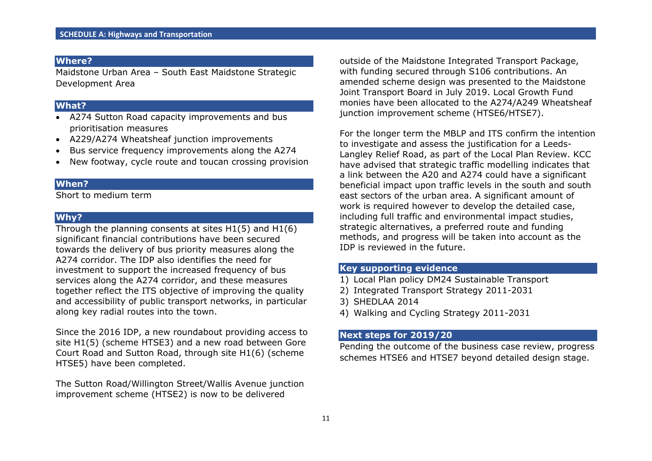Maidstone Urban Area – South East Maidstone Strategic Development Area

#### **What?**

- A274 Sutton Road capacity improvements and bus prioritisation measures
- A229/A274 Wheatsheaf junction improvements
- Bus service frequency improvements along the A274
- New footway, cycle route and toucan crossing provision

#### **When?**

Short to medium term

## **Why?**

Through the planning consents at sites H1(5) and H1(6) significant financial contributions have been secured towards the delivery of bus priority measures along the A274 corridor. The IDP also identifies the need for investment to support the increased frequency of bus services along the A274 corridor, and these measures together reflect the ITS objective of improving the quality and accessibility of public transport networks, in particular along key radial routes into the town.

Since the 2016 IDP, a new roundabout providing access to site H1(5) (scheme HTSE3) and a new road between Gore Court Road and Sutton Road, through site H1(6) (scheme HTSE5) have been completed.

The Sutton Road/Willington Street/Wallis Avenue junction improvement scheme (HTSE2) is now to be delivered

outside of the Maidstone Integrated Transport Package, with funding secured through S106 contributions. An amended scheme design was presented to the Maidstone Joint Transport Board in July 2019. Local Growth Fund monies have been allocated to the A274/A249 Wheatsheaf junction improvement scheme (HTSE6/HTSE7).

For the longer term the MBLP and ITS confirm the intention to investigate and assess the justification for a Leeds-Langley Relief Road, as part of the Local Plan Review. KCC have advised that strategic traffic modelling indicates that a link between the A20 and A274 could have a significant beneficial impact upon traffic levels in the south and south east sectors of the urban area. A significant amount of work is required however to develop the detailed case, including full traffic and environmental impact studies, strategic alternatives, a preferred route and funding methods, and progress will be taken into account as the IDP is reviewed in the future.

## **Key supporting evidence**

- 1) Local Plan policy DM24 Sustainable Transport
- 2) Integrated Transport Strategy 2011-2031
- 3) SHEDLAA 2014
- 4) Walking and Cycling Strategy 2011-2031

#### **Next steps for 2019/20**

Pending the outcome of the business case review, progress schemes HTSE6 and HTSE7 beyond detailed design stage.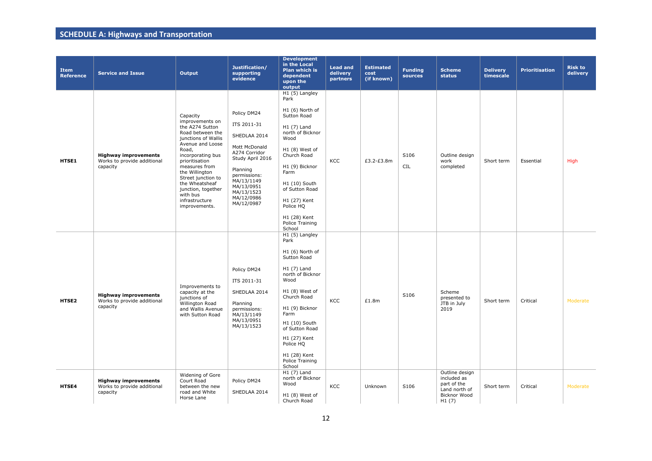| <b>Item</b><br><b>Reference</b> | <b>Service and Issue</b>                                               | Output                                                                                                                                                                                                                                                                                                        | Justification/<br>supporting<br>evidence                                                                                                                                                           | <b>Development</b><br>in the Local<br>Plan which is<br>dependent<br>upon the<br>output                                                                                                                                                                                      | <b>Lead and</b><br>delivery<br>partners | <b>Estimated</b><br>cost<br>(if known) | <b>Funding</b><br>sources | <b>Scheme</b><br><b>status</b>                                                                | <b>Delivery</b><br>timescale | <b>Prioritisation</b> | <b>Risk to</b><br>delivery |
|---------------------------------|------------------------------------------------------------------------|---------------------------------------------------------------------------------------------------------------------------------------------------------------------------------------------------------------------------------------------------------------------------------------------------------------|----------------------------------------------------------------------------------------------------------------------------------------------------------------------------------------------------|-----------------------------------------------------------------------------------------------------------------------------------------------------------------------------------------------------------------------------------------------------------------------------|-----------------------------------------|----------------------------------------|---------------------------|-----------------------------------------------------------------------------------------------|------------------------------|-----------------------|----------------------------|
| HTSE1                           | <b>Highway improvements</b><br>Works to provide additional<br>capacity | Capacity<br>improvements on<br>the A274 Sutton<br>Road between the<br>junctions of Wallis<br>Avenue and Loose<br>Road,<br>incorporating bus<br>prioritisation<br>measures from<br>the Willington<br>Street junction to<br>the Wheatsheaf<br>junction, together<br>with bus<br>infrastructure<br>improvements. | Policy DM24<br>ITS 2011-31<br>SHEDLAA 2014<br>Mott McDonald<br>A274 Corridor<br>Study April 2016<br>Planning<br>permissions:<br>MA/13/1149<br>MA/13/0951<br>MA/13/1523<br>MA/12/0986<br>MA/12/0987 | H1 (5) Langley<br>Park<br>H1 (6) North of<br>Sutton Road<br>H1 (7) Land<br>north of Bicknor<br>Wood<br>H1 (8) West of<br>Church Road<br>H1 (9) Bicknor<br>Farm<br>H1 (10) South<br>of Sutton Road<br>H1 (27) Kent<br>Police HQ<br>H1 (28) Kent<br>Police Training<br>School | KCC                                     | £3.2-£3.8m                             | S106<br>CIL               | Outline design<br>work<br>completed                                                           | Short term                   | Essential             | High                       |
| HTSE2                           | <b>Highway improvements</b><br>Works to provide additional<br>capacity | Improvements to<br>capacity at the<br>junctions of<br>Willington Road<br>and Wallis Avenue<br>with Sutton Road                                                                                                                                                                                                | Policy DM24<br>ITS 2011-31<br>SHEDLAA 2014<br>Planning<br>permissions:<br>MA/13/1149<br>MA/13/0951<br>MA/13/1523                                                                                   | H1 (5) Langley<br>Park<br>H1 (6) North of<br>Sutton Road<br>H1 (7) Land<br>north of Bicknor<br>Wood<br>H1 (8) West of<br>Church Road<br>H1 (9) Bicknor<br>Farm<br>H1 (10) South<br>of Sutton Road<br>H1 (27) Kent<br>Police HQ<br>H1 (28) Kent<br>Police Training<br>School | KCC                                     | £1.8m                                  | S106                      | Scheme<br>presented to<br>JTB in July<br>2019                                                 | Short term                   | Critical              | Moderate                   |
| HTSE4                           | <b>Highway improvements</b><br>Works to provide additional<br>capacity | Widening of Gore<br>Court Road<br>between the new<br>road and White<br>Horse Lane                                                                                                                                                                                                                             | Policy DM24<br>SHEDLAA 2014                                                                                                                                                                        | H1 (7) Land<br>north of Bicknor<br>Wood<br>H1 (8) West of<br>Church Road                                                                                                                                                                                                    | KCC                                     | Unknown                                | S106                      | Outline design<br>included as<br>part of the<br>Land north of<br><b>Bicknor Wood</b><br>H1(7) | Short term                   | Critical              | Moderate                   |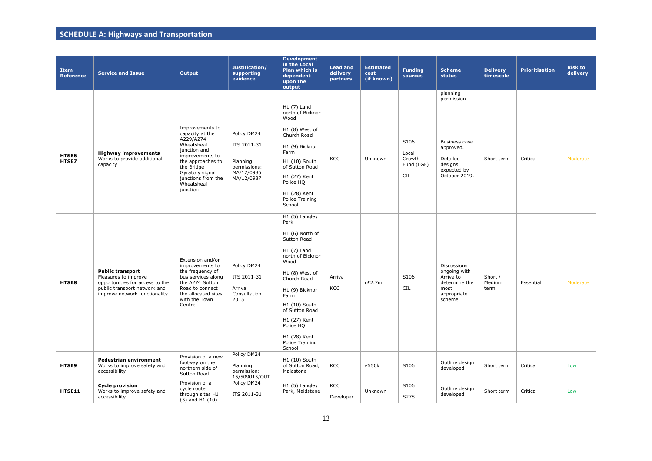| <b>Item</b><br><b>Reference</b> | <b>Service and Issue</b>                                                                                                                           | Output                                                                                                                                                                                                 | Justification/<br>supporting<br>evidence                                           | <b>Development</b><br>in the Local<br>Plan which is<br>dependent<br>upon the<br>output                                                                                                                                                                                       | <b>Lead and</b><br>delivery<br>partners | <b>Estimated</b><br>cost<br>(if known) | <b>Funding</b><br>sources                           | <b>Scheme</b><br><b>status</b>                                                                    | <b>Delivery</b><br>timescale | <b>Prioritisation</b> | <b>Risk to</b><br>delivery |
|---------------------------------|----------------------------------------------------------------------------------------------------------------------------------------------------|--------------------------------------------------------------------------------------------------------------------------------------------------------------------------------------------------------|------------------------------------------------------------------------------------|------------------------------------------------------------------------------------------------------------------------------------------------------------------------------------------------------------------------------------------------------------------------------|-----------------------------------------|----------------------------------------|-----------------------------------------------------|---------------------------------------------------------------------------------------------------|------------------------------|-----------------------|----------------------------|
|                                 |                                                                                                                                                    |                                                                                                                                                                                                        |                                                                                    |                                                                                                                                                                                                                                                                              |                                         |                                        |                                                     | planning<br>permission                                                                            |                              |                       |                            |
| HTSE6<br>HTSE7                  | <b>Highway improvements</b><br>Works to provide additional<br>capacity                                                                             | Improvements to<br>capacity at the<br>A229/A274<br>Wheatsheaf<br>junction and<br>improvements to<br>the approaches to<br>the Bridge<br>Gyratory signal<br>junctions from the<br>Wheatsheaf<br>junction | Policy DM24<br>ITS 2011-31<br>Planning<br>permissions:<br>MA/12/0986<br>MA/12/0987 | $H1(7)$ Land<br>north of Bicknor<br>Wood<br>H1 (8) West of<br>Church Road<br>H1 (9) Bicknor<br>Farm<br>H1 (10) South<br>of Sutton Road<br>H1 (27) Kent<br>Police HQ<br>H1 (28) Kent<br>Police Training<br>School                                                             | KCC                                     | Unknown                                | S106<br>Local<br>Growth<br>Fund (LGF)<br><b>CIL</b> | <b>Business case</b><br>approved.<br>Detailed<br>designs<br>expected by<br>October 2019.          | Short term                   | Critical              | Moderate                   |
| HTSE8                           | <b>Public transport</b><br>Measures to improve<br>opportunities for access to the<br>public transport network and<br>improve network functionality | Extension and/or<br>improvements to<br>the frequency of<br>bus services along<br>the A274 Sutton<br>Road to connect<br>the allocated sites<br>with the Town<br>Centre                                  | Policy DM24<br>ITS 2011-31<br>Arriva<br>Consultation<br>2015                       | H1 (5) Langley<br>Park<br>H1 (6) North of<br>Sutton Road<br>$H1(7)$ Land<br>north of Bicknor<br>Wood<br>H1 (8) West of<br>Church Road<br>H1 (9) Bicknor<br>Farm<br>H1 (10) South<br>of Sutton Road<br>H1 (27) Kent<br>Police HQ<br>H1 (28) Kent<br>Police Training<br>School | Arriva<br>KCC                           | c£2.7m                                 | S106<br>CIL                                         | <b>Discussions</b><br>ongoing with<br>Arriva to<br>determine the<br>most<br>appropriate<br>scheme | Short /<br>Medium<br>term    | Essential             | Moderate                   |
| HTSE9                           | <b>Pedestrian environment</b><br>Works to improve safety and<br>accessibility                                                                      | Provision of a new<br>footway on the<br>northern side of<br>Sutton Road.                                                                                                                               | Policy DM24<br>Planning<br>permission:<br>15/509015/OUT                            | H1 (10) South<br>of Sutton Road,<br>Maidstone                                                                                                                                                                                                                                | KCC                                     | £550k                                  | S106                                                | Outline design<br>developed                                                                       | Short term                   | Critical              | Low                        |
| HTSE11                          | <b>Cycle provision</b><br>Works to improve safety and<br>accessibility                                                                             | Provision of a<br>cycle route<br>through sites H1<br>$(5)$ and H1 $(10)$                                                                                                                               | Policy DM24<br>ITS 2011-31                                                         | H1 (5) Langley<br>Park, Maidstone                                                                                                                                                                                                                                            | KCC<br>Developer                        | Unknown                                | S106<br>S278                                        | Outline design<br>developed                                                                       | Short term                   | Critical              | Low                        |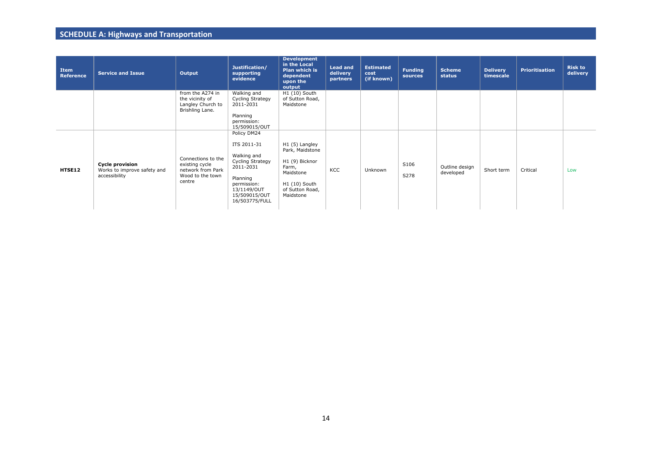| Item<br><b>Reference</b> | <b>Service and Issue</b>                                               | Output                                                                                  | Justification/<br>supporting<br>evidence                                                                                                                | <b>Development</b><br>in the Local<br>Plan which is<br>dependent<br>upon the<br>output                                     | <b>Lead and</b><br>delivery<br>partners | <b>Estimated</b><br>cost<br>(if known) | <b>Funding</b><br>sources | <b>Scheme</b><br>status     | <b>Delivery</b><br>timescale | <b>Prioritisation</b> | <b>Risk to</b><br>delivery |
|--------------------------|------------------------------------------------------------------------|-----------------------------------------------------------------------------------------|---------------------------------------------------------------------------------------------------------------------------------------------------------|----------------------------------------------------------------------------------------------------------------------------|-----------------------------------------|----------------------------------------|---------------------------|-----------------------------|------------------------------|-----------------------|----------------------------|
|                          |                                                                        | from the A274 in<br>the vicinity of<br>Langley Church to<br>Brishling Lane.             | Walking and<br>Cycling Strategy<br>2011-2031<br>Planning<br>permission:<br>15/509015/OUT                                                                | H1 (10) South<br>of Sutton Road,<br>Maidstone                                                                              |                                         |                                        |                           |                             |                              |                       |                            |
| HTSE12                   | <b>Cycle provision</b><br>Works to improve safety and<br>accessibility | Connections to the<br>existing cycle<br>network from Park<br>Wood to the town<br>centre | Policy DM24<br>ITS 2011-31<br>Walking and<br>Cycling Strategy<br>2011-2031<br>Planning<br>permission:<br>13/1149/OUT<br>15/509015/OUT<br>16/503775/FULL | H1 (5) Langley<br>Park, Maidstone<br>H1 (9) Bicknor<br>Farm,<br>Maidstone<br>H1 (10) South<br>of Sutton Road,<br>Maidstone | KCC                                     | Unknown                                | S106<br>S278              | Outline design<br>developed | Short term                   | Critical              | Low                        |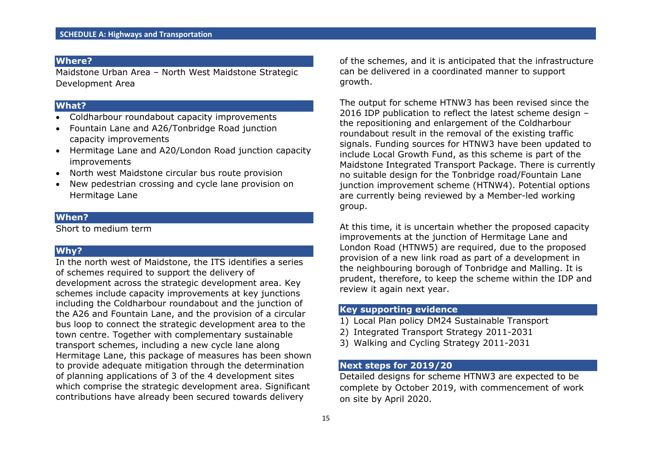Maidstone Urban Area – North West Maidstone Strategic Development Area

## **What?**

- Coldharbour roundabout capacity improvements
- Fountain Lane and A26/Tonbridge Road junction capacity improvements
- Hermitage Lane and A20/London Road junction capacity improvements
- North west Maidstone circular bus route provision
- New pedestrian crossing and cycle lane provision on Hermitage Lane

## **When?**

Short to medium term

## **Why?**

In the north west of Maidstone, the ITS identifies a series of schemes required to support the delivery of development across the strategic development area. Key schemes include capacity improvements at key junctions including the Coldharbour roundabout and the junction of the A26 and Fountain Lane, and the provision of a circular bus loop to connect the strategic development area to the town centre. Together with complementary sustainable transport schemes, including a new cycle lane along Hermitage Lane, this package of measures has been shown to provide adequate mitigation through the determination of planning applications of 3 of the 4 development sites which comprise the strategic development area. Significant contributions have already been secured towards delivery

of the schemes, and it is anticipated that the infrastructure can be delivered in a coordinated manner to support growth.

The output for scheme HTNW3 has been revised since the 2016 IDP publication to reflect the latest scheme design – the repositioning and enlargement of the Coldharbour roundabout result in the removal of the existing traffic signals. Funding sources for HTNW3 have been updated to include Local Growth Fund, as this scheme is part of the Maidstone Integrated Transport Package. There is currently no suitable design for the Tonbridge road/Fountain Lane junction improvement scheme (HTNW4). Potential options are currently being reviewed by a Member-led working group.

At this time, it is uncertain whether the proposed capacity improvements at the junction of Hermitage Lane and London Road (HTNW5) are required, due to the proposed provision of a new link road as part of a development in the neighbouring borough of Tonbridge and Malling. It is prudent, therefore, to keep the scheme within the IDP and review it again next year.

## **Key supporting evidence**

- 1) Local Plan policy DM24 Sustainable Transport
- 2) Integrated Transport Strategy 2011-2031
- 3) Walking and Cycling Strategy 2011-2031

## **Next steps for 2019/20**

Detailed designs for scheme HTNW3 are expected to be complete by October 2019, with commencement of work on site by April 2020.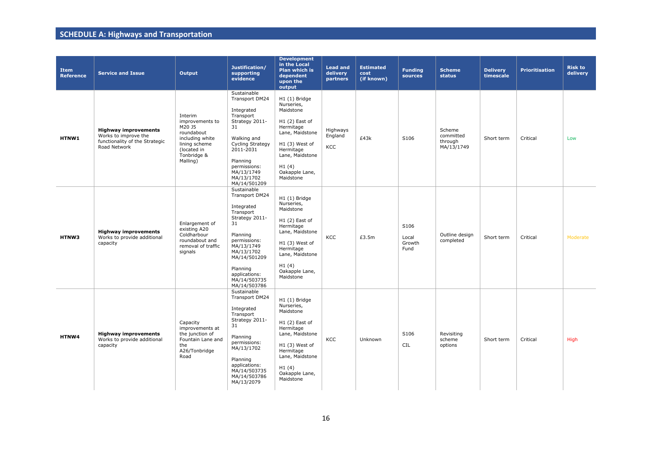| <b>Item</b><br><b>Reference</b> | <b>Service and Issue</b>                                                                              | <b>Output</b>                                                                                                                    | Justification/<br>supporting<br>evidence                                                                                                                                                                              | <b>Development</b><br>in the Local<br>Plan which is<br>dependent<br>upon the<br>output                                                                                                 | <b>Lead and</b><br>delivery<br>partners | <b>Estimated</b><br>cost<br>(if known) | <b>Funding</b><br>sources       | <b>Scheme</b><br>status                      | <b>Delivery</b><br>timescale | <b>Prioritisation</b> | <b>Risk to</b><br>delivery |
|---------------------------------|-------------------------------------------------------------------------------------------------------|----------------------------------------------------------------------------------------------------------------------------------|-----------------------------------------------------------------------------------------------------------------------------------------------------------------------------------------------------------------------|----------------------------------------------------------------------------------------------------------------------------------------------------------------------------------------|-----------------------------------------|----------------------------------------|---------------------------------|----------------------------------------------|------------------------------|-----------------------|----------------------------|
| HTNW1                           | <b>Highway improvements</b><br>Works to improve the<br>functionality of the Strategic<br>Road Network | Interim<br>improvements to<br>M20 J5<br>roundabout<br>including white<br>lining scheme<br>(located in<br>Tonbridge &<br>Malling) | Sustainable<br>Transport DM24<br>Integrated<br>Transport<br>Strategy 2011-<br>31<br>Walking and<br>Cycling Strategy<br>2011-2031<br>Planning<br>permissions:<br>MA/13/1749<br>MA/13/1702<br>MA/14/501209              | H1 (1) Bridge<br>Nurseries,<br>Maidstone<br>$H1(2)$ East of<br>Hermitage<br>Lane, Maidstone<br>$H1(3)$ West of<br>Hermitage<br>Lane, Maidstone<br>H1(4)<br>Oakapple Lane,<br>Maidstone | Highways<br>England<br>KCC              | £43k                                   | S106                            | Scheme<br>committed<br>through<br>MA/13/1749 | Short term                   | Critical              | Low                        |
| HTNW3                           | <b>Highway improvements</b><br>Works to provide additional<br>capacity                                | Enlargement of<br>existing A20<br>Coldharbour<br>roundabout and<br>removal of traffic<br>signals                                 | Sustainable<br>Transport DM24<br>Integrated<br>Transport<br>Strategy 2011-<br>31<br>Planning<br>permissions:<br>MA/13/1749<br>MA/13/1702<br>MA/14/501209<br>Planning<br>applications:<br>MA/14/503735<br>MA/14/503786 | H1 (1) Bridge<br>Nurseries,<br>Maidstone<br>$H1(2)$ East of<br>Hermitage<br>Lane, Maidstone<br>H1 (3) West of<br>Hermitage<br>Lane, Maidstone<br>H1(4)<br>Oakapple Lane,<br>Maidstone  | KCC                                     | £3.5m                                  | S106<br>Local<br>Growth<br>Fund | Outline design<br>completed                  | Short term                   | Critical              | Moderate                   |
| HTNW4                           | <b>Highway improvements</b><br>Works to provide additional<br>capacity                                | Capacity<br>improvements at<br>the junction of<br>Fountain Lane and<br>the<br>A26/Tonbridge<br>Road                              | Sustainable<br>Transport DM24<br>Integrated<br>Transport<br>Strategy 2011-<br>31<br>Planning<br>permissions:<br>MA/13/1702<br>Planning<br>applications:<br>MA/14/503735<br>MA/14/503786<br>MA/13/2079                 | H1 (1) Bridge<br>Nurseries,<br>Maidstone<br>$H1(2)$ East of<br>Hermitage<br>Lane, Maidstone<br>$H1(3)$ West of<br>Hermitage<br>Lane, Maidstone<br>H1(4)<br>Oakapple Lane,<br>Maidstone | KCC                                     | Unknown                                | S106<br><b>CIL</b>              | Revisiting<br>scheme<br>options              | Short term                   | Critical              | High                       |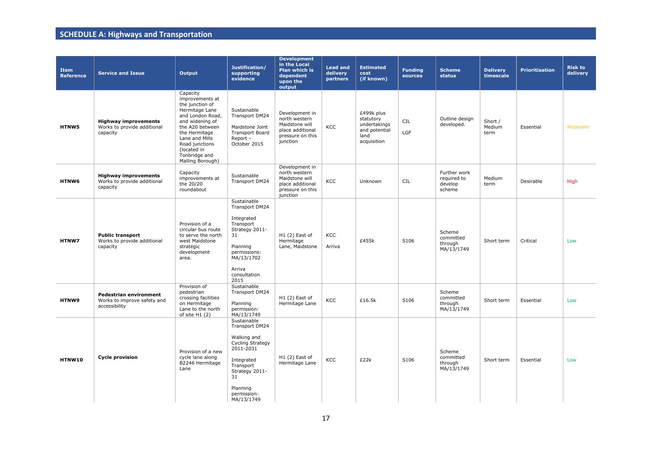| <b>Item</b><br><b>Reference</b> | <b>Service and Issue</b>                                               | Output                                                                                                                                                                                                                              | Justification/<br>supporting<br>evidence                                                                                                                                  | <b>Development</b><br>in the Local<br><b>Plan which is</b><br>dependent<br>upon the<br>output         | <b>Lead and</b><br>delivery<br>partners | <b>Estimated</b><br>cost<br>(if known)                                          | <b>Funding</b><br>sources | Scheme<br>status                                 | <b>Delivery</b><br>timescale | <b>Prioritisation</b> | <b>Risk to</b><br>delivery |
|---------------------------------|------------------------------------------------------------------------|-------------------------------------------------------------------------------------------------------------------------------------------------------------------------------------------------------------------------------------|---------------------------------------------------------------------------------------------------------------------------------------------------------------------------|-------------------------------------------------------------------------------------------------------|-----------------------------------------|---------------------------------------------------------------------------------|---------------------------|--------------------------------------------------|------------------------------|-----------------------|----------------------------|
| <b>HTNW5</b>                    | <b>Highway improvements</b><br>Works to provide additional<br>capacity | Capacity<br>improvements at<br>the junction of<br>Hermitage Lane<br>and London Road,<br>and widening of<br>the A20 between<br>the Hermitage<br>Lane and Mills<br>Road junctions<br>(located in<br>Tonbridge and<br>Malling Borough) | Sustainable<br>Transport DM24<br>Maidstone Joint<br><b>Transport Board</b><br>Report -<br>October 2015                                                                    | Development in<br>north western<br>Maidstone will<br>place additional<br>pressure on this<br>junction | <b>KCC</b>                              | £499k plus<br>statutory<br>undertakings<br>and potential<br>land<br>acquisition | CIL<br>LGF                | Outline design<br>developed.                     | Short /<br>Medium<br>term    | Essential             | Moderate                   |
| HTNW6                           | <b>Highway improvements</b><br>Works to provide additional<br>capacity | Capacity<br>improvements at<br>the 20/20<br>roundabout                                                                                                                                                                              | Sustainable<br>Transport DM24                                                                                                                                             | Development in<br>north western<br>Maidstone will<br>place additional<br>pressure on this<br>junction | KCC                                     | Unknown                                                                         | CIL                       | Further work<br>required to<br>develop<br>scheme | Medium<br>term               | Desirable             | High                       |
| HTNW7                           | <b>Public transport</b><br>Works to provide additional<br>capacity     | Provision of a<br>circular bus route<br>to serve the north<br>west Maidstone<br>strategic<br>development<br>area.                                                                                                                   | Sustainable<br>Transport DM24<br>Integrated<br>Transport<br>Strategy 2011-<br>31<br>Planning<br>permissions:<br>MA/13/1702<br>Arriva<br>consultation<br>2015              | $H1(2)$ East of<br>Hermitage<br>Lane, Maidstone                                                       | KCC<br>Arriva                           | £455k                                                                           | S106                      | Scheme<br>committed<br>through<br>MA/13/1749     | Short term                   | Critical              | Low                        |
| HTNW9                           | Pedestrian environment<br>Works to improve safety and<br>accessibility | Provision of<br>pedestrian<br>crossing facilities<br>on Hermitage<br>Lane to the north<br>of site $H1(2)$                                                                                                                           | Sustainable<br>Transport DM24<br>Planning<br>permission:<br>MA/13/1749                                                                                                    | $H1(2)$ East of<br>Hermitage Lane                                                                     | KCC                                     | £16.5k                                                                          | S106                      | Scheme<br>committed<br>through<br>MA/13/1749     | Short term                   | Essential             | Low                        |
| HTNW10                          | <b>Cycle provision</b>                                                 | Provision of a new<br>cycle lane along<br>B2246 Hermitage<br>Lane                                                                                                                                                                   | Sustainable<br>Transport DM24<br>Walking and<br>Cycling Strategy<br>2011-2031<br>Integrated<br>Transport<br>Strategy 2011-<br>31<br>Planning<br>permission:<br>MA/13/1749 | $H1(2)$ East of<br>Hermitage Lane                                                                     | KCC                                     | £22k                                                                            | S106                      | Scheme<br>committed<br>through<br>MA/13/1749     | Short term                   | Essential             | Low                        |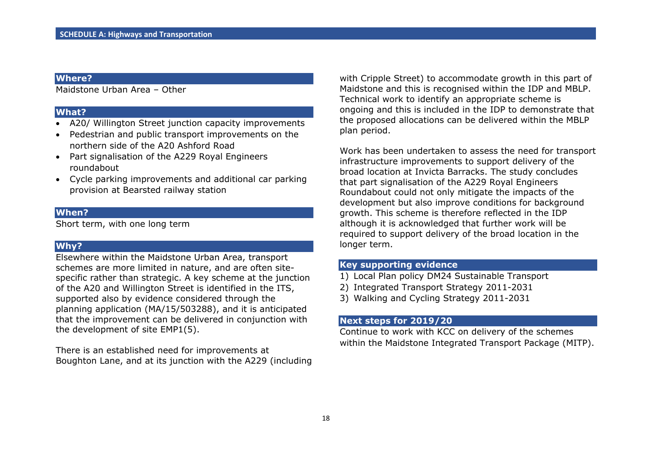Maidstone Urban Area – Other

#### **What?**

- A20/ Willington Street junction capacity improvements
- Pedestrian and public transport improvements on the northern side of the A20 Ashford Road
- Part signalisation of the A229 Royal Engineers roundabout
- Cycle parking improvements and additional car parking provision at Bearsted railway station

## **When?**

Short term, with one long term

## **Why?**

Elsewhere within the Maidstone Urban Area, transport schemes are more limited in nature, and are often sitespecific rather than strategic. A key scheme at the junction of the A20 and Willington Street is identified in the ITS, supported also by evidence considered through the planning application (MA/15/503288), and it is anticipated that the improvement can be delivered in conjunction with the development of site EMP1(5).

There is an established need for improvements at Boughton Lane, and at its junction with the A229 (including with Cripple Street) to accommodate growth in this part of Maidstone and this is recognised within the IDP and MBLP. Technical work to identify an appropriate scheme is ongoing and this is included in the IDP to demonstrate that the proposed allocations can be delivered within the MBLP plan period.

Work has been undertaken to assess the need for transport infrastructure improvements to support delivery of the broad location at Invicta Barracks. The study concludes that part signalisation of the A229 Royal Engineers Roundabout could not only mitigate the impacts of the development but also improve conditions for background growth. This scheme is therefore reflected in the IDP although it is acknowledged that further work will be required to support delivery of the broad location in the longer term.

## **Key supporting evidence**

- 1) Local Plan policy DM24 Sustainable Transport
- 2) Integrated Transport Strategy 2011-2031
- 3) Walking and Cycling Strategy 2011-2031

### **Next steps for 2019/20**

Continue to work with KCC on delivery of the schemes within the Maidstone Integrated Transport Package (MITP).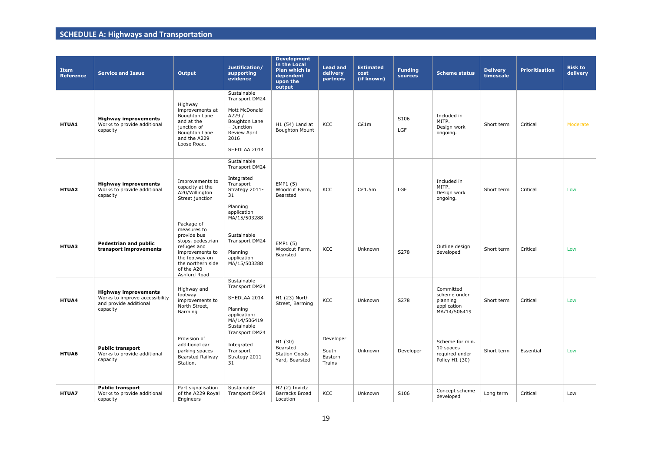| <b>Item</b><br><b>Reference</b> | <b>Service and Issue</b>                                                                            | Output                                                                                                                                                               | Justification/<br>supporting<br>evidence                                                                                                        | <b>Development</b><br>in the Local<br><b>Plan which is</b><br>dependent<br>upon the<br>output | <b>Lead and</b><br>delivery<br>partners | <b>Estimated</b><br>cost<br>(if known) | <b>Funding</b><br>sources | <b>Scheme status</b>                                                 | <b>Delivery</b><br>timescale | <b>Prioritisation</b> | <b>Risk to</b><br>delivery |
|---------------------------------|-----------------------------------------------------------------------------------------------------|----------------------------------------------------------------------------------------------------------------------------------------------------------------------|-------------------------------------------------------------------------------------------------------------------------------------------------|-----------------------------------------------------------------------------------------------|-----------------------------------------|----------------------------------------|---------------------------|----------------------------------------------------------------------|------------------------------|-----------------------|----------------------------|
| HTUA1                           | <b>Highway improvements</b><br>Works to provide additional<br>capacity                              | Highway<br>improvements at<br>Boughton Lane<br>and at the<br>junction of<br><b>Boughton Lane</b><br>and the A229<br>Loose Road.                                      | Sustainable<br>Transport DM24<br>Mott McDonald<br>A229 /<br><b>Boughton Lane</b><br>$-$ Junction<br><b>Review April</b><br>2016<br>SHEDLAA 2014 | $H1(54)$ Land at<br><b>Boughton Mount</b>                                                     | KCC                                     | C£1m                                   | S106<br>LGF               | Included in<br>MITP.<br>Design work<br>ongoing.                      | Short term                   | Critical              | Moderate                   |
| HTUA2                           | <b>Highway improvements</b><br>Works to provide additional<br>capacity                              | Improvements to<br>capacity at the<br>A20/Willington<br>Street junction                                                                                              | Sustainable<br>Transport DM24<br>Integrated<br>Transport<br>Strategy 2011-<br>31<br>Planning<br>application<br>MA/15/503288                     | EMP1 (5)<br>Woodcut Farm,<br>Bearsted                                                         | KCC                                     | C£1.5m                                 | LGF                       | Included in<br>MITP.<br>Design work<br>ongoing.                      | Short term                   | Critical              | Low                        |
| HTUA3                           | Pedestrian and public<br>transport improvements                                                     | Package of<br>measures to<br>provide bus<br>stops, pedestrian<br>refuges and<br>improvements to<br>the footway on<br>the northern side<br>of the A20<br>Ashford Road | Sustainable<br>Transport DM24<br>Planning<br>application<br>MA/15/503288                                                                        | EMP1 (5)<br>Woodcut Farm,<br>Bearsted                                                         | KCC                                     | Unknown                                | S278                      | Outline design<br>developed                                          | Short term                   | Critical              | Low                        |
| HTUA4                           | <b>Highway improvements</b><br>Works to improve accessibility<br>and provide additional<br>capacity | Highway and<br>footway<br>improvements to<br>North Street,<br>Barming                                                                                                | Sustainable<br>Transport DM24<br>SHEDLAA 2014<br>Planning<br>application:<br>MA/14/506419                                                       | H1 (23) North<br>Street, Barming                                                              | KCC                                     | Unknown                                | S278                      | Committed<br>scheme under<br>planning<br>application<br>MA/14/506419 | Short term                   | Critical              | Low                        |
| HTUA6                           | <b>Public transport</b><br>Works to provide additional<br>capacity                                  | Provision of<br>additional car<br>parking spaces<br><b>Bearsted Railway</b><br>Station.                                                                              | Sustainable<br>Transport DM24<br>Integrated<br>Transport<br>Strategy 2011-<br>31                                                                | H1 (30)<br>Bearsted<br><b>Station Goods</b><br>Yard, Bearsted                                 | Developer<br>South<br>Eastern<br>Trains | Unknown                                | Developer                 | Scheme for min.<br>10 spaces<br>required under<br>Policy H1 (30)     | Short term                   | Essential             | Low                        |
| <b>HTUA7</b>                    | <b>Public transport</b><br>Works to provide additional<br>capacity                                  | Part signalisation<br>of the A229 Royal<br>Engineers                                                                                                                 | Sustainable<br>Transport DM24                                                                                                                   | H <sub>2</sub> (2) Invicta<br><b>Barracks Broad</b><br>Location                               | KCC                                     | Unknown                                | S106                      | Concept scheme<br>developed                                          | Long term                    | Critical              | Low                        |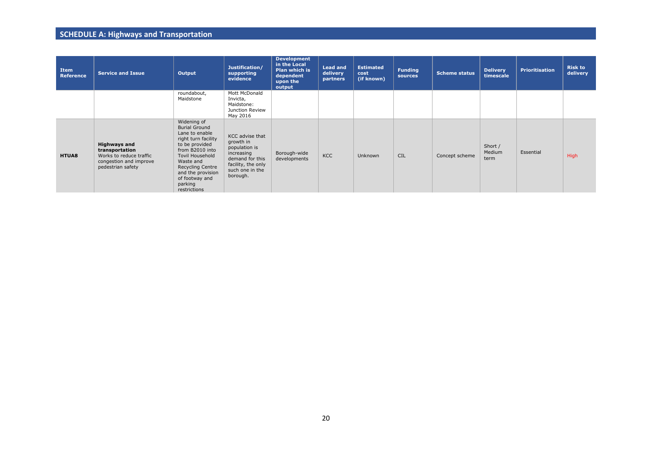| Item<br><b>Reference</b> | <b>Service and Issue</b>                                                                                        | Output                                                                                                                                                                                                                                                | Justification/<br>supporting<br>evidence                                                                                            | <b>Development</b><br>in the Local<br><b>Plan which is</b><br>dependent<br>upon the<br>output | <b>Lead and</b><br>delivery<br><b>partners</b> | <b>Estimated</b><br>cost<br>(if known) | <b>Funding</b><br>sources | <b>Scheme status</b> | <b>Delivery</b><br>timescale | <b>Prioritisation</b> | <b>Risk to</b><br>delivery |
|--------------------------|-----------------------------------------------------------------------------------------------------------------|-------------------------------------------------------------------------------------------------------------------------------------------------------------------------------------------------------------------------------------------------------|-------------------------------------------------------------------------------------------------------------------------------------|-----------------------------------------------------------------------------------------------|------------------------------------------------|----------------------------------------|---------------------------|----------------------|------------------------------|-----------------------|----------------------------|
|                          |                                                                                                                 | roundabout,<br>Maidstone                                                                                                                                                                                                                              | Mott McDonald<br>Invicta,<br>Maidstone:<br>Junction Review<br>May 2016                                                              |                                                                                               |                                                |                                        |                           |                      |                              |                       |                            |
| <b>HTUA8</b>             | <b>Highways and</b><br>transportation<br>Works to reduce traffic<br>congestion and improve<br>pedestrian safety | Widening of<br><b>Burial Ground</b><br>Lane to enable<br>right turn facility<br>to be provided<br>from B2010 into<br><b>Tovil Household</b><br>Waste and<br><b>Recycling Centre</b><br>and the provision<br>of footway and<br>parking<br>restrictions | KCC advise that<br>growth in<br>population is<br>increasing<br>demand for this<br>facility, the only<br>such one in the<br>borough. | Borough-wide<br>developments                                                                  | KCC                                            | <b>Unknown</b>                         | <b>CIL</b>                | Concept scheme       | Short /<br>Medium<br>term    | Essential             | <b>High</b>                |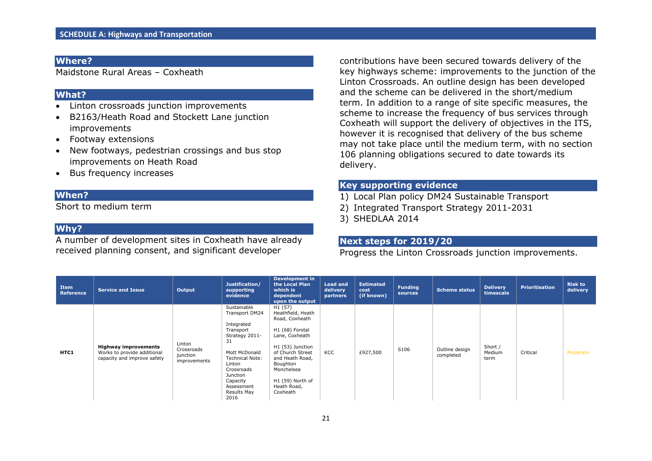Maidstone Rural Areas – Coxheath

#### **What?**

- Linton crossroads junction improvements
- B2163/Heath Road and Stockett Lane junction improvements
- Footway extensions
- New footways, pedestrian crossings and bus stop improvements on Heath Road
- Bus frequency increases

#### **When?**

Short to medium term

#### **Why?**

A number of development sites in Coxheath have already received planning consent, and significant developer

contributions have been secured towards delivery of the key highways scheme: improvements to the junction of the Linton Crossroads. An outline design has been developed and the scheme can be delivered in the short/medium term. In addition to a range of site specific measures, the scheme to increase the frequency of bus services through Coxheath will support the delivery of objectives in the ITS, however it is recognised that delivery of the bus scheme may not take place until the medium term, with no section 106 planning obligations secured to date towards its delivery.

## **Key supporting evidence**

- 1) Local Plan policy DM24 Sustainable Transport
- 2) Integrated Transport Strategy 2011-2031
- 3) SHEDLAA 2014

#### **Next steps for 2019/20**

Progress the Linton Crossroads junction improvements.

| Item<br><b>Reference</b> | <b>Service and Issue</b>                                                                  | Output                                           | Justification/<br>supporting<br>evidence                                                                                                                                                                         | <b>Development in</b><br>the Local Plan<br>which is<br>dependent<br>upon the output                                                                                                                                     | <b>Lead and</b><br>delivery<br>partners | <b>Estimated</b><br>cost<br>(if known) | <b>Funding</b><br>sources | <b>Scheme status</b>        | <b>Delivery</b><br>timescale | <b>Prioritisation</b> | <b>Risk to</b><br>delivery |
|--------------------------|-------------------------------------------------------------------------------------------|--------------------------------------------------|------------------------------------------------------------------------------------------------------------------------------------------------------------------------------------------------------------------|-------------------------------------------------------------------------------------------------------------------------------------------------------------------------------------------------------------------------|-----------------------------------------|----------------------------------------|---------------------------|-----------------------------|------------------------------|-----------------------|----------------------------|
| HTC1                     | <b>Highway improvements</b><br>Works to provide additional<br>capacity and improve safety | Linton<br>Crossroads<br>junction<br>improvements | Sustainable<br>Transport DM24<br>Integrated<br>Transport<br>Strategy 2011-<br>31<br>Mott McDonald<br><b>Technical Note:</b><br>Linton<br>Crossroads<br>Junction<br>Capacity<br>Assessment<br>Results May<br>2016 | H1 (57)<br>Heathfield, Heath<br>Road, Coxheath<br>H1 (68) Forstal<br>Lane, Coxheath<br>H1 (53) Junction<br>of Church Street<br>and Heath Road,<br>Boughton<br>Monchelsea<br>H1 (59) North of<br>Heath Road,<br>Coxheath | KCC                                     | £927,500                               | S106                      | Outline design<br>completed | Short /<br>Medium<br>term    | Critical              | Moderate                   |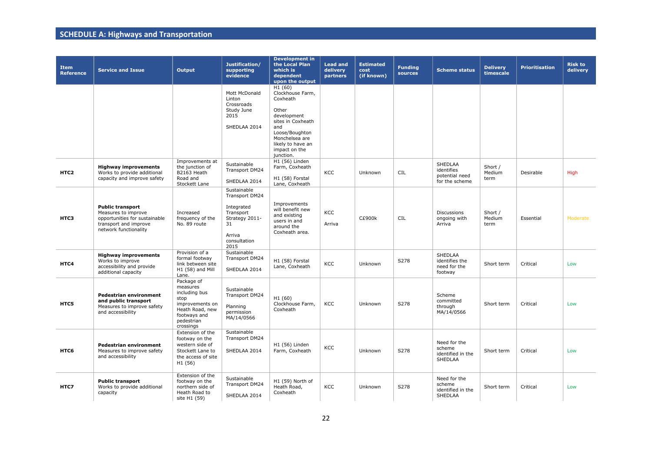| <b>Item</b><br><b>Reference</b> | <b>Service and Issue</b>                                                                                                          | Output                                                                                                                           | Justification/<br>supporting<br>evidence                                                                           | <b>Development in</b><br>the Local Plan<br>which is<br>dependent<br>upon the output                                                                                               | <b>Lead and</b><br>delivery<br>partners | <b>Estimated</b><br>cost<br>(if known) | <b>Funding</b><br><b>sources</b> | <b>Scheme status</b>                                             | <b>Delivery</b><br>timescale | <b>Prioritisation</b> | <b>Risk to</b><br>delivery |
|---------------------------------|-----------------------------------------------------------------------------------------------------------------------------------|----------------------------------------------------------------------------------------------------------------------------------|--------------------------------------------------------------------------------------------------------------------|-----------------------------------------------------------------------------------------------------------------------------------------------------------------------------------|-----------------------------------------|----------------------------------------|----------------------------------|------------------------------------------------------------------|------------------------------|-----------------------|----------------------------|
|                                 |                                                                                                                                   |                                                                                                                                  | Mott McDonald<br>Linton<br>Crossroads<br>Study June<br>2015<br>SHEDLAA 2014                                        | H1(60)<br>Clockhouse Farm,<br>Coxheath<br>Other<br>development<br>sites in Coxheath<br>and<br>Loose/Boughton<br>Monchelsea are<br>likely to have an<br>impact on the<br>junction. |                                         |                                        |                                  |                                                                  |                              |                       |                            |
| HTC <sub>2</sub>                | <b>Highway improvements</b><br>Works to provide additional<br>capacity and improve safety                                         | Improvements at<br>the junction of<br>B2163 Heath<br>Road and<br>Stockett Lane                                                   | Sustainable<br>Transport DM24<br>SHEDLAA 2014                                                                      | H1 (56) Linden<br>Farm, Coxheath<br>H1 (58) Forstal<br>Lane, Coxheath                                                                                                             | KCC                                     | Unknown                                | <b>CIL</b>                       | <b>SHEDLAA</b><br>identifies<br>potential need<br>for the scheme | Short /<br>Medium<br>term    | Desirable             | High                       |
| HTC3                            | <b>Public transport</b><br>Measures to improve<br>opportunities for sustainable<br>transport and improve<br>network functionality | Increased<br>frequency of the<br>No. 89 route                                                                                    | Sustainable<br>Transport DM24<br>Integrated<br>Transport<br>Strategy 2011-<br>31<br>Arriva<br>consultation<br>2015 | Improvements<br>will benefit new<br>and existing<br>users in and<br>around the<br>Coxheath area.                                                                                  | KCC<br>Arriva                           | <b>C£900k</b>                          | <b>CIL</b>                       | <b>Discussions</b><br>ongoing with<br>Arriva                     | Short /<br>Medium<br>term    | Essential             | Moderate                   |
| HTC4                            | <b>Highway improvements</b><br>Works to improve<br>accessibility and provide<br>additional capacity                               | Provision of a<br>formal footway<br>link between site<br>$H1(58)$ and Mill<br>Lane.                                              | Sustainable<br>Transport DM24<br>SHEDLAA 2014                                                                      | H1 (58) Forstal<br>Lane, Coxheath                                                                                                                                                 | KCC                                     | Unknown                                | S278                             | <b>SHEDLAA</b><br>identifies the<br>need for the<br>footway      | Short term                   | Critical              | Low                        |
| HTC5                            | <b>Pedestrian environment</b><br>and public transport<br>Measures to improve safety<br>and accessibility                          | Package of<br>measures<br>including bus<br>stop<br>improvements on<br>Heath Road, new<br>footways and<br>pedestrian<br>crossings | Sustainable<br>Transport DM24<br>Planning<br>permission<br>MA/14/0566                                              | H1 (60)<br>Clockhouse Farm,<br>Coxheath                                                                                                                                           | KCC                                     | Unknown                                | S278                             | Scheme<br>committed<br>through<br>MA/14/0566                     | Short term                   | Critical              | Low                        |
| HTC6                            | Pedestrian environment<br>Measures to improve safety<br>and accessibility                                                         | Extension of the<br>footway on the<br>western side of<br>Stockett Lane to<br>the access of site<br>H1 (56)                       | Sustainable<br>Transport DM24<br>SHEDLAA 2014                                                                      | H1 (56) Linden<br>Farm, Coxheath                                                                                                                                                  | KCC                                     | Unknown                                | S278                             | Need for the<br>scheme<br>identified in the<br><b>SHEDLAA</b>    | Short term                   | Critical              | Low                        |
| HTC7                            | <b>Public transport</b><br>Works to provide additional<br>capacity                                                                | Extension of the<br>footway on the<br>northern side of<br>Heath Road to<br>site H1 (59)                                          | Sustainable<br>Transport DM24<br>SHEDLAA 2014                                                                      | H1 (59) North of<br>Heath Road,<br>Coxheath                                                                                                                                       | KCC                                     | Unknown                                | S278                             | Need for the<br>scheme<br>identified in the<br>SHEDLAA           | Short term                   | Critical              | Low                        |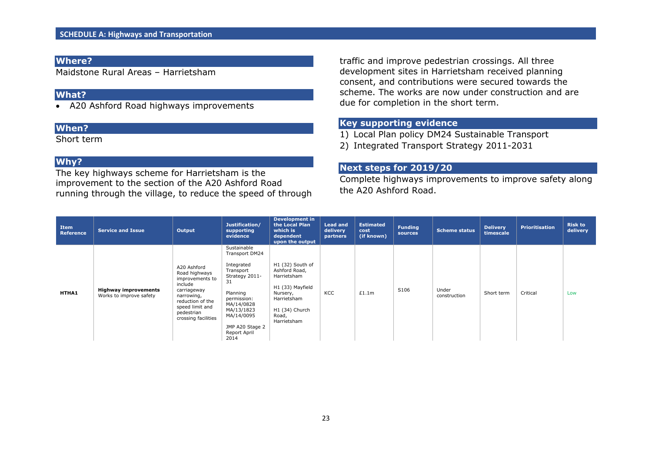Maidstone Rural Areas – Harrietsham

## **What?**

A20 Ashford Road highways improvements

#### **When?**

Short term

## **Why?**

The key highways scheme for Harrietsham is the improvement to the section of the A20 Ashford Road running through the village, to reduce the speed of through traffic and improve pedestrian crossings. All three development sites in Harrietsham received planning consent, and contributions were secured towards the scheme. The works are now under construction and are due for completion in the short term.

## **Key supporting evidence**

1) Local Plan policy DM24 Sustainable Transport

2) Integrated Transport Strategy 2011-2031

#### **Next steps for 2019/20**

Complete highways improvements to improve safety along the A20 Ashford Road.

| Item<br>Reference | <b>Service and Issue</b>                               | Output                                                                                                                                                              | Justification/<br>supporting<br>evidence                                                                                                                                                         | <b>Development in</b><br>the Local Plan<br>which is<br>dependent<br>upon the output                                                       | <b>Lead and</b><br>delivery<br>partners | <b>Estimated</b><br>cost<br>(if known) | <b>Funding</b><br>sources | Scheme status         | <b>Delivery</b><br>timescale | <b>Prioritisation</b> | <b>Risk to</b><br>delivery |
|-------------------|--------------------------------------------------------|---------------------------------------------------------------------------------------------------------------------------------------------------------------------|--------------------------------------------------------------------------------------------------------------------------------------------------------------------------------------------------|-------------------------------------------------------------------------------------------------------------------------------------------|-----------------------------------------|----------------------------------------|---------------------------|-----------------------|------------------------------|-----------------------|----------------------------|
| HTHA1             | <b>Highway improvements</b><br>Works to improve safety | A20 Ashford<br>Road highways<br>improvements to<br>include<br>carriageway<br>narrowing,<br>reduction of the<br>speed limit and<br>pedestrian<br>crossing facilities | Sustainable<br>Transport DM24<br>Integrated<br>Transport<br>Strategy 2011-<br>31<br>Planning<br>permission:<br>MA/14/0828<br>MA/13/1823<br>MA/14/0095<br>JMP A20 Stage 2<br>Report April<br>2014 | H1 (32) South of<br>Ashford Road,<br>Harrietsham<br>H1 (33) Mayfield<br>Nursery,<br>Harrietsham<br>H1 (34) Church<br>Road,<br>Harrietsham | KCC                                     | £1.1m                                  | S106                      | Under<br>construction | Short term                   | Critical              | Low                        |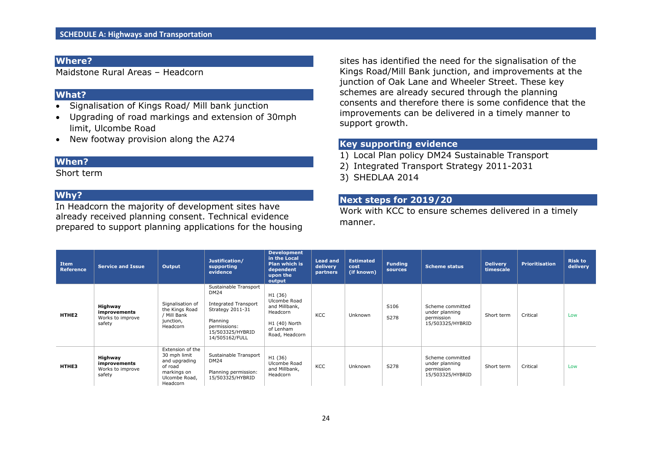Maidstone Rural Areas – Headcorn

#### **What?**

- Signalisation of Kings Road/ Mill bank junction
- Upgrading of road markings and extension of 30mph limit, Ulcombe Road
- New footway provision along the A274

#### **When?**

Short term

#### **Why?**

In Headcorn the majority of development sites have already received planning consent. Technical evidence prepared to support planning applications for the housing sites has identified the need for the signalisation of the Kings Road/Mill Bank junction, and improvements at the junction of Oak Lane and Wheeler Street. These key schemes are already secured through the planning consents and therefore there is some confidence that the improvements can be delivered in a timely manner to support growth.

## **Key supporting evidence**

- 1) Local Plan policy DM24 Sustainable Transport
- 2) Integrated Transport Strategy 2011-2031
- 3) SHEDLAA 2014

## **Next steps for 2019/20**

Work with KCC to ensure schemes delivered in a timely manner.

| Item<br>Reference | <b>Service and Issue</b>                              | Output                                                                                                   | Justification/<br>supporting<br>evidence                                                                                                                  | <b>Development</b><br>in the Local<br><b>Plan which is</b><br>dependent<br>upon the<br>output                    | <b>Lead and</b><br>delivery<br>partners | <b>Estimated</b><br>cost<br>(if known) | <b>Funding</b><br>sources | <b>Scheme status</b>                                                 | <b>Delivery</b><br>timescale | <b>Prioritisation</b> | <b>Risk to</b><br>delivery |
|-------------------|-------------------------------------------------------|----------------------------------------------------------------------------------------------------------|-----------------------------------------------------------------------------------------------------------------------------------------------------------|------------------------------------------------------------------------------------------------------------------|-----------------------------------------|----------------------------------------|---------------------------|----------------------------------------------------------------------|------------------------------|-----------------------|----------------------------|
| HTHE <sub>2</sub> | Highway<br>improvements<br>Works to improve<br>safety | Signalisation of<br>the Kings Road<br>/ Mill Bank<br>junction,<br>Headcorn                               | Sustainable Transport<br><b>DM24</b><br><b>Integrated Transport</b><br>Strategy 2011-31<br>Planning<br>permissions:<br>15/503325/HYBRID<br>14/505162/FULL | H <sub>1</sub> (36)<br>Ulcombe Road<br>and Millbank,<br>Headcorn<br>H1 (40) North<br>of Lenham<br>Road, Headcorn | KCC                                     | <b>Unknown</b>                         | S106<br>S278              | Scheme committed<br>under planning<br>permission<br>15/503325/HYBRID | Short term                   | Critical              | Low                        |
| HTHE3             | Highway<br>improvements<br>Works to improve<br>safety | Extension of the<br>30 mph limit<br>and upgrading<br>of road<br>markings on<br>Ulcombe Road,<br>Headcorn | Sustainable Transport<br>DM24<br>Planning permission:<br>15/503325/HYBRID                                                                                 | H1 (36)<br>Ulcombe Road<br>and Millbank,<br>Headcorn                                                             | KCC                                     | <b>Unknown</b>                         | S278                      | Scheme committed<br>under planning<br>permission<br>15/503325/HYBRID | Short term                   | Critical              | Low                        |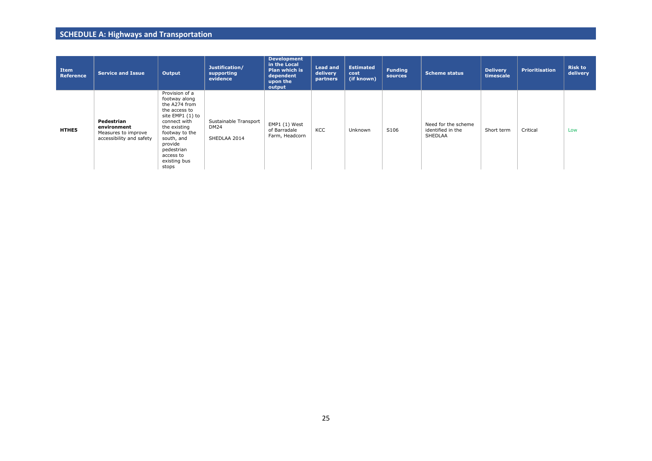| Item<br>Reference | <b>Service and Issue</b>                                                     | Output                                                                                                                                                                                                               | Justification/<br>supporting<br>evidence             | <b>Development</b><br>in the Local<br><b>Plan which is</b><br>dependent<br>upon the<br>output | <b>Lead and</b><br>delivery<br>partners | <b>Estimated</b><br>cost<br>(if known) | <b>Funding</b><br>sources | Scheme status                                              | <b>Delivery</b><br>timescale | <b>Prioritisation</b> | <b>Risk to</b><br>delivery |
|-------------------|------------------------------------------------------------------------------|----------------------------------------------------------------------------------------------------------------------------------------------------------------------------------------------------------------------|------------------------------------------------------|-----------------------------------------------------------------------------------------------|-----------------------------------------|----------------------------------------|---------------------------|------------------------------------------------------------|------------------------------|-----------------------|----------------------------|
| <b>HTHES</b>      | Pedestrian<br>environment<br>Measures to improve<br>accessibility and safety | Provision of a<br>footway along<br>the A274 from<br>the access to<br>site EMP1 (1) to<br>connect with<br>the existing<br>footway to the<br>south, and<br>provide<br>pedestrian<br>access to<br>existing bus<br>stops | Sustainable Transport<br><b>DM24</b><br>SHEDLAA 2014 | EMP1 (1) West<br>of Barradale<br>Farm, Headcorn                                               | KCC                                     | Unknown                                | S106                      | Need for the scheme<br>identified in the<br><b>SHEDLAA</b> | Short term                   | Critical              | Low                        |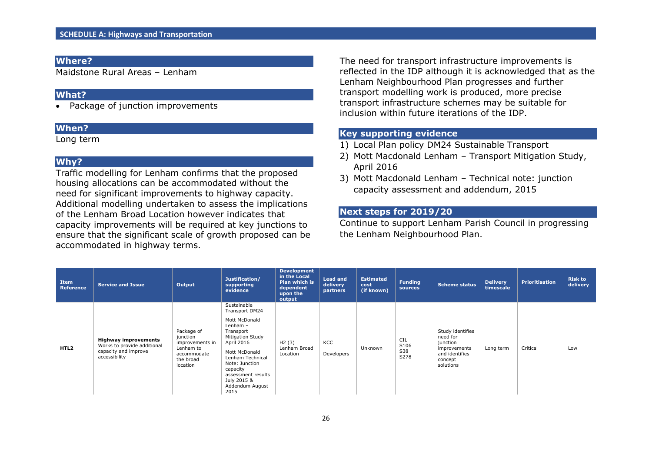Maidstone Rural Areas – Lenham

#### **What?**

• Package of junction improvements

#### **When?**

Long term

## **Why?**

Traffic modelling for Lenham confirms that the proposed housing allocations can be accommodated without the need for significant improvements to highway capacity. Additional modelling undertaken to assess the implications of the Lenham Broad Location however indicates that capacity improvements will be required at key junctions to ensure that the significant scale of growth proposed can be accommodated in highway terms.

The need for transport infrastructure improvements is reflected in the IDP although it is acknowledged that as the Lenham Neighbourhood Plan progresses and further transport modelling work is produced, more precise transport infrastructure schemes may be suitable for inclusion within future iterations of the IDP.

## **Key supporting evidence**

- 1) Local Plan policy DM24 Sustainable Transport
- 2) Mott Macdonald Lenham Transport Mitigation Study, April 2016
- 3) Mott Macdonald Lenham Technical note: junction capacity assessment and addendum, 2015

#### **Next steps for 2019/20**

Continue to support Lenham Parish Council in progressing the Lenham Neighbourhood Plan.

| Item<br>Reference | <b>Service and Issue</b>                                                                            | Output                                                                                         | Justification/<br>supporting<br>evidence                                                                                                                                                                             | <b>Development</b><br>in the Local<br><b>Plan which is</b><br>dependent<br>upon the<br>output | <b>Lead and</b><br>delivery<br>partners | <b>Estimated</b><br>cost<br>(if known) | <b>Funding</b><br>sources         | <b>Scheme status</b>                                                                               | <b>Delivery</b><br>timescale | <b>Prioritisation</b> | <b>Risk to</b><br>delivery |
|-------------------|-----------------------------------------------------------------------------------------------------|------------------------------------------------------------------------------------------------|----------------------------------------------------------------------------------------------------------------------------------------------------------------------------------------------------------------------|-----------------------------------------------------------------------------------------------|-----------------------------------------|----------------------------------------|-----------------------------------|----------------------------------------------------------------------------------------------------|------------------------------|-----------------------|----------------------------|
|                   |                                                                                                     |                                                                                                | Sustainable<br><b>Transport DM24</b>                                                                                                                                                                                 |                                                                                               |                                         |                                        |                                   |                                                                                                    |                              |                       |                            |
| HTL <sub>2</sub>  | <b>Highway improvements</b><br>Works to provide additional<br>capacity and improve<br>accessibility | Package of<br>junction<br>improvements in<br>Lenham to<br>accommodate<br>the broad<br>location | Mott McDonald<br>Lenham $-$<br>Transport<br><b>Mitigation Study</b><br>April 2016<br>Mott McDonald<br>Lenham Technical<br>Note: Junction<br>capacity<br>assessment results<br>July 2015 &<br>Addendum August<br>2015 | H2(3)<br>Lenham Broad<br>Location                                                             | KCC<br>Developers                       | Unknown                                | <b>CIL</b><br>S106<br>S38<br>S278 | Study identifies<br>need for<br>junction<br>improvements<br>and identifies<br>concept<br>solutions | Long term                    | Critical              | Low                        |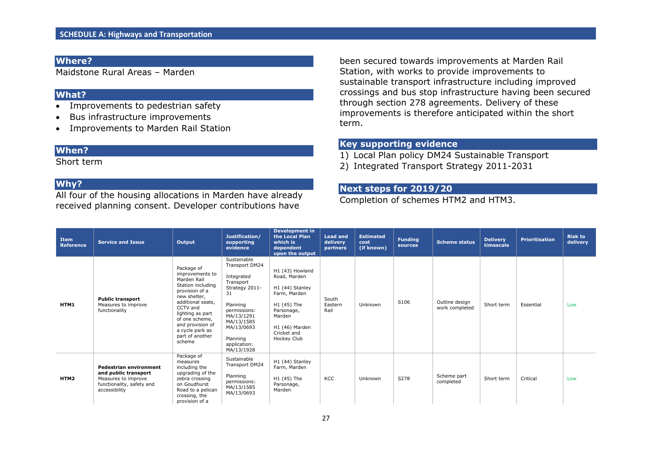Maidstone Rural Areas – Marden

#### **What?**

- Improvements to pedestrian safety
- Bus infrastructure improvements
- Improvements to Marden Rail Station

#### **When?**

Short term

## **Why?**

All four of the housing allocations in Marden have already received planning consent. Developer contributions have

been secured towards improvements at Marden Rail Station, with works to provide improvements to sustainable transport infrastructure including improved crossings and bus stop infrastructure having been secured through section 278 agreements. Delivery of these improvements is therefore anticipated within the short term.

## **Key supporting evidence**

- 1) Local Plan policy DM24 Sustainable Transport
- 2) Integrated Transport Strategy 2011-2031

## **Next steps for 2019/20**

Completion of schemes HTM2 and HTM3.

| Item<br>Reference | <b>Service and Issue</b>                                                                                            | Output                                                                                                                                                                                                                                         | Justification/<br>supporting<br>evidence                                                                                                                                                         | <b>Development in</b><br>the Local Plan<br>which is<br>dependent<br>upon the output                                                                       | <b>Lead and</b><br>delivery<br>partners | <b>Estimated</b><br>cost<br>(if known) | <b>Funding</b><br>sources | <b>Scheme status</b>             | <b>Delivery</b><br>timescale | <b>Prioritisation</b> | <b>Risk to</b><br>delivery |
|-------------------|---------------------------------------------------------------------------------------------------------------------|------------------------------------------------------------------------------------------------------------------------------------------------------------------------------------------------------------------------------------------------|--------------------------------------------------------------------------------------------------------------------------------------------------------------------------------------------------|-----------------------------------------------------------------------------------------------------------------------------------------------------------|-----------------------------------------|----------------------------------------|---------------------------|----------------------------------|------------------------------|-----------------------|----------------------------|
| HTM1              | <b>Public transport</b><br>Measures to improve<br>functionality                                                     | Package of<br>improvements to<br>Marden Rail<br>Station including<br>provision of a<br>new shelter,<br>additional seats.<br>CCTV and<br>lighting as part<br>of one scheme,<br>and provision of<br>a cycle park as<br>part of another<br>scheme | Sustainable<br>Transport DM24<br>Integrated<br>Transport<br>Strategy 2011-<br>31<br>Planning<br>permissions:<br>MA/13/1291<br>MA/13/1585<br>MA/13/0693<br>Planning<br>application:<br>MA/13/1928 | H1 (43) Howland<br>Road, Marden<br>H1 (44) Stanley<br>Farm, Marden<br>H1 (45) The<br>Parsonage,<br>Marden<br>H1 (46) Marden<br>Cricket and<br>Hockey Club | South<br>Eastern<br>Rail                | Unknown                                | S106                      | Outline design<br>work completed | Short term                   | Essential             | Low                        |
| HTM2              | Pedestrian environment<br>and public transport<br>Measures to improve<br>functionality, safety and<br>accessibility | Package of<br>measures<br>including the<br>upgrading of the<br>zebra crossing<br>on Goudhurst<br>Road to a pelican<br>crossing, the<br>provision of a                                                                                          | Sustainable<br>Transport DM24<br>Planning<br>permissions:<br>MA/13/1585<br>MA/13/0693                                                                                                            | H1 (44) Stanley<br>Farm, Marden<br>H1 (45) The<br>Parsonage,<br>Marden                                                                                    | KCC                                     | Unknown                                | S278                      | Scheme part<br>completed         | Short term                   | Critical              | Low                        |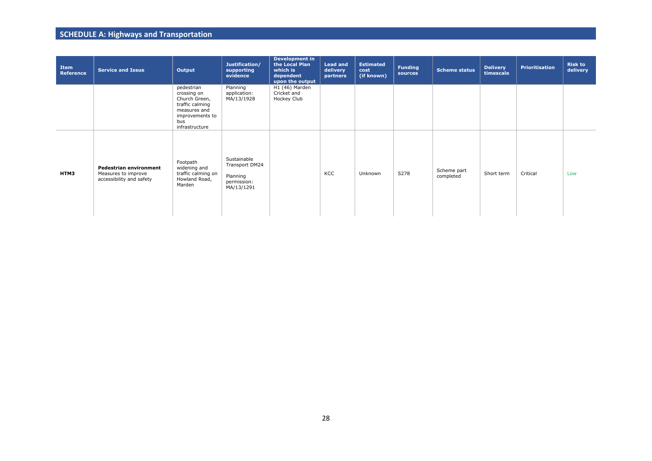| Item<br><b>Reference</b> | <b>Service and Issue</b>                                                         | Output                                                                                                                    | Justification/<br>supporting<br>evidence                               | <b>Development in</b><br>the Local Plan<br>which is<br>dependent<br>upon the output | <b>Lead and</b><br>delivery<br>partners | <b>Estimated</b><br>cost<br>(if known) | <b>Funding</b><br>sources | <b>Scheme status</b>     | <b>Delivery</b><br>timescale | <b>Prioritisation</b> | <b>Risk to</b><br>delivery |
|--------------------------|----------------------------------------------------------------------------------|---------------------------------------------------------------------------------------------------------------------------|------------------------------------------------------------------------|-------------------------------------------------------------------------------------|-----------------------------------------|----------------------------------------|---------------------------|--------------------------|------------------------------|-----------------------|----------------------------|
|                          |                                                                                  | pedestrian<br>crossing on<br>Church Green,<br>traffic calming<br>measures and<br>improvements to<br>bus<br>infrastructure | Planning<br>application:<br>MA/13/1928                                 | H1 (46) Marden<br>Cricket and<br>Hockey Club                                        |                                         |                                        |                           |                          |                              |                       |                            |
| HTM3                     | <b>Pedestrian environment</b><br>Measures to improve<br>accessibility and safety | Footpath<br>widening and<br>traffic calming on<br>Howland Road,<br>Marden                                                 | Sustainable<br>Transport DM24<br>Planning<br>permission:<br>MA/13/1291 |                                                                                     | KCC                                     | Unknown                                | S278                      | Scheme part<br>completed | Short term                   | Critical              | Low                        |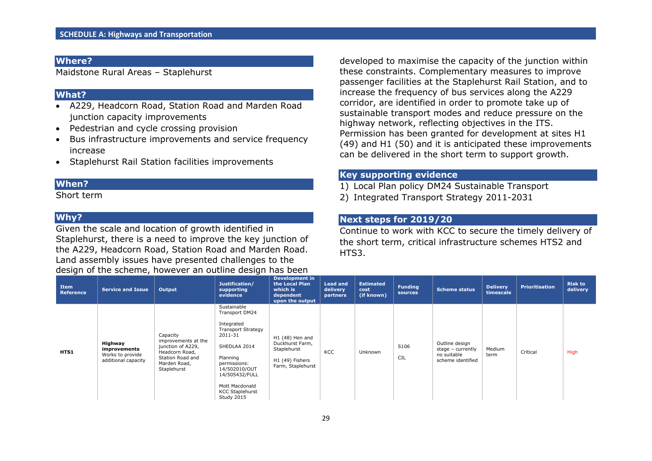Maidstone Rural Areas – Staplehurst

#### **What?**

- A229, Headcorn Road, Station Road and Marden Road junction capacity improvements
- Pedestrian and cycle crossing provision
- Bus infrastructure improvements and service frequency increase
- Staplehurst Rail Station facilities improvements

## **When?**

Short term

## **Why?**

Given the scale and location of growth identified in Staplehurst, there is a need to improve the key junction of the A229, Headcorn Road, Station Road and Marden Road. Land assembly issues have presented challenges to the design of the scheme, however an outline design has been

developed to maximise the capacity of the junction within these constraints. Complementary measures to improve passenger facilities at the Staplehurst Rail Station, and to increase the frequency of bus services along the A229 corridor, are identified in order to promote take up of sustainable transport modes and reduce pressure on the highway network, reflecting objectives in the ITS. Permission has been granted for development at sites H1 (49) and H1 (50) and it is anticipated these improvements can be delivered in the short term to support growth.

## **Key supporting evidence**

- 1) Local Plan policy DM24 Sustainable Transport
- 2) Integrated Transport Strategy 2011-2031

## **Next steps for 2019/20**

Continue to work with KCC to secure the timely delivery of the short term, critical infrastructure schemes HTS2 and HTS<sub>3</sub>.

| <b>Item</b><br>Reference | <b>Service and Issue</b>                                           | Output                                                                                                                    | Justification/<br>supporting<br>evidence                                                                                                                                                                                     | <b>Development in</b><br>the Local Plan<br>which is<br>dependent<br>upon the output       | <b>Lead and</b><br>delivery<br>partners | <b>Estimated</b><br>cost<br>(if known) | <b>Funding</b><br><b>sources</b> | Scheme status                                                           | <b>Delivery</b><br>timescale | <b>Prioritisation</b> | <b>Risk to</b><br>delivery |
|--------------------------|--------------------------------------------------------------------|---------------------------------------------------------------------------------------------------------------------------|------------------------------------------------------------------------------------------------------------------------------------------------------------------------------------------------------------------------------|-------------------------------------------------------------------------------------------|-----------------------------------------|----------------------------------------|----------------------------------|-------------------------------------------------------------------------|------------------------------|-----------------------|----------------------------|
| HTS1                     | Highway<br>improvements<br>Works to provide<br>additional capacity | Capacity<br>improvements at the<br>junction of A229,<br>Headcorn Road,<br>Station Road and<br>Marden Road,<br>Staplehurst | Sustainable<br>Transport DM24<br>Integrated<br><b>Transport Strategy</b><br>2011-31<br>SHEDLAA 2014<br>Planning<br>permissions:<br>14/502010/OUT<br>14/505432/FULL<br>Mott Macdonald<br><b>KCC Staplehurst</b><br>Study 2015 | H1 (48) Hen and<br>Duckhurst Farm,<br>Staplehurst<br>H1 (49) Fishers<br>Farm, Staplehurst | KCC                                     | Unknown                                | S106<br><b>CIL</b>               | Outline design<br>stage - currently<br>no suitable<br>scheme identified | Medium<br>term               | Critical              | High                       |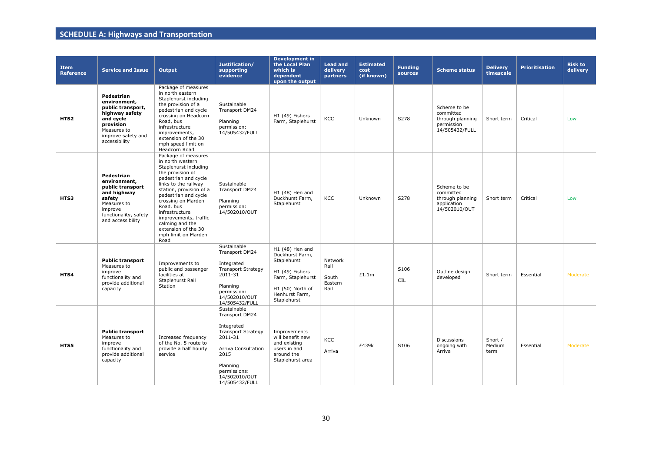| <b>Item</b><br><b>Reference</b> | <b>Service and Issue</b>                                                                                                                          | <b>Output</b>                                                                                                                                                                                                                                                                                                                                  | Justification/<br>supporting<br>evidence                                                                                                                                          | <b>Development in</b><br>the Local Plan<br>which is<br>dependent<br>upon the output                                                            | <b>Lead and</b><br>delivery<br>partners     | <b>Estimated</b><br>cost<br>(if known) | <b>Funding</b><br>sources | <b>Scheme status</b>                                                          | <b>Delivery</b><br>timescale | <b>Prioritisation</b> | <b>Risk to</b><br>delivery |
|---------------------------------|---------------------------------------------------------------------------------------------------------------------------------------------------|------------------------------------------------------------------------------------------------------------------------------------------------------------------------------------------------------------------------------------------------------------------------------------------------------------------------------------------------|-----------------------------------------------------------------------------------------------------------------------------------------------------------------------------------|------------------------------------------------------------------------------------------------------------------------------------------------|---------------------------------------------|----------------------------------------|---------------------------|-------------------------------------------------------------------------------|------------------------------|-----------------------|----------------------------|
| HTS2                            | Pedestrian<br>environment,<br>public transport,<br>highway safety<br>and cycle<br>provision<br>Measures to<br>improve safety and<br>accessibility | Package of measures<br>in north eastern<br>Staplehurst including<br>the provision of a<br>pedestrian and cycle<br>crossing on Headcorn<br>Road, bus<br>infrastructure<br>improvements,<br>extension of the 30<br>mph speed limit on<br>Headcorn Road                                                                                           | Sustainable<br><b>Transport DM24</b><br>Planning<br>permission:<br>14/505432/FULL                                                                                                 | H1 (49) Fishers<br>Farm, Staplehurst                                                                                                           | KCC                                         | Unknown                                | S278                      | Scheme to be<br>committed<br>through planning<br>permission<br>14/505432/FULL | Short term                   | Critical              | Low                        |
| HTS3                            | Pedestrian<br>environment.<br>public transport<br>and highway<br>safety<br>Measures to<br>improve<br>functionality, safety<br>and accessibility   | Package of measures<br>in north western<br>Staplehurst including<br>the provision of<br>pedestrian and cycle<br>links to the railway<br>station, provision of a<br>pedestrian and cycle<br>crossing on Marden<br>Road. bus<br>infrastructure<br>improvements, traffic<br>calming and the<br>extension of the 30<br>mph limit on Marden<br>Road | Sustainable<br><b>Transport DM24</b><br>Planning<br>permission:<br>14/502010/OUT                                                                                                  | H1 (48) Hen and<br>Duckhurst Farm,<br>Staplehurst                                                                                              | <b>KCC</b>                                  | Unknown                                | S278                      | Scheme to be<br>committed<br>through planning<br>application<br>14/502010/OUT | Short term                   | Critical              | Low                        |
| HTS4                            | <b>Public transport</b><br>Measures to<br>improve<br>functionality and<br>provide additional<br>capacity                                          | Improvements to<br>public and passenger<br>facilities at<br>Staplehurst Rail<br>Station                                                                                                                                                                                                                                                        | Sustainable<br>Transport DM24<br>Integrated<br><b>Transport Strategy</b><br>2011-31<br>Planning<br>permission:<br>14/502010/OUT<br>14/505432/FULL                                 | H1 (48) Hen and<br>Duckhurst Farm,<br>Staplehurst<br>H1 (49) Fishers<br>Farm, Staplehurst<br>H1 (50) North of<br>Henhurst Farm,<br>Staplehurst | Network<br>Rail<br>South<br>Eastern<br>Rail | £1.1m                                  | S106<br><b>CIL</b>        | Outline design<br>developed                                                   | Short term                   | Essential             | Moderate                   |
| HTS5                            | <b>Public transport</b><br>Measures to<br>improve<br>functionality and<br>provide additional<br>capacity                                          | Increased frequency<br>of the No. 5 route to<br>provide a half hourly<br>service                                                                                                                                                                                                                                                               | Sustainable<br>Transport DM24<br>Integrated<br><b>Transport Strategy</b><br>2011-31<br>Arriva Consultation<br>2015<br>Planning<br>permissions:<br>14/502010/OUT<br>14/505432/FULL | Improvements<br>will benefit new<br>and existing<br>users in and<br>around the<br>Staplehurst area                                             | KCC<br>Arriva                               | £439k                                  | S106                      | <b>Discussions</b><br>ongoing with<br>Arriva                                  | Short /<br>Medium<br>term    | Essential             | Moderate                   |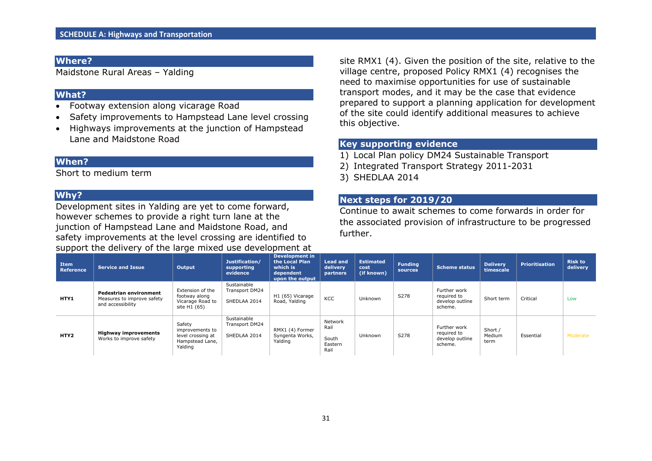Maidstone Rural Areas – Yalding

#### **What?**

- Footway extension along vicarage Road
- Safety improvements to Hampstead Lane level crossing
- Highways improvements at the junction of Hampstead Lane and Maidstone Road

#### **When?**

Short to medium term

#### **Why?**

Development sites in Yalding are yet to come forward, however schemes to provide a right turn lane at the junction of Hampstead Lane and Maidstone Road, and safety improvements at the level crossing are identified to support the delivery of the large mixed use development at site RMX1 (4). Given the position of the site, relative to the village centre, proposed Policy RMX1 (4) recognises the need to maximise opportunities for use of sustainable transport modes, and it may be the case that evidence prepared to support a planning application for development of the site could identify additional measures to achieve this objective.

## **Key supporting evidence**

- 1) Local Plan policy DM24 Sustainable Transport
- 2) Integrated Transport Strategy 2011-2031
- 3) SHEDLAA 2014

## **Next steps for 2019/20**

Continue to await schemes to come forwards in order for the associated provision of infrastructure to be progressed further.

| <b>Item</b><br>Reference | Service and Issue                                                                | Output                                                                       | Justification/<br>supporting<br>evidence             | Development in<br>the Local Plan<br>which is<br>dependent<br>upon the output | <b>Lead and</b><br>delivery<br>partners     | <b>Estimated</b><br>cost<br>(if known) | <b>Funding</b><br><b>sources</b> | <b>Scheme status</b>                                      | <b>Delivery</b><br>timescale | <b>Prioritisation</b> | <b>Risk to</b><br>delivery |
|--------------------------|----------------------------------------------------------------------------------|------------------------------------------------------------------------------|------------------------------------------------------|------------------------------------------------------------------------------|---------------------------------------------|----------------------------------------|----------------------------------|-----------------------------------------------------------|------------------------------|-----------------------|----------------------------|
| HTY1                     | <b>Pedestrian environment</b><br>Measures to improve safety<br>and accessibility | Extension of the<br>footway along<br>Vicarage Road to<br>site H1 (65)        | Sustainable<br>Transport DM24<br>SHEDLAA 2014        | H1 (65) Vicarage<br>Road, Yalding                                            | KCC                                         | Unknown                                | S278                             | Further work<br>required to<br>develop outline<br>scheme. | Short term                   | Critical              | Low                        |
| HTY2                     | <b>Highway improvements</b><br>Works to improve safety                           | Safety<br>improvements to<br>level crossing at<br>Hampstead Lane,<br>Yalding | Sustainable<br><b>Transport DM24</b><br>SHEDLAA 2014 | RMX1 (4) Former<br>Syngenta Works,<br>Yalding                                | Network<br>Rail<br>South<br>Eastern<br>Rail | Unknown                                | S278                             | Further work<br>required to<br>develop outline<br>scheme. | Short /<br>Medium<br>term    | Essential             | Moderate                   |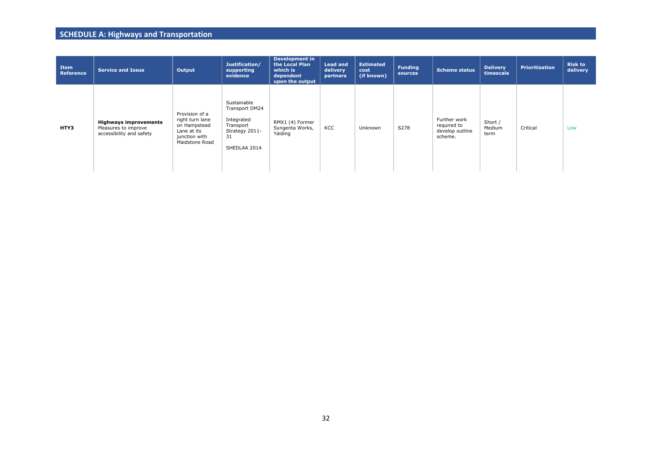| Item<br>Reference | <b>Service and Issue</b>                                                        | Output                                                                                              | Justification/<br>supporting<br>evidence                                                         | <b>Development in</b><br>the Local Plan<br>which is<br>dependent<br>upon the output | <b>Lead and</b><br>delivery<br>partners | <b>Estimated</b><br>cost<br>(if known) | <b>Funding</b><br>sources | <b>Scheme status</b>                                      | <b>Delivery</b><br>timescale | <b>Prioritisation</b> | <b>Risk to</b><br>delivery |
|-------------------|---------------------------------------------------------------------------------|-----------------------------------------------------------------------------------------------------|--------------------------------------------------------------------------------------------------|-------------------------------------------------------------------------------------|-----------------------------------------|----------------------------------------|---------------------------|-----------------------------------------------------------|------------------------------|-----------------------|----------------------------|
| HTY3              | <b>Highways improvements</b><br>Measures to improve<br>accessibility and safety | Provision of a<br>right turn lane<br>on Hampstead<br>Lane at its<br>junction with<br>Maidstone Road | Sustainable<br>Transport DM24<br>Integrated<br>Transport<br>Strategy 2011-<br>31<br>SHEDLAA 2014 | RMX1 (4) Former<br>Syngenta Works,<br>Yalding                                       | KCC                                     | Unknown                                | S278                      | Further work<br>required to<br>develop outline<br>scheme. | Short /<br>Medium<br>term    | Critical              | Low                        |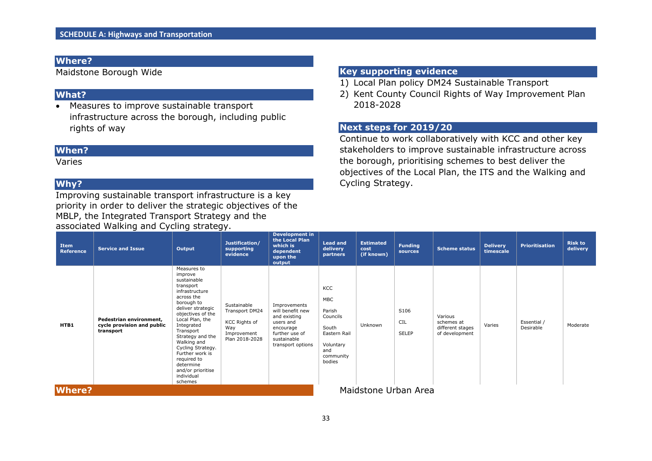Maidstone Borough Wide

## **What?**

 Measures to improve sustainable transport infrastructure across the borough, including public rights of way

## **When?**

Varies

# **Why?**

Improving sustainable transport infrastructure is a key priority in order to deliver the strategic objectives of the MBLP, the Integrated Transport Strategy and the associated Walking and Cycling strategy.

## **Key supporting evidence**

- 1) Local Plan policy DM24 Sustainable Transport
- 2) Kent County Council Rights of Way Improvement Plan 2018-2028

## **Next steps for 2019/20**

Continue to work collaboratively with KCC and other key stakeholders to improve sustainable infrastructure across the borough, prioritising schemes to best deliver the objectives of the Local Plan, the ITS and the Walking and Cycling Strategy.

| <b>Item</b><br><b>Reference</b> | <b>Service and Issue</b>                                           | Output                                                                                                                                                                                                                                                                                                                                        | Justification/<br>supporting<br>evidence                                                      | <b>Development in</b><br>the Local Plan<br>which is<br>dependent<br>upon the<br>output                                           | <b>Lead and</b><br>delivery<br>partners                                                                     | <b>Estimated</b><br>cost<br>(if known) | <b>Funding</b><br>sources   | <b>Scheme status</b>                                        | <b>Delivery</b><br>timescale | <b>Prioritisation</b>    | <b>Risk to</b><br>delivery |
|---------------------------------|--------------------------------------------------------------------|-----------------------------------------------------------------------------------------------------------------------------------------------------------------------------------------------------------------------------------------------------------------------------------------------------------------------------------------------|-----------------------------------------------------------------------------------------------|----------------------------------------------------------------------------------------------------------------------------------|-------------------------------------------------------------------------------------------------------------|----------------------------------------|-----------------------------|-------------------------------------------------------------|------------------------------|--------------------------|----------------------------|
| HTB1                            | Pedestrian environment,<br>cycle provision and public<br>transport | Measures to<br>improve<br>sustainable<br>transport<br>infrastructure<br>across the<br>borough to<br>deliver strategic<br>objectives of the<br>Local Plan, the<br>Integrated<br>Transport<br>Strategy and the<br>Walking and<br>Cycling Strategy.<br>Further work is<br>required to<br>determine<br>and/or prioritise<br>individual<br>schemes | Sustainable<br>Transport DM24<br><b>KCC Rights of</b><br>Way<br>Improvement<br>Plan 2018-2028 | Improvements<br>will benefit new<br>and existing<br>users and<br>encourage<br>further use of<br>sustainable<br>transport options | KCC<br><b>MBC</b><br>Parish<br>Councils<br>South<br>Eastern Rail<br>Voluntary<br>and<br>community<br>bodies | Unknown                                | S106<br><b>CIL</b><br>SELEP | Various<br>schemes at<br>different stages<br>of development | Varies                       | Essential /<br>Desirable | Moderate                   |
| <b>Where?</b>                   |                                                                    |                                                                                                                                                                                                                                                                                                                                               |                                                                                               |                                                                                                                                  |                                                                                                             | Maidstone Urban Area                   |                             |                                                             |                              |                          |                            |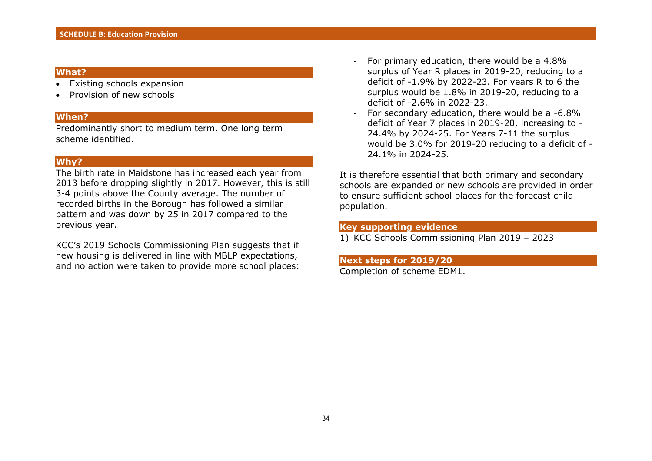#### **What?**

- Existing schools expansion
- Provision of new schools

#### **When?**

Predominantly short to medium term. One long term scheme identified.

#### **Why?**

The birth rate in Maidstone has increased each year from 2013 before dropping slightly in 2017. However, this is still 3-4 points above the County average. The number of recorded births in the Borough has followed a similar pattern and was down by 25 in 2017 compared to the previous year.

KCC's 2019 Schools Commissioning Plan suggests that if new housing is delivered in line with MBLP expectations, and no action were taken to provide more school places:

- For primary education, there would be a 4.8% surplus of Year R places in 2019-20, reducing to a deficit of -1.9% by 2022-23. For years R to 6 the surplus would be 1.8% in 2019-20, reducing to a deficit of -2.6% in 2022-23.
- For secondary education, there would be a -6.8% deficit of Year 7 places in 2019-20, increasing to - 24.4% by 2024-25. For Years 7-11 the surplus would be 3.0% for 2019-20 reducing to a deficit of - 24.1% in 2024-25.

It is therefore essential that both primary and secondary schools are expanded or new schools are provided in order to ensure sufficient school places for the forecast child population.

## **Key supporting evidence**

1) KCC Schools Commissioning Plan 2019 – 2023

#### **Next steps for 2019/20**

Completion of scheme EDM1.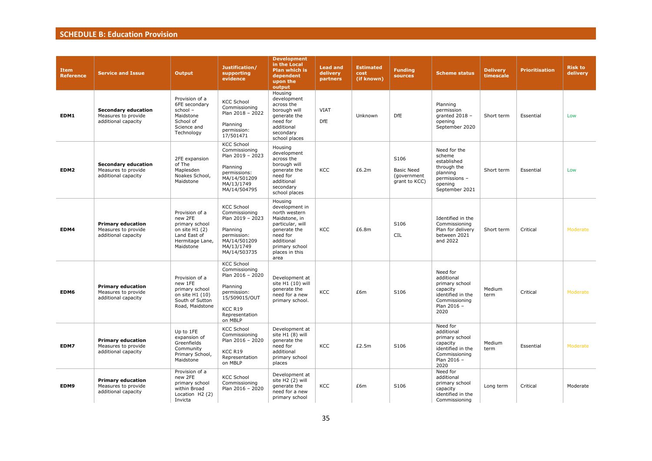## **SCHEDULE B: Education Provision**

| <b>Item</b><br><b>Reference</b> | <b>Service and Issue</b>                                                 | <b>Output</b>                                                                                                  | Justification/<br>supporting<br>evidence                                                                                                   | <b>Development</b><br>in the Local<br>Plan which is<br>dependent<br>upon the<br>output                                                                                | <b>Lead and</b><br>delivery<br>partners | <b>Estimated</b><br>cost<br>(if known) | <b>Funding</b><br>sources                                 | <b>Scheme status</b>                                                                                              | <b>Delivery</b><br>timescale | <b>Prioritisation</b> | <b>Risk to</b><br>delivery |
|---------------------------------|--------------------------------------------------------------------------|----------------------------------------------------------------------------------------------------------------|--------------------------------------------------------------------------------------------------------------------------------------------|-----------------------------------------------------------------------------------------------------------------------------------------------------------------------|-----------------------------------------|----------------------------------------|-----------------------------------------------------------|-------------------------------------------------------------------------------------------------------------------|------------------------------|-----------------------|----------------------------|
| EDM1                            | <b>Secondary education</b><br>Measures to provide<br>additional capacity | Provision of a<br>6FE secondary<br>school -<br>Maidstone<br>School of<br>Science and<br>Technology             | <b>KCC School</b><br>Commissioning<br>Plan 2018 - 2022<br>Planning<br>permission:<br>17/501471                                             | Housing<br>development<br>across the<br>borough will<br>generate the<br>need for<br>additional<br>secondary<br>school places                                          | <b>VIAT</b><br><b>DfE</b>               | Unknown                                | DfE                                                       | Planning<br>permission<br>granted 2018 -<br>opening<br>September 2020                                             | Short term                   | Essential             | Low                        |
| EDM2                            | <b>Secondary education</b><br>Measures to provide<br>additional capacity | 2FE expansion<br>of The<br>Maplesden<br>Noakes School,<br>Maidstone                                            | <b>KCC School</b><br>Commissioning<br>Plan 2019 - 2023<br>Planning<br>permissions:<br>MA/14/501209<br>MA/13/1749<br>MA/14/504795           | Housing<br>development<br>across the<br>borough will<br>generate the<br>need for<br>additional<br>secondary<br>school places                                          | <b>KCC</b>                              | £6.2m                                  | S106<br><b>Basic Need</b><br>(government<br>grant to KCC) | Need for the<br>scheme<br>established<br>through the<br>planning<br>permissions -<br>opening<br>September 2021    | Short term                   | Essential             | Low                        |
| EDM4                            | <b>Primary education</b><br>Measures to provide<br>additional capacity   | Provision of a<br>new 2FE<br>primary school<br>on site $H1(2)$<br>Land East of<br>Hermitage Lane,<br>Maidstone | <b>KCC School</b><br>Commissioning<br>Plan 2019 - 2023<br>Planning<br>permission:<br>MA/14/501209<br>MA/13/1749<br>MA/14/503735            | Housing<br>development in<br>north western<br>Maidstone, in<br>particular, will<br>generate the<br>need for<br>additional<br>primary school<br>places in this<br>area | KCC                                     | £6.8m                                  | S106<br><b>CIL</b>                                        | Identified in the<br>Commissioning<br>Plan for delivery<br>between 2021<br>and 2022                               | Short term                   | Critical              | Moderate                   |
| EDM6                            | <b>Primary education</b><br>Measures to provide<br>additional capacity   | Provision of a<br>new 1FE<br>primary school<br>on site H1 (10)<br>South of Sutton<br>Road, Maidstone           | <b>KCC School</b><br>Commissioning<br>Plan 2016 - 2020<br>Planning<br>permission:<br>15/509015/OUT<br>KCC R19<br>Representation<br>on MBLP | Development at<br>site H1 (10) will<br>generate the<br>need for a new<br>primary school.                                                                              | <b>KCC</b>                              | £6m                                    | S106                                                      | Need for<br>additional<br>primary school<br>capacity<br>identified in the<br>Commissioning<br>Plan 2016 -<br>2020 | Medium<br>term               | Critical              | Moderate                   |
| EDM7                            | <b>Primary education</b><br>Measures to provide<br>additional capacity   | Up to 1FE<br>expansion of<br>Greenfields<br>Community<br>Primary School,<br>Maidstone                          | <b>KCC School</b><br>Commissioning<br>Plan $2016 - 2020$<br>KCC R19<br>Representation<br>on MBLP                                           | Development at<br>site H1 (8) will<br>generate the<br>need for<br>additional<br>primary school<br>places                                                              | <b>KCC</b>                              | £2.5m                                  | S106                                                      | Need for<br>additional<br>primary school<br>capacity<br>identified in the<br>Commissioning<br>Plan 2016 -<br>2020 | Medium<br>term               | Essential             | Moderate                   |
| EDM9                            | <b>Primary education</b><br>Measures to provide<br>additional capacity   | Provision of a<br>new 2FE<br>primary school<br>within Broad<br>Location H2 (2)<br>Invicta                      | <b>KCC School</b><br>Commissioning<br>Plan 2016 - 2020                                                                                     | Development at<br>site H2 (2) will<br>generate the<br>need for a new<br>primary school                                                                                | <b>KCC</b>                              | £6m                                    | S106                                                      | Need for<br>additional<br>primary school<br>capacity<br>identified in the<br>Commissioning                        | Long term                    | Critical              | Moderate                   |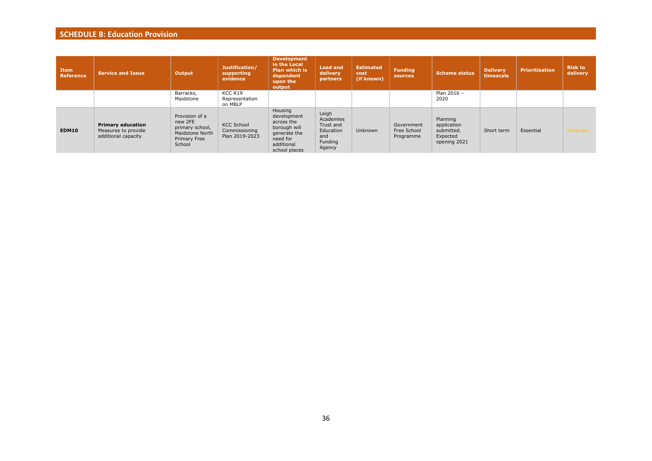## **SCHEDULE B: Education Provision**

| <b>Item</b><br>Reference | <b>Service and Issue</b>                                               | Output                                                                                    | Justification/<br>supporting<br>evidence             | <b>Development</b><br>in the Local<br><b>Plan which is</b><br>dependent<br>upon the<br>output                   | <b>Lead and</b><br>delivery<br>partners                                  | <b>Estimated</b><br>cost<br>(if known) | <b>Funding</b><br>sources              | <b>Scheme status</b>                                              | <b>Delivery</b><br>timescale | <b>Prioritisation</b> | <b>Risk to</b><br>delivery |
|--------------------------|------------------------------------------------------------------------|-------------------------------------------------------------------------------------------|------------------------------------------------------|-----------------------------------------------------------------------------------------------------------------|--------------------------------------------------------------------------|----------------------------------------|----------------------------------------|-------------------------------------------------------------------|------------------------------|-----------------------|----------------------------|
|                          |                                                                        | Barracks,<br>Maidstone                                                                    | KCC R19<br>Representation<br>on MBLP                 |                                                                                                                 |                                                                          |                                        |                                        | Plan 2016 -<br>2020                                               |                              |                       |                            |
| EDM10                    | <b>Primary education</b><br>Measures to provide<br>additional capacity | Provision of a<br>new 2FE<br>primary school,<br>Maidstone North<br>Primary Free<br>School | <b>KCC School</b><br>Commissioning<br>Plan 2019-2023 | Housing<br>development<br>across the<br>borough will<br>generate the<br>need for<br>additional<br>school places | Leigh<br>Academies<br>Trust and<br>Education<br>and<br>Funding<br>Agency | Unknown                                | Government<br>Free School<br>Programme | Planning<br>application<br>submitted.<br>Expected<br>opening 2021 | Short term                   | Essential             | Moderate                   |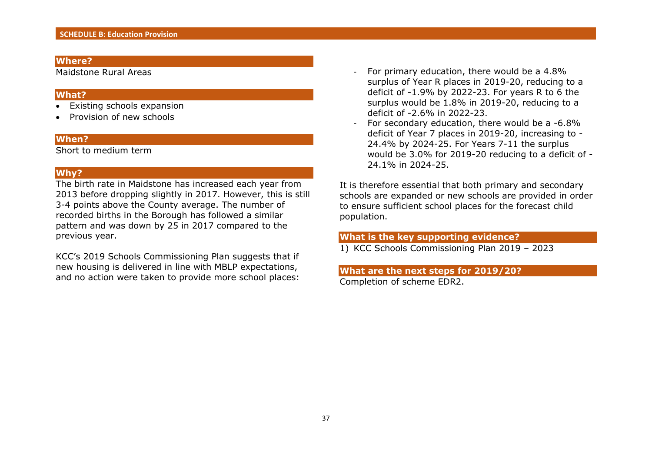Maidstone Rural Areas

#### **What?**

- Existing schools expansion
- Provision of new schools

#### **When?**

Short to medium term

#### **Why?**

The birth rate in Maidstone has increased each year from 2013 before dropping slightly in 2017. However, this is still 3-4 points above the County average. The number of recorded births in the Borough has followed a similar pattern and was down by 25 in 2017 compared to the previous year.

KCC's 2019 Schools Commissioning Plan suggests that if new housing is delivered in line with MBLP expectations, and no action were taken to provide more school places:

- For primary education, there would be a 4.8% surplus of Year R places in 2019-20, reducing to a deficit of -1.9% by 2022-23. For years R to 6 the surplus would be 1.8% in 2019-20, reducing to a deficit of -2.6% in 2022-23.
- For secondary education, there would be a -6.8% deficit of Year 7 places in 2019-20, increasing to - 24.4% by 2024-25. For Years 7-11 the surplus would be 3.0% for 2019-20 reducing to a deficit of - 24.1% in 2024-25.

It is therefore essential that both primary and secondary schools are expanded or new schools are provided in order to ensure sufficient school places for the forecast child population.

## **What is the key supporting evidence?**

1) KCC Schools Commissioning Plan 2019 – 2023

#### **What are the next steps for 2019/20?** Completion of scheme EDR2.

37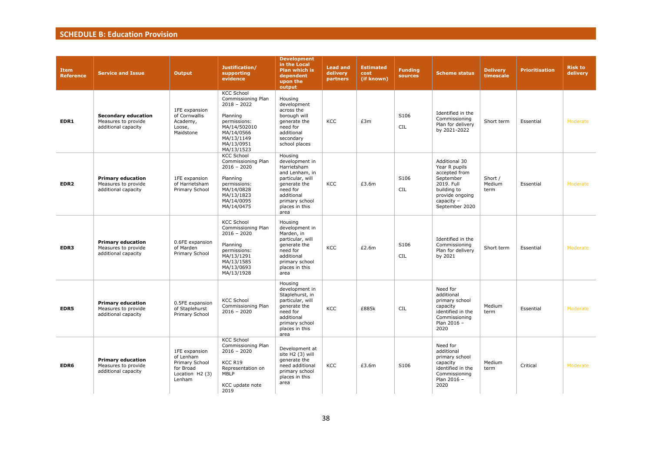## **SCHEDULE B: Education Provision**

| <b>Item</b><br><b>Reference</b> | <b>Service and Issue</b>                                                 | <b>Output</b>                                                                          | Justification/<br>supporting<br>evidence                                                                                                                     | <b>Development</b><br>in the Local<br><b>Plan which is</b><br>dependent<br>upon the<br>output                                                                        | <b>Lead and</b><br>delivery<br>partners | <b>Estimated</b><br>cost<br>(if known) | <b>Funding</b><br>sources | <b>Scheme status</b>                                                                                                                                | <b>Delivery</b><br>timescale | <b>Prioritisation</b> | <b>Risk to</b><br>delivery |
|---------------------------------|--------------------------------------------------------------------------|----------------------------------------------------------------------------------------|--------------------------------------------------------------------------------------------------------------------------------------------------------------|----------------------------------------------------------------------------------------------------------------------------------------------------------------------|-----------------------------------------|----------------------------------------|---------------------------|-----------------------------------------------------------------------------------------------------------------------------------------------------|------------------------------|-----------------------|----------------------------|
| EDR1                            | <b>Secondary education</b><br>Measures to provide<br>additional capacity | 1FE expansion<br>of Cornwallis<br>Academy,<br>Loose,<br>Maidstone                      | <b>KCC School</b><br>Commissioning Plan<br>$2018 - 2022$<br>Planning<br>permissions:<br>MA/14/502010<br>MA/14/0566<br>MA/13/1149<br>MA/13/0951<br>MA/13/1523 | Housing<br>development<br>across the<br>borough will<br>generate the<br>need for<br>additional<br>secondary<br>school places                                         | KCC                                     | £3m                                    | S106<br><b>CIL</b>        | Identified in the<br>Commissioning<br>Plan for delivery<br>by 2021-2022                                                                             | Short term                   | Essential             | Moderate                   |
| EDR <sub>2</sub>                | <b>Primary education</b><br>Measures to provide<br>additional capacity   | 1FE expansion<br>of Harrietsham<br>Primary School                                      | <b>KCC School</b><br>Commissioning Plan<br>$2016 - 2020$<br>Planning<br>permissions:<br>MA/14/0828<br>MA/13/1823<br>MA/14/0095<br>MA/14/0475                 | Housing<br>development in<br>Harrietsham<br>and Lenham, in<br>particular, will<br>generate the<br>need for<br>additional<br>primary school<br>places in this<br>area | KCC                                     | £3.6m                                  | S106<br><b>CIL</b>        | <b>Additional 30</b><br>Year R pupils<br>accepted from<br>September<br>2019. Full<br>building to<br>provide ongoing<br>capacity -<br>September 2020 | Short /<br>Medium<br>term    | Essential             | Moderate                   |
| EDR3                            | <b>Primary education</b><br>Measures to provide<br>additional capacity   | 0.6FE expansion<br>of Marden<br>Primary School                                         | <b>KCC School</b><br>Commissioning Plan<br>$2016 - 2020$<br>Planning<br>permissions:<br>MA/13/1291<br>MA/13/1585<br>MA/13/0693<br>MA/13/1928                 | Housing<br>development in<br>Marden, in<br>particular, will<br>generate the<br>need for<br>additional<br>primary school<br>places in this<br>area                    | <b>KCC</b>                              | £2.6m                                  | S106<br>CIL               | Identified in the<br>Commissioning<br>Plan for delivery<br>by 2021                                                                                  | Short term                   | Essential             | Moderate                   |
| EDR5                            | <b>Primary education</b><br>Measures to provide<br>additional capacity   | 0.5FE expansion<br>of Staplehurst<br>Primary School                                    | <b>KCC School</b><br>Commissioning Plan<br>$2016 - 2020$                                                                                                     | Housing<br>development in<br>Staplehurst, in<br>particular, will<br>generate the<br>need for<br>additional<br>primary school<br>places in this<br>area               | <b>KCC</b>                              | £885k                                  | <b>CIL</b>                | Need for<br>additional<br>primary school<br>capacity<br>identified in the<br>Commissioning<br>Plan 2016 -<br>2020                                   | Medium<br>term               | Essential             | Moderate                   |
| EDR6                            | <b>Primary education</b><br>Measures to provide<br>additional capacity   | 1FE expansion<br>of Lenham<br>Primary School<br>for Broad<br>Location H2 (3)<br>Lenham | <b>KCC School</b><br>Commissioning Plan<br>$2016 - 2020$<br>KCC R19<br>Representation on<br>MBLP<br>KCC update note<br>2019                                  | Development at<br>site H2 (3) will<br>generate the<br>need additional<br>primary school<br>places in this<br>area                                                    | <b>KCC</b>                              | £3.6m                                  | S106                      | Need for<br>additional<br>primary school<br>capacity<br>identified in the<br>Commissioning<br>Plan 2016 -<br>2020                                   | Medium<br>term               | Critical              | Moderate                   |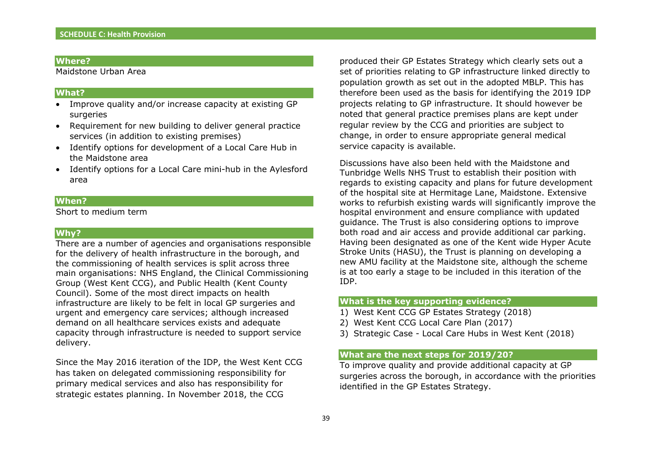Maidstone Urban Area

#### **What?**

- Improve quality and/or increase capacity at existing GP surgeries
- Requirement for new building to deliver general practice services (in addition to existing premises)
- Identify options for development of a Local Care Hub in the Maidstone area
- Identify options for a Local Care mini-hub in the Aylesford area

#### **When?**

Short to medium term

#### **Why?**

There are a number of agencies and organisations responsible for the delivery of health infrastructure in the borough, and the commissioning of health services is split across three main organisations: NHS England, the Clinical Commissioning Group (West Kent CCG), and Public Health (Kent County Council). Some of the most direct impacts on health infrastructure are likely to be felt in local GP surgeries and urgent and emergency care services; although increased demand on all healthcare services exists and adequate capacity through infrastructure is needed to support service delivery.

Since the May 2016 iteration of the IDP, the West Kent CCG has taken on delegated commissioning responsibility for primary medical services and also has responsibility for strategic estates planning. In November 2018, the CCG

produced their GP Estates Strategy which clearly sets out a set of priorities relating to GP infrastructure linked directly to population growth as set out in the adopted MBLP. This has therefore been used as the basis for identifying the 2019 IDP projects relating to GP infrastructure. It should however be noted that general practice premises plans are kept under regular review by the CCG and priorities are subject to change, in order to ensure appropriate general medical service capacity is available.

Discussions have also been held with the Maidstone and Tunbridge Wells NHS Trust to establish their position with regards to existing capacity and plans for future development of the hospital site at Hermitage Lane, Maidstone. Extensive works to refurbish existing wards will significantly improve the hospital environment and ensure compliance with updated guidance. The Trust is also considering options to improve both road and air access and provide additional car parking. Having been designated as one of the Kent wide Hyper Acute Stroke Units (HASU), the Trust is planning on developing a new AMU facility at the Maidstone site, although the scheme is at too early a stage to be included in this iteration of the IDP.

#### **What is the key supporting evidence?**

- 1) West Kent CCG GP Estates Strategy (2018)
- 2) West Kent CCG Local Care Plan (2017)
- 3) Strategic Case Local Care Hubs in West Kent (2018)

#### **What are the next steps for 2019/20?**

To improve quality and provide additional capacity at GP surgeries across the borough, in accordance with the priorities identified in the GP Estates Strategy.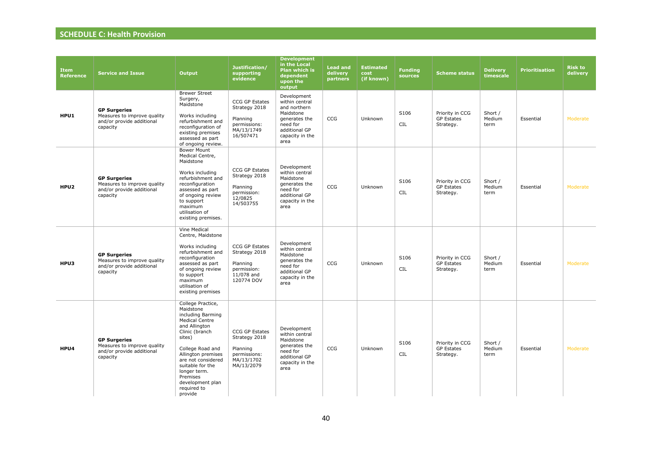| <b>Item</b><br><b>Reference</b> | <b>Service and Issue</b>                                                                    | Output                                                                                                                                                                                                                                                                                  | Justification/<br>supporting<br>evidence                                                | <b>Development</b><br>in the Local<br>Plan which is<br>dependent<br>upon the<br>output                                              | <b>Lead and</b><br>delivery<br>partners | <b>Estimated</b><br>cost<br>(if known) | <b>Funding</b><br>sources | <b>Scheme status</b>                              | <b>Delivery</b><br>timescale | <b>Prioritisation</b> | <b>Risk to</b><br>delivery |
|---------------------------------|---------------------------------------------------------------------------------------------|-----------------------------------------------------------------------------------------------------------------------------------------------------------------------------------------------------------------------------------------------------------------------------------------|-----------------------------------------------------------------------------------------|-------------------------------------------------------------------------------------------------------------------------------------|-----------------------------------------|----------------------------------------|---------------------------|---------------------------------------------------|------------------------------|-----------------------|----------------------------|
| HPU1                            | <b>GP Surgeries</b><br>Measures to improve quality<br>and/or provide additional<br>capacity | <b>Brewer Street</b><br>Surgery,<br>Maidstone<br>Works including<br>refurbishment and<br>reconfiguration of<br>existing premises<br>assessed as part<br>of ongoing review.                                                                                                              | CCG GP Estates<br>Strategy 2018<br>Planning<br>permissions:<br>MA/13/1749<br>16/507471  | Development<br>within central<br>and northern<br>Maidstone<br>generates the<br>need for<br>additional GP<br>capacity in the<br>area | CCG                                     | Unknown                                | S106<br>CIL               | Priority in CCG<br><b>GP Estates</b><br>Strategy. | Short /<br>Medium<br>term    | Essential             | Moderate                   |
| HPU <sub>2</sub>                | <b>GP Surgeries</b><br>Measures to improve quality<br>and/or provide additional<br>capacity | <b>Bower Mount</b><br>Medical Centre,<br>Maidstone<br>Works including<br>refurbishment and<br>reconfiguration<br>assessed as part<br>of ongoing review<br>to support<br>maximum<br>utilisation of<br>existing premises.                                                                 | CCG GP Estates<br>Strategy 2018<br>Planning<br>permission:<br>12/0825<br>14/503755      | Development<br>within central<br>Maidstone<br>generates the<br>need for<br>additional GP<br>capacity in the<br>area                 | CCG                                     | Unknown                                | S106<br>CIL               | Priority in CCG<br><b>GP Estates</b><br>Strategy. | Short /<br>Medium<br>term    | Essential             | Moderate                   |
| HPU3                            | <b>GP Surgeries</b><br>Measures to improve quality<br>and/or provide additional<br>capacity | Vine Medical<br>Centre, Maidstone<br>Works including<br>refurbishment and<br>reconfiguration<br>assessed as part<br>of ongoing review<br>to support<br>maximum<br>utilisation of<br>existing premises                                                                                   | CCG GP Estates<br>Strategy 2018<br>Planning<br>permission:<br>11/078 and<br>120774 DOV  | Development<br>within central<br>Maidstone<br>generates the<br>need for<br>additional GP<br>capacity in the<br>area                 | <b>CCG</b>                              | Unknown                                | S106<br>CIL               | Priority in CCG<br><b>GP Estates</b><br>Strategy. | Short /<br>Medium<br>term    | Essential             | Moderate                   |
| HPU4                            | <b>GP Surgeries</b><br>Measures to improve quality<br>and/or provide additional<br>capacity | College Practice,<br>Maidstone<br>including Barming<br><b>Medical Centre</b><br>and Allington<br>Clinic (branch<br>sites)<br>College Road and<br>Allington premises<br>are not considered<br>suitable for the<br>longer term.<br>Premises<br>development plan<br>required to<br>provide | CCG GP Estates<br>Strategy 2018<br>Planning<br>permissions:<br>MA/13/1702<br>MA/13/2079 | Development<br>within central<br>Maidstone<br>generates the<br>need for<br>additional GP<br>capacity in the<br>area                 | CCG                                     | Unknown                                | S106<br><b>CIL</b>        | Priority in CCG<br><b>GP Estates</b><br>Strategy. | Short /<br>Medium<br>term    | Essential             | Moderate                   |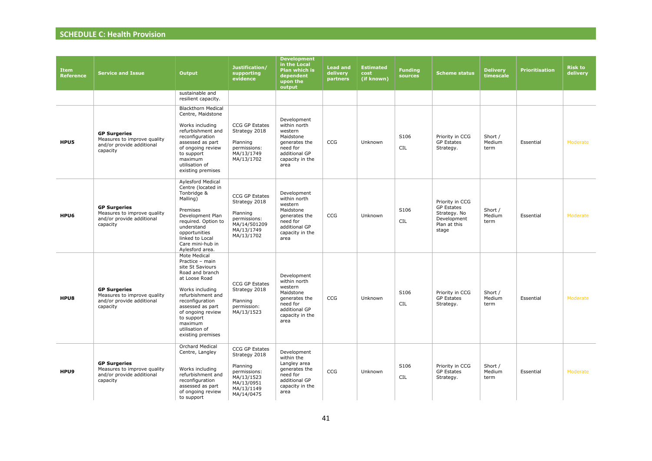| <b>Item</b><br>Reference | <b>Service and Issue</b>                                                                    | Output                                                                                                                                                                                                                                                      | Justification/<br>supporting<br>evidence                                                                            | <b>Development</b><br>in the Local<br><b>Plan which is</b><br>dependent<br>upon the<br>output                                | <b>Lead and</b><br>delivery<br>partners | <b>Estimated</b><br>cost<br>(if known) | <b>Funding</b><br>sources | <b>Scheme status</b>                                                                         | <b>Delivery</b><br>timescale | <b>Prioritisation</b> | <b>Risk to</b><br>delivery |
|--------------------------|---------------------------------------------------------------------------------------------|-------------------------------------------------------------------------------------------------------------------------------------------------------------------------------------------------------------------------------------------------------------|---------------------------------------------------------------------------------------------------------------------|------------------------------------------------------------------------------------------------------------------------------|-----------------------------------------|----------------------------------------|---------------------------|----------------------------------------------------------------------------------------------|------------------------------|-----------------------|----------------------------|
|                          |                                                                                             | sustainable and<br>resilient capacity.                                                                                                                                                                                                                      |                                                                                                                     |                                                                                                                              |                                         |                                        |                           |                                                                                              |                              |                       |                            |
| HPU5                     | <b>GP Surgeries</b><br>Measures to improve quality<br>and/or provide additional<br>capacity | <b>Blackthorn Medical</b><br>Centre, Maidstone<br>Works including<br>refurbishment and<br>reconfiguration<br>assessed as part<br>of ongoing review<br>to support<br>maximum<br>utilisation of<br>existing premises                                          | CCG GP Estates<br>Strategy 2018<br>Planning<br>permissions:<br>MA/13/1749<br>MA/13/1702                             | Development<br>within north<br>western<br>Maidstone<br>generates the<br>need for<br>additional GP<br>capacity in the<br>area | CCG                                     | Unknown                                | S106<br>CIL               | Priority in CCG<br><b>GP Estates</b><br>Strategy.                                            | Short /<br>Medium<br>term    | Essential             | Moderate                   |
| HPU6                     | <b>GP Surgeries</b><br>Measures to improve quality<br>and/or provide additional<br>capacity | Aylesford Medical<br>Centre (located in<br>Tonbridge &<br>Malling)<br>Premises<br>Development Plan<br>required. Option to<br>understand<br>opportunities<br>linked to Local<br>Care mini-hub in<br>Aylesford area.                                          | CCG GP Estates<br>Strategy 2018<br>Planning<br>permissions:<br>MA/14/501209<br>MA/13/1749<br>MA/13/1702             | Development<br>within north<br>western<br>Maidstone<br>generates the<br>need for<br>additional GP<br>capacity in the<br>area | CCG                                     | Unknown                                | S106<br>CIL               | Priority in CCG<br><b>GP Estates</b><br>Strategy. No<br>Development<br>Plan at this<br>stage | Short /<br>Medium<br>term    | Essential             | Moderate                   |
| HPU8                     | <b>GP Surgeries</b><br>Measures to improve quality<br>and/or provide additional<br>capacity | Mote Medical<br>Practice - main<br>site St Saviours<br>Road and branch<br>at Loose Road<br>Works including<br>refurbishment and<br>reconfiguration<br>assessed as part<br>of ongoing review<br>to support<br>maximum<br>utilisation of<br>existing premises | CCG GP Estates<br>Strategy 2018<br>Planning<br>permission:<br>MA/13/1523                                            | Development<br>within north<br>western<br>Maidstone<br>generates the<br>need for<br>additional GP<br>capacity in the<br>area | CCG                                     | Unknown                                | S106<br>CIL               | Priority in CCG<br><b>GP Estates</b><br>Strategy.                                            | Short /<br>Medium<br>term    | Essential             | Moderate                   |
| HPU9                     | <b>GP Surgeries</b><br>Measures to improve quality<br>and/or provide additional<br>capacity | Orchard Medical<br>Centre, Langley<br>Works including<br>refurbishment and<br>reconfiguration<br>assessed as part<br>of ongoing review<br>to support                                                                                                        | CCG GP Estates<br>Strategy 2018<br>Planning<br>permissions:<br>MA/13/1523<br>MA/13/0951<br>MA/13/1149<br>MA/14/0475 | Development<br>within the<br>Langley area<br>generates the<br>need for<br>additional GP<br>capacity in the<br>area           | CCG                                     | Unknown                                | S106<br>CIL               | Priority in CCG<br><b>GP Estates</b><br>Strategy.                                            | Short /<br>Medium<br>term    | Essential             | Moderate                   |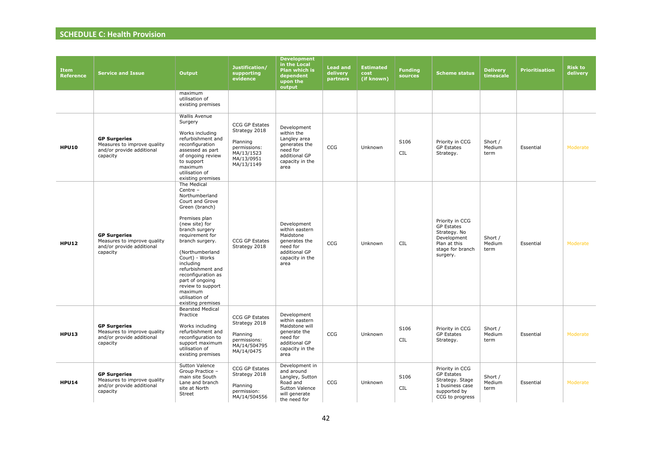| <b>Item</b><br><b>Reference</b> | <b>Service and Issue</b>                                                                    | <b>Output</b>                                                                                                                                                                                                                                                                                                                                                    | Justification/<br>supporting<br>evidence                                                                     | <b>Development</b><br>in the Local<br><b>Plan which is</b><br>dependent<br>upon the<br>output                           | <b>Lead and</b><br>delivery<br>partners | <b>Estimated</b><br>cost<br>(if known) | <b>Funding</b><br>sources | <b>Scheme status</b>                                                                                                | <b>Delivery</b><br>timescale | <b>Prioritisation</b> | <b>Risk to</b><br>delivery |
|---------------------------------|---------------------------------------------------------------------------------------------|------------------------------------------------------------------------------------------------------------------------------------------------------------------------------------------------------------------------------------------------------------------------------------------------------------------------------------------------------------------|--------------------------------------------------------------------------------------------------------------|-------------------------------------------------------------------------------------------------------------------------|-----------------------------------------|----------------------------------------|---------------------------|---------------------------------------------------------------------------------------------------------------------|------------------------------|-----------------------|----------------------------|
|                                 |                                                                                             | maximum<br>utilisation of<br>existing premises                                                                                                                                                                                                                                                                                                                   |                                                                                                              |                                                                                                                         |                                         |                                        |                           |                                                                                                                     |                              |                       |                            |
| <b>HPU10</b>                    | <b>GP Surgeries</b><br>Measures to improve quality<br>and/or provide additional<br>capacity | Wallis Avenue<br>Surgery<br>Works including<br>refurbishment and<br>reconfiguration<br>assessed as part<br>of ongoing review<br>to support<br>maximum<br>utilisation of<br>existing premises                                                                                                                                                                     | <b>CCG GP Estates</b><br>Strategy 2018<br>Planning<br>permissions:<br>MA/13/1523<br>MA/13/0951<br>MA/13/1149 | Development<br>within the<br>Langley area<br>generates the<br>need for<br>additional GP<br>capacity in the<br>area      | <b>CCG</b>                              | Unknown                                | S106<br>CIL               | Priority in CCG<br><b>GP Estates</b><br>Strategy.                                                                   | Short /<br>Medium<br>term    | Essential             | Moderate                   |
| <b>HPU12</b>                    | <b>GP Surgeries</b><br>Measures to improve quality<br>and/or provide additional<br>capacity | The Medical<br>Centre -<br>Northumberland<br>Court and Grove<br>Green (branch)<br>Premises plan<br>(new site) for<br>branch surgery<br>requirement for<br>branch surgery.<br>(Northumberland<br>Court) - Works<br>including<br>refurbishment and<br>reconfiguration as<br>part of ongoing<br>review to support<br>maximum<br>utilisation of<br>existing premises | <b>CCG GP Estates</b><br>Strategy 2018                                                                       | Development<br>within eastern<br>Maidstone<br>generates the<br>need for<br>additional GP<br>capacity in the<br>area     | <b>CCG</b>                              | Unknown                                | <b>CIL</b>                | Priority in CCG<br><b>GP Estates</b><br>Strategy. No<br>Development<br>Plan at this<br>stage for branch<br>surgery. | Short /<br>Medium<br>term    | Essential             | Moderate                   |
| <b>HPU13</b>                    | <b>GP Surgeries</b><br>Measures to improve quality<br>and/or provide additional<br>capacity | <b>Bearsted Medical</b><br>Practice<br>Works including<br>refurbishment and<br>reconfiguration to<br>support maximum<br>utilisation of<br>existing premises                                                                                                                                                                                                      | CCG GP Estates<br>Strategy 2018<br>Planning<br>permissions:<br>MA/14/504795<br>MA/14/0475                    | Development<br>within eastern<br>Maidstone will<br>generate the<br>need for<br>additional GP<br>capacity in the<br>area | CCG                                     | Unknown                                | S106<br>CIL               | Priority in CCG<br><b>GP Estates</b><br>Strategy.                                                                   | Short /<br>Medium<br>term    | Essential             | Moderate                   |
| <b>HPU14</b>                    | <b>GP Surgeries</b><br>Measures to improve quality<br>and/or provide additional<br>capacity | Sutton Valence<br>Group Practice -<br>main site South<br>Lane and branch<br>site at North<br>Street                                                                                                                                                                                                                                                              | CCG GP Estates<br>Strategy 2018<br>Planning<br>permission:<br>MA/14/504556                                   | Development in<br>and around<br>Langley, Sutton<br>Road and<br>Sutton Valence<br>will generate<br>the need for          | CCG                                     | Unknown                                | S106<br><b>CIL</b>        | Priority in CCG<br><b>GP Estates</b><br>Strategy. Stage<br>1 business case<br>supported by<br>CCG to progress       | Short /<br>Medium<br>term    | Essential             | Moderate                   |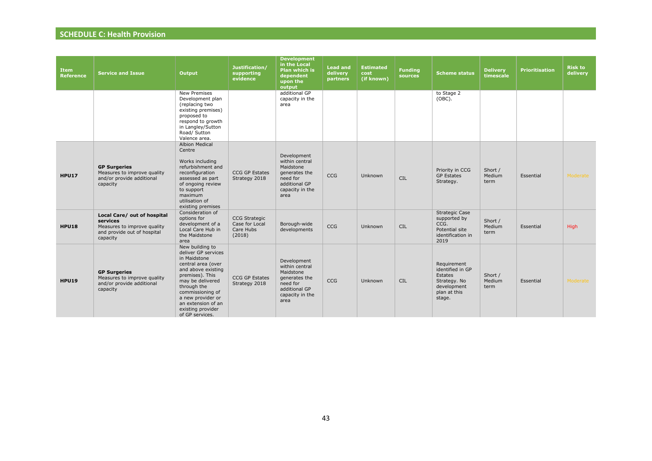| <b>Item</b><br><b>Reference</b> | <b>Service and Issue</b>                                                                                          | <b>Output</b>                                                                                                                                                                                                                                                   | Justification/<br>supporting<br>evidence                      | <b>Development</b><br>in the Local<br><b>Plan which is</b><br>dependent<br>upon the<br>output                       | <b>Lead and</b><br>delivery<br>partners | <b>Estimated</b><br>cost<br>(if known) | <b>Funding</b><br><b>sources</b> | <b>Scheme status</b>                                                                                | <b>Delivery</b><br>timescale | <b>Prioritisation</b> | <b>Risk to</b><br>delivery |
|---------------------------------|-------------------------------------------------------------------------------------------------------------------|-----------------------------------------------------------------------------------------------------------------------------------------------------------------------------------------------------------------------------------------------------------------|---------------------------------------------------------------|---------------------------------------------------------------------------------------------------------------------|-----------------------------------------|----------------------------------------|----------------------------------|-----------------------------------------------------------------------------------------------------|------------------------------|-----------------------|----------------------------|
|                                 |                                                                                                                   | New Premises<br>Development plan<br>(replacing two<br>existing premises)<br>proposed to<br>respond to growth<br>in Langley/Sutton<br>Road/ Sutton<br>Valence area.                                                                                              |                                                               | additional GP<br>capacity in the<br>area                                                                            |                                         |                                        |                                  | to Stage 2<br>$(OBC)$ .                                                                             |                              |                       |                            |
| <b>HPU17</b>                    | <b>GP Surgeries</b><br>Measures to improve quality<br>and/or provide additional<br>capacity                       | <b>Albion Medical</b><br>Centre<br>Works including<br>refurbishment and<br>reconfiguration<br>assessed as part<br>of ongoing review<br>to support<br>maximum<br>utilisation of<br>existing premises                                                             | CCG GP Estates<br>Strategy 2018                               | Development<br>within central<br>Maidstone<br>generates the<br>need for<br>additional GP<br>capacity in the<br>area | CCG                                     | Unknown                                | <b>CIL</b>                       | Priority in CCG<br><b>GP Estates</b><br>Strategy.                                                   | Short /<br>Medium<br>term    | Essential             | Moderate                   |
| <b>HPU18</b>                    | Local Care/ out of hospital<br>services<br>Measures to improve quality<br>and provide out of hospital<br>capacity | Consideration of<br>options for<br>development of a<br>Local Care Hub in<br>the Maidstone<br>area                                                                                                                                                               | <b>CCG Strategic</b><br>Case for Local<br>Care Hubs<br>(2018) | Borough-wide<br>developments                                                                                        | CCG                                     | Unknown                                | <b>CIL</b>                       | <b>Strategic Case</b><br>supported by<br>CCG.<br>Potential site<br>identification in<br>2019        | Short /<br>Medium<br>term    | Essential             | <b>High</b>                |
| <b>HPU19</b>                    | <b>GP Surgeries</b><br>Measures to improve quality<br>and/or provide additional<br>capacity                       | New building to<br>deliver GP services<br>in Maidstone<br>central area (over<br>and above existing<br>premises). This<br>may be delivered<br>through the<br>commissioning of<br>a new provider or<br>an extension of an<br>existing provider<br>of GP services. | <b>CCG GP Estates</b><br>Strategy 2018                        | Development<br>within central<br>Maidstone<br>generates the<br>need for<br>additional GP<br>capacity in the<br>area | CCG                                     | Unknown                                | <b>CIL</b>                       | Requirement<br>identified in GP<br>Estates<br>Strategy. No<br>development<br>plan at this<br>stage. | Short /<br>Medium<br>term    | Essential             | Moderate                   |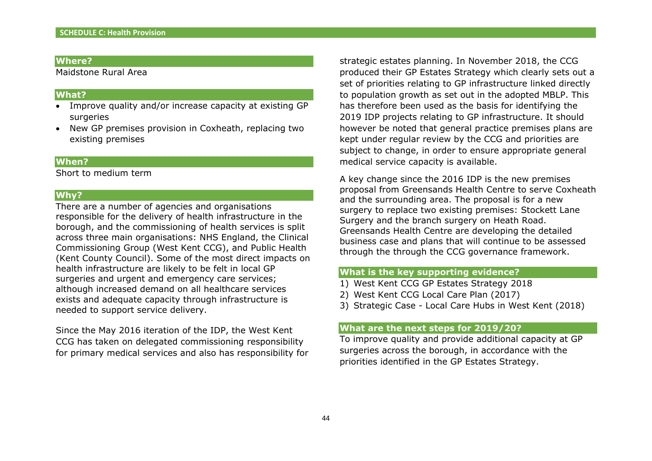Maidstone Rural Area

#### **What?**

- Improve quality and/or increase capacity at existing GP surgeries
- New GP premises provision in Coxheath, replacing two existing premises

#### **When?**

Short to medium term

#### **Why?**

There are a number of agencies and organisations responsible for the delivery of health infrastructure in the borough, and the commissioning of health services is split across three main organisations: NHS England, the Clinical Commissioning Group (West Kent CCG), and Public Health (Kent County Council). Some of the most direct impacts on health infrastructure are likely to be felt in local GP surgeries and urgent and emergency care services: although increased demand on all healthcare services exists and adequate capacity through infrastructure is needed to support service delivery.

Since the May 2016 iteration of the IDP, the West Kent CCG has taken on delegated commissioning responsibility for primary medical services and also has responsibility for strategic estates planning. In November 2018, the CCG produced their GP Estates Strategy which clearly sets out a set of priorities relating to GP infrastructure linked directly to population growth as set out in the adopted MBLP. This has therefore been used as the basis for identifying the 2019 IDP projects relating to GP infrastructure. It should however be noted that general practice premises plans are kept under regular review by the CCG and priorities are subject to change, in order to ensure appropriate general medical service capacity is available.

A key change since the 2016 IDP is the new premises proposal from Greensands Health Centre to serve Coxheath and the surrounding area. The proposal is for a new surgery to replace two existing premises: Stockett Lane Surgery and the branch surgery on Heath Road. Greensands Health Centre are developing the detailed business case and plans that will continue to be assessed through the through the CCG governance framework.

## **What is the key supporting evidence?**

- 1) West Kent CCG GP Estates Strategy 2018
- 2) West Kent CCG Local Care Plan (2017)
- 3) Strategic Case Local Care Hubs in West Kent (2018)

#### **What are the next steps for 2019/20?**

To improve quality and provide additional capacity at GP surgeries across the borough, in accordance with the priorities identified in the GP Estates Strategy.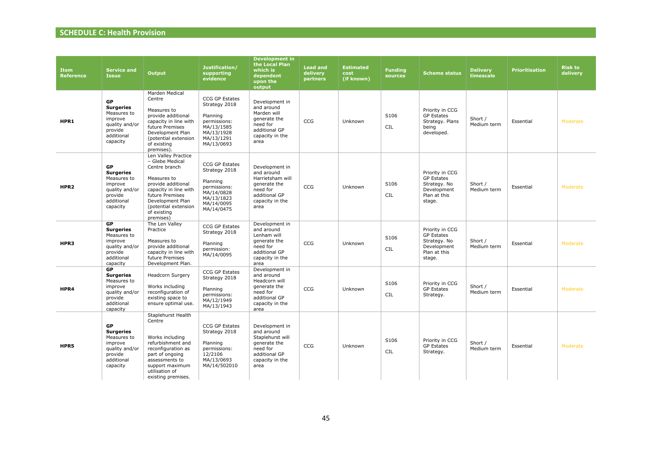| <b>Item</b><br><b>Reference</b> | <b>Service and</b><br><b>Issue</b>                                                                             | <b>Output</b>                                                                                                                                                                                                    | Justification/<br>supporting<br>evidence                                                                            | <b>Development in</b><br>the Local Plan<br>which is<br>dependent<br>upon the<br>output                                   | <b>Lead and</b><br>delivery<br>partners | <b>Estimated</b><br>cost<br>(if known) | <b>Funding</b><br>sources | <b>Scheme status</b>                                                                          | <b>Delivery</b><br>timescale | <b>Prioritisation</b> | <b>Risk to</b><br>delivery |
|---------------------------------|----------------------------------------------------------------------------------------------------------------|------------------------------------------------------------------------------------------------------------------------------------------------------------------------------------------------------------------|---------------------------------------------------------------------------------------------------------------------|--------------------------------------------------------------------------------------------------------------------------|-----------------------------------------|----------------------------------------|---------------------------|-----------------------------------------------------------------------------------------------|------------------------------|-----------------------|----------------------------|
| HPR1                            | <b>GP</b><br><b>Surgeries</b><br>Measures to<br>improve<br>quality and/or<br>provide<br>additional<br>capacity | Marden Medical<br>Centre<br>Measures to<br>provide additional<br>capacity in line with<br>future Premises<br>Development Plan<br>(potential extension<br>of existing<br>premises).                               | CCG GP Estates<br>Strategy 2018<br>Planning<br>permissions:<br>MA/13/1585<br>MA/13/1928<br>MA/13/1291<br>MA/13/0693 | Development in<br>and around<br>Marden will<br>generate the<br>need for<br>additional GP<br>capacity in the<br>area      | CCG                                     | Unknown                                | S106<br><b>CIL</b>        | Priority in CCG<br><b>GP Estates</b><br>Strategy. Plans<br>being<br>developed.                | Short /<br>Medium term       | Essential             | Moderate                   |
| HPR <sub>2</sub>                | <b>GP</b><br><b>Surgeries</b><br>Measures to<br>improve<br>quality and/or<br>provide<br>additional<br>capacity | Len Valley Practice<br>- Glebe Medical<br>Centre branch<br>Measures to<br>provide additional<br>capacity in line with<br>future Premises<br>Development Plan<br>(potential extension<br>of existing<br>premises) | CCG GP Estates<br>Strategy 2018<br>Planning<br>permissions:<br>MA/14/0828<br>MA/13/1823<br>MA/14/0095<br>MA/14/0475 | Development in<br>and around<br>Harrietsham will<br>generate the<br>need for<br>additional GP<br>capacity in the<br>area | <b>CCG</b>                              | Unknown                                | S106<br><b>CIL</b>        | Priority in CCG<br><b>GP Estates</b><br>Strategy. No<br>Development<br>Plan at this<br>stage. | Short /<br>Medium term       | Essential             | Moderate                   |
| HPR3                            | <b>GP</b><br><b>Surgeries</b><br>Measures to<br>improve<br>quality and/or<br>provide<br>additional<br>capacity | The Len Valley<br>Practice<br>Measures to<br>provide additional<br>capacity in line with<br>future Premises<br>Development Plan.                                                                                 | CCG GP Estates<br>Strategy 2018<br>Planning<br>permission:<br>MA/14/0095                                            | Development in<br>and around<br>Lenham will<br>generate the<br>need for<br>additional GP<br>capacity in the<br>area      | <b>CCG</b>                              | Unknown                                | S106<br><b>CIL</b>        | Priority in CCG<br><b>GP Estates</b><br>Strategy. No<br>Development<br>Plan at this<br>stage. | Short /<br>Medium term       | Essential             | Moderate                   |
| HPR4                            | GP<br><b>Surgeries</b><br>Measures to<br>improve<br>quality and/or<br>provide<br>additional<br>capacity        | <b>Headcorn Surgery</b><br>Works including<br>reconfiguration of<br>existing space to<br>ensure optimal use.                                                                                                     | CCG GP Estates<br>Strategy 2018<br>Planning<br>permissions:<br>MA/12/1949<br>MA/13/1943                             | Development in<br>and around<br>Headcorn will<br>generate the<br>need for<br>additional GP<br>capacity in the<br>area    | CCG                                     | Unknown                                | S106<br><b>CIL</b>        | Priority in CCG<br><b>GP Estates</b><br>Strategy.                                             | Short /<br>Medium term       | Essential             | Moderate                   |
| HPR5                            | <b>GP</b><br><b>Surgeries</b><br>Measures to<br>improve<br>quality and/or<br>provide<br>additional<br>capacity | Staplehurst Health<br>Centre<br>Works including<br>refurbishment and<br>reconfiguration as<br>part of ongoing<br>assessments to<br>support maximum<br>utilisation of<br>existing premises.                       | CCG GP Estates<br>Strategy 2018<br>Planning<br>permissions:<br>12/2106<br>MA/13/0693<br>MA/14/502010                | Development in<br>and around<br>Staplehurst will<br>generate the<br>need for<br>additional GP<br>capacity in the<br>area | CCG                                     | Unknown                                | S106<br><b>CIL</b>        | Priority in CCG<br><b>GP Estates</b><br>Strategy.                                             | Short /<br>Medium term       | Essential             | Moderate                   |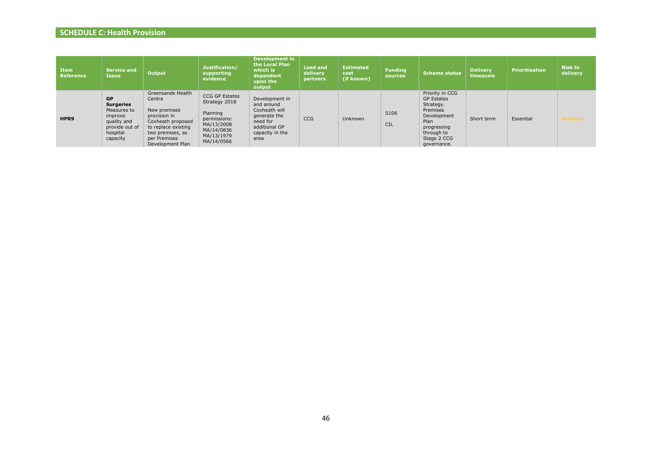| <b>Item</b><br>Reference | <b>Service and</b><br><b>Issue</b>                                                                               | <b>Output</b>                                                                                                                                                   | Justification/<br>supporting<br>evidence                                                                                   | <b>Development in</b><br>the Local Plan<br>which is<br>dependent<br>upon the<br>output                                | <b>Lead and</b><br>delivery<br><b>partners</b> | <b>Estimated</b><br>cost<br>(if known) | <b>Funding</b><br>sources | <b>Scheme status</b>                                                                                                                            | <b>Delivery</b><br>timescale | <b>Prioritisation</b> | <b>Risk to</b><br>delivery |
|--------------------------|------------------------------------------------------------------------------------------------------------------|-----------------------------------------------------------------------------------------------------------------------------------------------------------------|----------------------------------------------------------------------------------------------------------------------------|-----------------------------------------------------------------------------------------------------------------------|------------------------------------------------|----------------------------------------|---------------------------|-------------------------------------------------------------------------------------------------------------------------------------------------|------------------------------|-----------------------|----------------------------|
| HPR9                     | <b>GP</b><br><b>Surgeries</b><br>Measures to<br>improve<br>quality and<br>provide out of<br>hospital<br>capacity | Greensands Health<br>Centre<br>New premises<br>provision in<br>Coxheath proposed<br>to replace existing<br>two premises, as<br>per Premises<br>Development Plan | <b>CCG GP Estates</b><br>Strategy 2018<br>Planning<br>permissions:<br>MA/13/2008<br>MA/14/0836<br>MA/13/1979<br>MA/14/0566 | Development in<br>and around<br>Coxheath will<br>generate the<br>need for<br>additional GP<br>capacity in the<br>area | <b>CCG</b>                                     | Unknown                                | S106<br><b>CIL</b>        | Priority in CCG<br><b>GP Estates</b><br>Strategy.<br>Premises<br>Development<br>Plan<br>progressing<br>through to<br>Stage 2 CCG<br>governance. | Short term                   | Essential             | Moderate                   |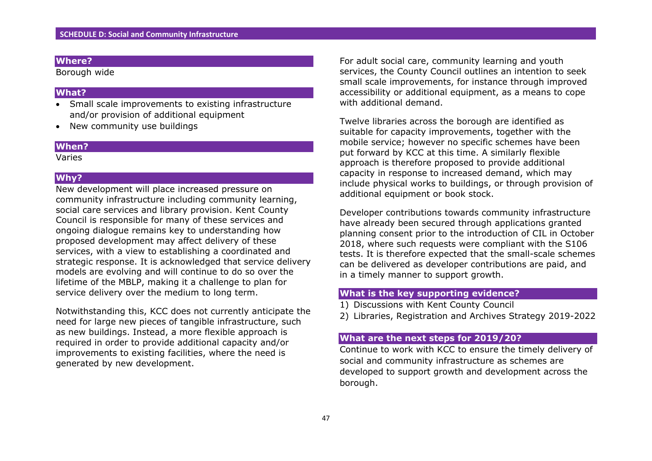Borough wide

#### **What?**

- Small scale improvements to existing infrastructure and/or provision of additional equipment
- New community use buildings

#### **When?**

Varies

## **Why?**

New development will place increased pressure on community infrastructure including community learning, social care services and library provision. Kent County Council is responsible for many of these services and ongoing dialogue remains key to understanding how proposed development may affect delivery of these services, with a view to establishing a coordinated and strategic response. It is acknowledged that service delivery models are evolving and will continue to do so over the lifetime of the MBLP, making it a challenge to plan for service delivery over the medium to long term.

Notwithstanding this, KCC does not currently anticipate the need for large new pieces of tangible infrastructure, such as new buildings. Instead, a more flexible approach is required in order to provide additional capacity and/or improvements to existing facilities, where the need is generated by new development.

For adult social care, community learning and youth services, the County Council outlines an intention to seek small scale improvements, for instance through improved accessibility or additional equipment, as a means to cope with additional demand.

Twelve libraries across the borough are identified as suitable for capacity improvements, together with the mobile service; however no specific schemes have been put forward by KCC at this time. A similarly flexible approach is therefore proposed to provide additional capacity in response to increased demand, which may include physical works to buildings, or through provision of additional equipment or book stock.

Developer contributions towards community infrastructure have already been secured through applications granted planning consent prior to the introduction of CIL in October 2018, where such requests were compliant with the S106 tests. It is therefore expected that the small-scale schemes can be delivered as developer contributions are paid, and in a timely manner to support growth.

## **What is the key supporting evidence?**

1) Discussions with Kent County Council

2) Libraries, Registration and Archives Strategy 2019-2022

#### **What are the next steps for 2019/20?**

Continue to work with KCC to ensure the timely delivery of social and community infrastructure as schemes are developed to support growth and development across the borough.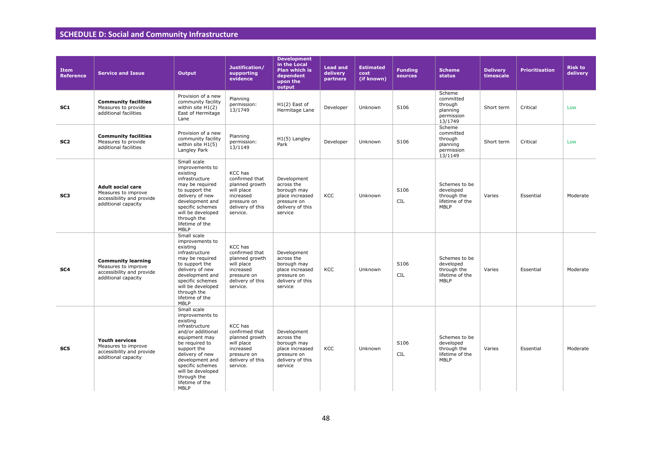## **SCHEDULE D: Social and Community Infrastructure**

| <b>Item</b><br><b>Reference</b> | <b>Service and Issue</b>                                                                             | Output                                                                                                                                                                                                                                                       | Justification/<br>supporting<br>evidence                                                                              | <b>Development</b><br>in the Local<br><b>Plan which is</b><br>dependent<br>upon the<br>output             | <b>Lead and</b><br>delivery<br>partners | <b>Estimated</b><br>cost<br>(if known) | <b>Funding</b><br>sources | <b>Scheme</b><br>status                                                     | <b>Delivery</b><br>timescale | <b>Prioritisation</b> | <b>Risk to</b><br>delivery |
|---------------------------------|------------------------------------------------------------------------------------------------------|--------------------------------------------------------------------------------------------------------------------------------------------------------------------------------------------------------------------------------------------------------------|-----------------------------------------------------------------------------------------------------------------------|-----------------------------------------------------------------------------------------------------------|-----------------------------------------|----------------------------------------|---------------------------|-----------------------------------------------------------------------------|------------------------------|-----------------------|----------------------------|
| SC1                             | <b>Community facilities</b><br>Measures to provide<br>additional facilities                          | Provision of a new<br>community facility<br>within site $H1(2)$<br>East of Hermitage<br>Lane                                                                                                                                                                 | Planning<br>permission:<br>13/1749                                                                                    | $H1(2)$ East of<br>Hermitage Lane                                                                         | Developer                               | Unknown                                | S106                      | Scheme<br>committed<br>through<br>planning<br>permission<br>13/1749         | Short term                   | Critical              | Low                        |
| SC <sub>2</sub>                 | <b>Community facilities</b><br>Measures to provide<br>additional facilities                          | Provision of a new<br>community facility<br>within site $H1(5)$<br>Langley Park                                                                                                                                                                              | Planning<br>permission:<br>13/1149                                                                                    | H1(5) Langley<br>Park                                                                                     | Developer                               | Unknown                                | S106                      | Scheme<br>committed<br>through<br>planning<br>permission<br>13/1149         | Short term                   | Critical              | Low                        |
| SC3                             | <b>Adult social care</b><br>Measures to improve<br>accessibility and provide<br>additional capacity  | Small scale<br>improvements to<br>existing<br>infrastructure<br>may be required<br>to support the<br>delivery of new<br>development and<br>specific schemes<br>will be developed<br>through the<br>lifetime of the<br><b>MBLP</b>                            | KCC has<br>confirmed that<br>planned growth<br>will place<br>increased<br>pressure on<br>delivery of this<br>service. | Development<br>across the<br>borough may<br>place increased<br>pressure on<br>delivery of this<br>service | KCC                                     | Unknown                                | S106<br><b>CIL</b>        | Schemes to be<br>developed<br>through the<br>lifetime of the<br><b>MBLP</b> | Varies                       | Essential             | Moderate                   |
| SC <sub>4</sub>                 | <b>Community learning</b><br>Measures to improve<br>accessibility and provide<br>additional capacity | Small scale<br>improvements to<br>existing<br>infrastructure<br>may be required<br>to support the<br>delivery of new<br>development and<br>specific schemes<br>will be developed<br>through the<br>lifetime of the<br><b>MBLP</b>                            | KCC has<br>confirmed that<br>planned growth<br>will place<br>increased<br>pressure on<br>delivery of this<br>service. | Development<br>across the<br>borough may<br>place increased<br>pressure on<br>delivery of this<br>service | <b>KCC</b>                              | Unknown                                | S106<br><b>CIL</b>        | Schemes to be<br>developed<br>through the<br>lifetime of the<br>MBLP        | Varies                       | Essential             | Moderate                   |
| SC5                             | <b>Youth services</b><br>Measures to improve<br>accessibility and provide<br>additional capacity     | Small scale<br>improvements to<br>existing<br>infrastructure<br>and/or additional<br>equipment may<br>be required to<br>support the<br>delivery of new<br>development and<br>specific schemes<br>will be developed<br>through the<br>lifetime of the<br>MBLP | KCC has<br>confirmed that<br>planned growth<br>will place<br>increased<br>pressure on<br>delivery of this<br>service. | Development<br>across the<br>borough may<br>place increased<br>pressure on<br>delivery of this<br>service | KCC                                     | Unknown                                | S106<br><b>CIL</b>        | Schemes to be<br>developed<br>through the<br>lifetime of the<br>MBLP        | Varies                       | Essential             | Moderate                   |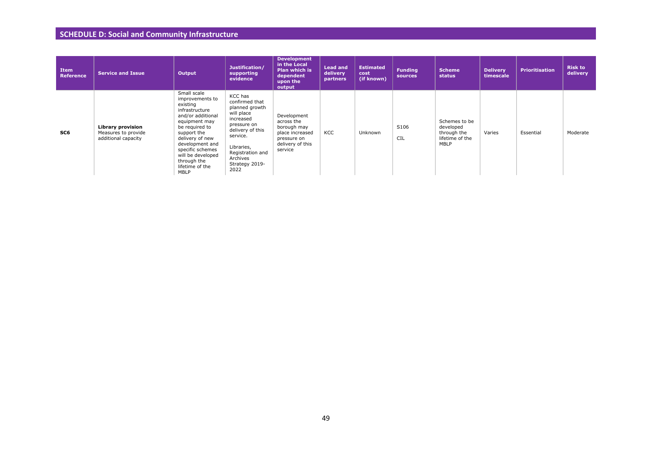## **SCHEDULE D: Social and Community Infrastructure**

| Item<br><b>Reference</b> | <b>Service and Issue</b>                                               | Output                                                                                                                                                                                                                                                       | Justification/<br>supporting<br>evidence                                                                                                                                                      | <b>Development</b><br>in the Local<br>Plan which is<br>dependent<br>upon the<br>output                    | <b>Lead and</b><br>delivery<br>partners | <b>Estimated</b><br>cost<br>(if known) | <b>Funding</b><br>sources | <b>Scheme</b><br>status                                              | <b>Delivery</b><br>timescale | <b>Prioritisation</b> | <b>Risk to</b><br>delivery |
|--------------------------|------------------------------------------------------------------------|--------------------------------------------------------------------------------------------------------------------------------------------------------------------------------------------------------------------------------------------------------------|-----------------------------------------------------------------------------------------------------------------------------------------------------------------------------------------------|-----------------------------------------------------------------------------------------------------------|-----------------------------------------|----------------------------------------|---------------------------|----------------------------------------------------------------------|------------------------------|-----------------------|----------------------------|
| SC6                      | <b>Library provision</b><br>Measures to provide<br>additional capacity | Small scale<br>improvements to<br>existing<br>infrastructure<br>and/or additional<br>equipment may<br>be required to<br>support the<br>delivery of new<br>development and<br>specific schemes<br>will be developed<br>through the<br>lifetime of the<br>MBLP | KCC has<br>confirmed that<br>planned growth<br>will place<br>increased<br>pressure on<br>delivery of this<br>service.<br>Libraries,<br>Registration and<br>Archives<br>Strategy 2019-<br>2022 | Development<br>across the<br>borough may<br>place increased<br>pressure on<br>delivery of this<br>service | KCC                                     | Unknown                                | S106<br><b>CIL</b>        | Schemes to be<br>developed<br>through the<br>lifetime of the<br>MBLP | Varies                       | Essential             | Moderate                   |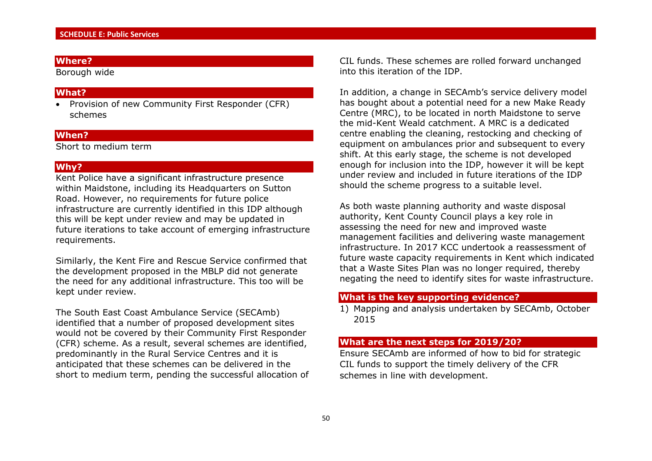Borough wide

#### **What?**

• Provision of new Community First Responder (CFR) schemes

#### **When?**

Short to medium term

#### **Why?**

Kent Police have a significant infrastructure presence within Maidstone, including its Headquarters on Sutton Road. However, no requirements for future police infrastructure are currently identified in this IDP although this will be kept under review and may be updated in future iterations to take account of emerging infrastructure requirements.

Similarly, the Kent Fire and Rescue Service confirmed that the development proposed in the MBLP did not generate the need for any additional infrastructure. This too will be kept under review.

The South East Coast Ambulance Service (SECAmb) identified that a number of proposed development sites would not be covered by their Community First Responder (CFR) scheme. As a result, several schemes are identified, predominantly in the Rural Service Centres and it is anticipated that these schemes can be delivered in the short to medium term, pending the successful allocation of CIL funds. These schemes are rolled forward unchanged into this iteration of the IDP.

In addition, a change in SECAmb's service delivery model has bought about a potential need for a new Make Ready Centre (MRC), to be located in north Maidstone to serve the mid-Kent Weald catchment. A MRC is a dedicated centre enabling the cleaning, restocking and checking of equipment on ambulances prior and subsequent to every shift. At this early stage, the scheme is not developed enough for inclusion into the IDP, however it will be kept under review and included in future iterations of the IDP should the scheme progress to a suitable level.

As both waste planning authority and waste disposal authority, Kent County Council plays a key role in assessing the need for new and improved waste management facilities and delivering waste management infrastructure. In 2017 KCC undertook a reassessment of future waste capacity requirements in Kent which indicated that a Waste Sites Plan was no longer required, thereby negating the need to identify sites for waste infrastructure.

#### **What is the key supporting evidence?**

1) Mapping and analysis undertaken by SECAmb, October 2015

## **What are the next steps for 2019/20?**

Ensure SECAmb are informed of how to bid for strategic CIL funds to support the timely delivery of the CFR schemes in line with development.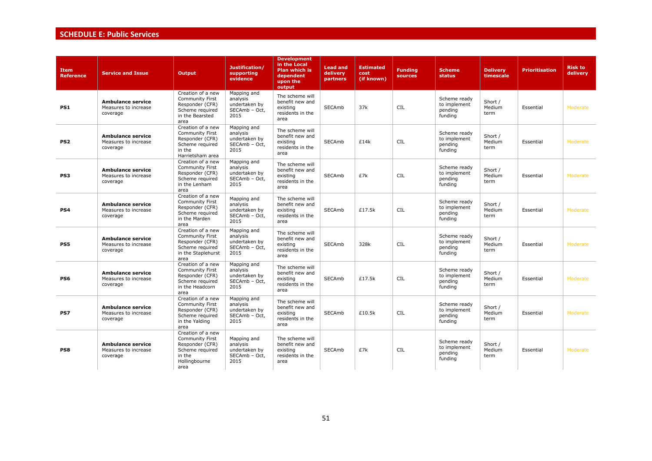# **SCHEDULE E: Public Services**

| <b>Item</b><br><b>Reference</b> | <b>Service and Issue</b>                                     | <b>Output</b>                                                                                                        | Justification/<br>supporting<br>evidence                          | <b>Development</b><br>in the Local<br><b>Plan which is</b><br>dependent<br>upon the<br>output | <b>Lead and</b><br>delivery<br>partners | <b>Estimated</b><br>cost<br>(if known) | <b>Funding</b><br>sources | <b>Scheme</b><br><b>status</b>                     | <b>Delivery</b><br>timescale | <b>Prioritisation</b> | <b>Risk to</b><br>delivery |
|---------------------------------|--------------------------------------------------------------|----------------------------------------------------------------------------------------------------------------------|-------------------------------------------------------------------|-----------------------------------------------------------------------------------------------|-----------------------------------------|----------------------------------------|---------------------------|----------------------------------------------------|------------------------------|-----------------------|----------------------------|
| PS1                             | <b>Ambulance service</b><br>Measures to increase<br>coverage | Creation of a new<br>Community First<br>Responder (CFR)<br>Scheme required<br>in the Bearsted<br>area                | Mapping and<br>analysis<br>undertaken by<br>SECAmb - Oct.<br>2015 | The scheme will<br>benefit new and<br>existing<br>residents in the<br>area                    | <b>SECAmb</b>                           | 37k                                    | <b>CIL</b>                | Scheme ready<br>to implement<br>pending<br>funding | Short /<br>Medium<br>term    | Essential             | Moderate                   |
| PS <sub>2</sub>                 | Ambulance service<br>Measures to increase<br>coverage        | Creation of a new<br><b>Community First</b><br>Responder (CFR)<br>Scheme required<br>in the<br>Harrietsham area      | Mapping and<br>analysis<br>undertaken by<br>SECAmb - Oct,<br>2015 | The scheme will<br>benefit new and<br>existing<br>residents in the<br>area                    | <b>SECAmb</b>                           | £14k                                   | <b>CIL</b>                | Scheme ready<br>to implement<br>pending<br>funding | Short /<br>Medium<br>term    | Essential             | Moderate                   |
| PS3                             | <b>Ambulance service</b><br>Measures to increase<br>coverage | Creation of a new<br><b>Community First</b><br>Responder (CFR)<br>Scheme required<br>in the Lenham<br>area           | Mapping and<br>analysis<br>undertaken by<br>SECAmb - Oct,<br>2015 | The scheme will<br>benefit new and<br>existing<br>residents in the<br>area                    | <b>SECAmb</b>                           | £7k                                    | <b>CIL</b>                | Scheme ready<br>to implement<br>pending<br>funding | Short /<br>Medium<br>term    | Essential             | Moderate                   |
| PS4                             | <b>Ambulance service</b><br>Measures to increase<br>coverage | Creation of a new<br><b>Community First</b><br>Responder (CFR)<br>Scheme required<br>in the Marden<br>area           | Mapping and<br>analysis<br>undertaken by<br>SECAmb - Oct,<br>2015 | The scheme will<br>benefit new and<br>existing<br>residents in the<br>area                    | <b>SECAmb</b>                           | £17.5k                                 | <b>CIL</b>                | Scheme ready<br>to implement<br>pending<br>funding | Short /<br>Medium<br>term    | Essential             | Moderate                   |
| PS5                             | <b>Ambulance service</b><br>Measures to increase<br>coverage | Creation of a new<br><b>Community First</b><br>Responder (CFR)<br>Scheme required<br>in the Staplehurst<br>area      | Mapping and<br>analysis<br>undertaken by<br>SECAmb - Oct.<br>2015 | The scheme will<br>benefit new and<br>existing<br>residents in the<br>area                    | <b>SECAmb</b>                           | 328k                                   | <b>CIL</b>                | Scheme ready<br>to implement<br>pending<br>funding | Short /<br>Medium<br>term    | Essential             | Moderate                   |
| PS6                             | <b>Ambulance service</b><br>Measures to increase<br>coverage | Creation of a new<br><b>Community First</b><br>Responder (CFR)<br>Scheme required<br>in the Headcorn<br>area         | Mapping and<br>analysis<br>undertaken by<br>SECAmb - Oct,<br>2015 | The scheme will<br>benefit new and<br>existing<br>residents in the<br>area                    | <b>SECAmb</b>                           | £17.5k                                 | <b>CIL</b>                | Scheme ready<br>to implement<br>pending<br>funding | Short /<br>Medium<br>term    | Essential             | Moderate                   |
| PS7                             | <b>Ambulance service</b><br>Measures to increase<br>coverage | Creation of a new<br><b>Community First</b><br>Responder (CFR)<br>Scheme required<br>in the Yalding<br>area          | Mapping and<br>analysis<br>undertaken by<br>SECAmb - Oct,<br>2015 | The scheme will<br>benefit new and<br>existing<br>residents in the<br>area                    | <b>SECAmb</b>                           | £10.5k                                 | <b>CIL</b>                | Scheme ready<br>to implement<br>pending<br>funding | Short /<br>Medium<br>term    | Essential             | Moderate                   |
| PS8                             | <b>Ambulance service</b><br>Measures to increase<br>coverage | Creation of a new<br><b>Community First</b><br>Responder (CFR)<br>Scheme required<br>in the<br>Hollingbourne<br>area | Mapping and<br>analysis<br>undertaken by<br>SECAmb - Oct<br>2015  | The scheme will<br>benefit new and<br>existing<br>residents in the<br>area                    | <b>SECAmb</b>                           | £7k                                    | <b>CIL</b>                | Scheme ready<br>to implement<br>pending<br>funding | Short /<br>Medium<br>term    | Essential             | Moderate                   |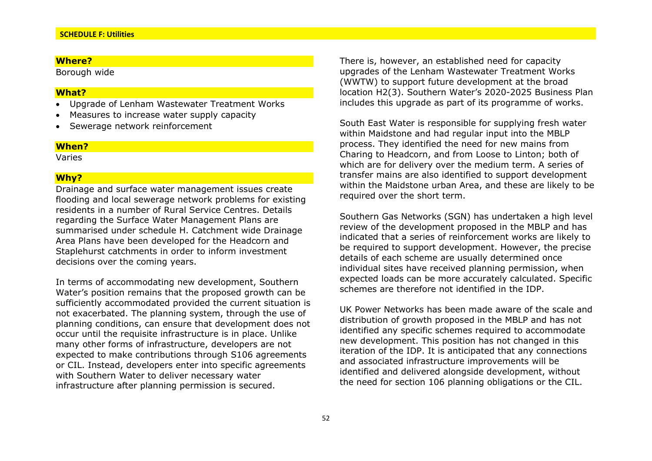Borough wide

#### **What?**

- Upgrade of Lenham Wastewater Treatment Works
- Measures to increase water supply capacity
- Sewerage network reinforcement

#### **When?**

Varies

#### **Why?**

Drainage and surface water management issues create flooding and local sewerage network problems for existing residents in a number of Rural Service Centres. Details regarding the Surface Water Management Plans are summarised under schedule H. Catchment wide Drainage Area Plans have been developed for the Headcorn and Staplehurst catchments in order to inform investment decisions over the coming years.

In terms of accommodating new development, Southern Water's position remains that the proposed growth can be sufficiently accommodated provided the current situation is not exacerbated. The planning system, through the use of planning conditions, can ensure that development does not occur until the requisite infrastructure is in place. Unlike many other forms of infrastructure, developers are not expected to make contributions through S106 agreements or CIL. Instead, developers enter into specific agreements with Southern Water to deliver necessary water infrastructure after planning permission is secured.

There is, however, an established need for capacity upgrades of the Lenham Wastewater Treatment Works (WWTW) to support future development at the broad location H2(3). Southern Water's 2020-2025 Business Plan includes this upgrade as part of its programme of works.

South East Water is responsible for supplying fresh water within Maidstone and had regular input into the MBLP process. They identified the need for new mains from Charing to Headcorn, and from Loose to Linton; both of which are for delivery over the medium term. A series of transfer mains are also identified to support development within the Maidstone urban Area, and these are likely to be required over the short term.

Southern Gas Networks (SGN) has undertaken a high level review of the development proposed in the MBLP and has indicated that a series of reinforcement works are likely to be required to support development. However, the precise details of each scheme are usually determined once individual sites have received planning permission, when expected loads can be more accurately calculated. Specific schemes are therefore not identified in the IDP.

UK Power Networks has been made aware of the scale and distribution of growth proposed in the MBLP and has not identified any specific schemes required to accommodate new development. This position has not changed in this iteration of the IDP. It is anticipated that any connections and associated infrastructure improvements will be identified and delivered alongside development, without the need for section 106 planning obligations or the CIL.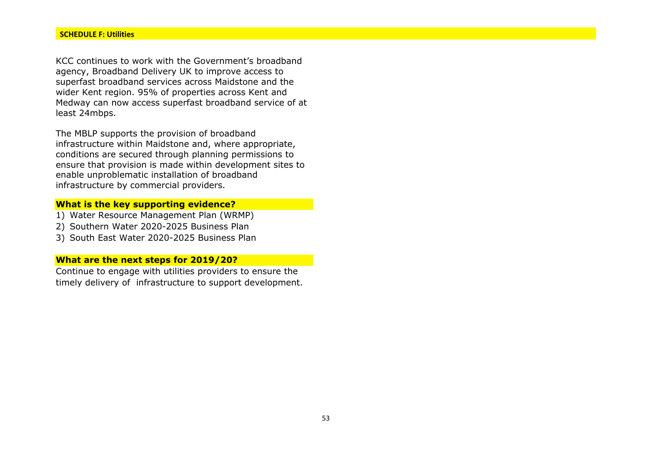KCC continues to work with the Government's broadband agency, Broadband Delivery UK to improve access to superfast broadband services across Maidstone and the wider Kent region. 95% of properties across Kent and Medway can now access superfast broadband service of at least 24mbps.

The MBLP supports the provision of broadband infrastructure within Maidstone and, where appropriate, conditions are secured through planning permissions to ensure that provision is made within development sites to enable unproblematic installation of broadband infrastructure by commercial providers.

## **What is the key supporting evidence?**

- 1) Water Resource Management Plan (WRMP)
- 2) Southern Water 2020-2025 Business Plan
- 3) South East Water 2020-2025 Business Plan

## **What are the next steps for 2019/20?**

Continue to engage with utilities providers to ensure the timely delivery of infrastructure to support development.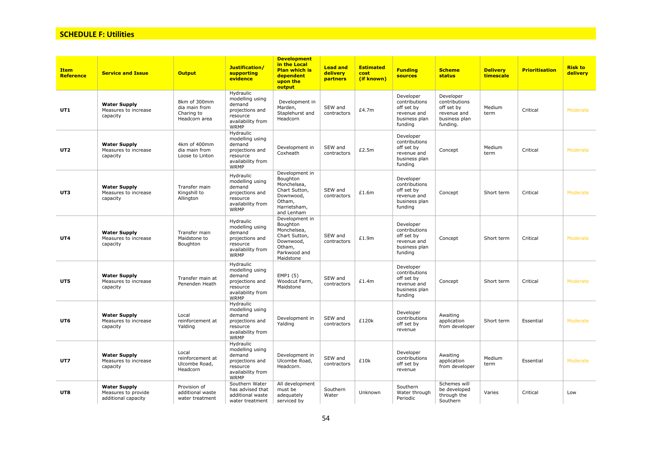## **SCHEDULE F: Utilities**

| <b>Item</b><br><b>Reference</b> | <b>Service and Issue</b>                                          | <b>Output</b>                                                | Justification/<br>supporting<br>evidence                                                                  | <b>Development</b><br>in the Local<br><b>Plan which is</b><br>dependent<br>upon the<br>output                   | <b>Lead and</b><br>delivery<br>partners | <b>Estimated</b><br>cost<br>(if known) | <b>Funding</b><br><b>sources</b>                                                    | <b>Scheme</b><br><b>status</b>                                                       | <b>Delivery</b><br>timescale | <b>Prioritisation</b> | <b>Risk to</b><br>delivery |
|---------------------------------|-------------------------------------------------------------------|--------------------------------------------------------------|-----------------------------------------------------------------------------------------------------------|-----------------------------------------------------------------------------------------------------------------|-----------------------------------------|----------------------------------------|-------------------------------------------------------------------------------------|--------------------------------------------------------------------------------------|------------------------------|-----------------------|----------------------------|
| UT1                             | <b>Water Supply</b><br>Measures to increase<br>capacity           | 8km of 300mm<br>dia main from<br>Charing to<br>Headcorn area | Hydraulic<br>modelling using<br>demand<br>projections and<br>resource<br>availability from<br><b>WRMP</b> | Development in<br>Marden,<br>Staplehurst and<br>Headcorn                                                        | SEW and<br>contractors                  | £4.7m                                  | Developer<br>contributions<br>off set by<br>revenue and<br>business plan<br>funding | Developer<br>contributions<br>off set by<br>revenue and<br>business plan<br>funding. | Medium<br>term               | Critical              | Moderate                   |
| UT <sub>2</sub>                 | <b>Water Supply</b><br>Measures to increase<br>capacity           | 4km of 400mm<br>dia main from<br>Loose to Linton             | Hydraulic<br>modelling using<br>demand<br>projections and<br>resource<br>availability from<br><b>WRMP</b> | Development in<br>Coxheath                                                                                      | SEW and<br>contractors                  | £2.5m                                  | Developer<br>contributions<br>off set by<br>revenue and<br>business plan<br>funding | Concept                                                                              | Medium<br>term               | Critical              | Moderate                   |
| UT3                             | <b>Water Supply</b><br>Measures to increase<br>capacity           | Transfer main<br>Kingshill to<br>Allington                   | Hydraulic<br>modelling using<br>demand<br>projections and<br>resource<br>availability from<br><b>WRMP</b> | Development in<br>Boughton<br>Monchelsea,<br>Chart Sutton,<br>Downwood,<br>Otham,<br>Harrietsham,<br>and Lenham | SEW and<br>contractors                  | £1.6m                                  | Developer<br>contributions<br>off set by<br>revenue and<br>business plan<br>funding | Concept                                                                              | Short term                   | Critical              | Moderate                   |
| UT4                             | <b>Water Supply</b><br>Measures to increase<br>capacity           | Transfer main<br>Maidstone to<br>Boughton                    | Hydraulic<br>modelling using<br>demand<br>projections and<br>resource<br>availability from<br>WRMP        | Development in<br>Boughton<br>Monchelsea,<br>Chart Sutton,<br>Downwood,<br>Otham,<br>Parkwood and<br>Maidstone  | SEW and<br>contractors                  | £1.9m                                  | Developer<br>contributions<br>off set by<br>revenue and<br>business plan<br>funding | Concept                                                                              | Short term                   | Critical              | Moderate                   |
| UT5                             | <b>Water Supply</b><br>Measures to increase<br>capacity           | Transfer main at<br>Penenden Heath                           | Hydraulic<br>modelling using<br>demand<br>projections and<br>resource<br>availability from<br><b>WRMP</b> | EMP1 (5)<br>Woodcut Farm,<br>Maidstone                                                                          | SEW and<br>contractors                  | £1.4m                                  | Developer<br>contributions<br>off set by<br>revenue and<br>business plan<br>funding | Concept                                                                              | Short term                   | Critical              | Moderate                   |
| UT6                             | <b>Water Supply</b><br>Measures to increase<br>capacity           | Local<br>reinforcement at<br>Yalding                         | Hydraulic<br>modelling using<br>demand<br>projections and<br>resource<br>availability from<br><b>WRMP</b> | Development in<br>Yalding                                                                                       | SEW and<br>contractors                  | £120k                                  | Developer<br>contributions<br>off set by<br>revenue                                 | Awaiting<br>application<br>from developer                                            | Short term                   | Essential             | Moderate                   |
| UT7                             | <b>Water Supply</b><br>Measures to increase<br>capacity           | Local<br>reinforcement at<br>Ulcombe Road,<br>Headcorn       | Hydraulic<br>modelling using<br>demand<br>projections and<br>resource<br>availability from<br><b>WRMP</b> | Development in<br>Ulcombe Road,<br>Headcorn.                                                                    | SEW and<br>contractors                  | £10k                                   | Developer<br>contributions<br>off set by<br>revenue                                 | Awaiting<br>application<br>from developer                                            | Medium<br>term               | Essential             | Moderate                   |
| UT8                             | <b>Water Supply</b><br>Measures to provide<br>additional capacity | Provision of<br>additional waste<br>water treatment          | Southern Water<br>has advised that<br>additional waste<br>water treatment                                 | All development<br>must be<br>adequately<br>serviced by                                                         | Southern<br>Water                       | Unknown                                | Southern<br>Water through<br>Periodic                                               | Schemes will<br>be developed<br>through the<br>Southern                              | Varies                       | Critical              | Low                        |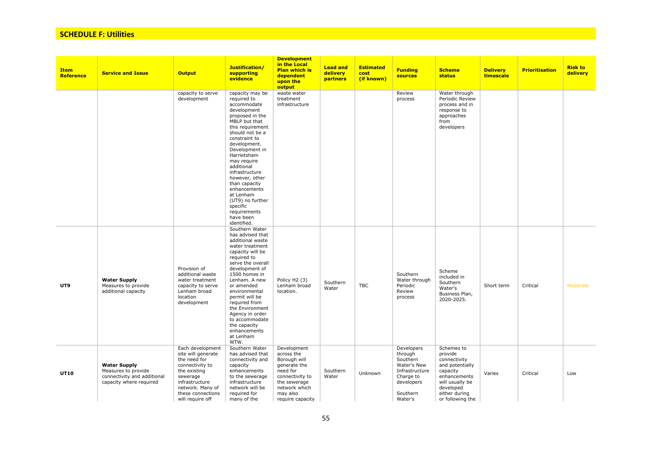## **SCHEDULE F: Utilities**

| <b>Item</b><br><b>Reference</b> | <b>Service and Issue</b>                                                                             | <b>Output</b>                                                                                                                                                                        | Justification/<br><b>supporting</b><br>evidence                                                                                                                                                                                                                                                                                                                                                      | <b>Development</b><br>in the Local<br><b>Plan which is</b><br>dependent<br>upon the<br>output                                                             | <b>Lead and</b><br>delivery<br>partners | <b>Estimated</b><br>cost<br>(if known) | <b>Funding</b><br><b>sources</b>                                                                                     | <b>Scheme</b><br><b>status</b>                                                                                                                            | <b>Delivery</b><br>timescale | <b>Prioritisation</b> | <b>Risk to</b><br>delivery |
|---------------------------------|------------------------------------------------------------------------------------------------------|--------------------------------------------------------------------------------------------------------------------------------------------------------------------------------------|------------------------------------------------------------------------------------------------------------------------------------------------------------------------------------------------------------------------------------------------------------------------------------------------------------------------------------------------------------------------------------------------------|-----------------------------------------------------------------------------------------------------------------------------------------------------------|-----------------------------------------|----------------------------------------|----------------------------------------------------------------------------------------------------------------------|-----------------------------------------------------------------------------------------------------------------------------------------------------------|------------------------------|-----------------------|----------------------------|
|                                 |                                                                                                      | capacity to serve<br>development                                                                                                                                                     | capacity may be<br>required to<br>accommodate<br>development<br>proposed in the<br>MBLP but that<br>this requirement<br>should not be a<br>constraint to<br>development.<br>Development in<br>Harrietsham<br>may require<br>additional<br>infrastructure<br>however, other<br>than capacity<br>enhancements<br>at Lenham<br>(UT9) no further<br>specific<br>requirements<br>have been<br>identified. | waste water<br>treatment<br>infrastructure                                                                                                                |                                         |                                        | Review<br>process                                                                                                    | Water through<br>Periodic Review<br>process and in<br>response to<br>approaches<br>from<br>developers                                                     |                              |                       |                            |
| UT9                             | <b>Water Supply</b><br>Measures to provide<br>additional capacity                                    | Provision of<br>additional waste<br>water treatment<br>capacity to serve<br>Lenham broad<br>location<br>development                                                                  | Southern Water<br>has advised that<br>additional waste<br>water treatment<br>capacity will be<br>required to<br>serve the overall<br>development of<br>1500 homes in<br>Lenham. A new<br>or amended<br>environmental<br>permit will be<br>required from<br>the Environment<br>Agency in order<br>to accommodate<br>the capacity<br>enhancements<br>at Lenham<br>WTW.                                 | Policy H <sub>2</sub> (3)<br>Lenham broad<br>location.                                                                                                    | Southern<br>Water                       | <b>TBC</b>                             | Southern<br>Water through<br>Periodic<br>Review<br>process                                                           | Scheme<br>included in<br>Southern<br>Water's<br>Business Plan,<br>2020-2025.                                                                              | Short term                   | Critical              | Moderate                   |
| <b>UT10</b>                     | <b>Water Supply</b><br>Measures to provide<br>connectivity and additional<br>capacity where required | Each development<br>site will generate<br>the need for<br>connectivity to<br>the existing<br>sewerage<br>infrastructure<br>network. Many of<br>these connections<br>will require off | Southern Water<br>has advised that<br>connectivity and<br>capacity<br>enhancements<br>to the sewerage<br>infrastructure<br>network will be<br>required for<br>many of the                                                                                                                                                                                                                            | Development<br>across the<br>Borough will<br>generate the<br>need for<br>connectivity to<br>the sewerage<br>network which<br>may also<br>require capacity | Southern<br>Water                       | Unknown                                | Developers<br>through<br>Southern<br>Water's New<br>Infrastructure<br>Charge to<br>developers<br>Southern<br>Water's | Schemes to<br>provide<br>connectivity<br>and potentially<br>capacity<br>enhancements<br>will usually be<br>developed<br>either during<br>or following the | Varies                       | Critical              | Low                        |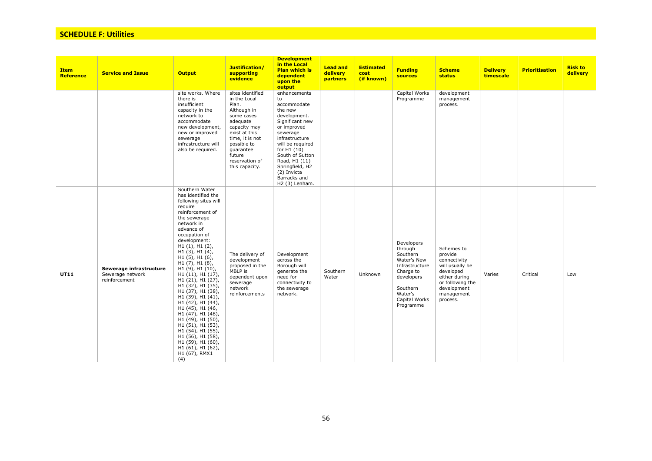## **SCHEDULE F: Utilities**

| <b>Item</b><br>Reference | <b>Service and Issue</b>                                     | <b>Output</b>                                                                                                                                                                                                                                                                                                                                                                                                                                                                                                                                                                                                                       | Justification/<br>supporting<br>evidence                                                                                                                                                                         | <b>Development</b><br>in the Local<br><b>Plan which is</b><br>dependent<br>upon the<br>output                                                                                                                                                                           | <b>Lead and</b><br>delivery<br><b>partners</b> | <b>Estimated</b><br>cost<br>(if known) | <b>Funding</b><br><b>sources</b>                                                                                                                   | <b>Scheme</b><br>status                                                                                                                             | <b>Delivery</b><br>timescale | <b>Prioritisation</b> | <b>Risk to</b><br>delivery |
|--------------------------|--------------------------------------------------------------|-------------------------------------------------------------------------------------------------------------------------------------------------------------------------------------------------------------------------------------------------------------------------------------------------------------------------------------------------------------------------------------------------------------------------------------------------------------------------------------------------------------------------------------------------------------------------------------------------------------------------------------|------------------------------------------------------------------------------------------------------------------------------------------------------------------------------------------------------------------|-------------------------------------------------------------------------------------------------------------------------------------------------------------------------------------------------------------------------------------------------------------------------|------------------------------------------------|----------------------------------------|----------------------------------------------------------------------------------------------------------------------------------------------------|-----------------------------------------------------------------------------------------------------------------------------------------------------|------------------------------|-----------------------|----------------------------|
|                          |                                                              | site works. Where<br>there is<br>insufficient<br>capacity in the<br>network to<br>accommodate<br>new development,<br>new or improved<br>sewerage<br>infrastructure will<br>also be required.                                                                                                                                                                                                                                                                                                                                                                                                                                        | sites identified<br>in the Local<br>Plan.<br>Although in<br>some cases<br>adequate<br>capacity may<br>exist at this<br>time, it is not<br>possible to<br>quarantee<br>future<br>reservation of<br>this capacity. | enhancements<br>to<br>accommodate<br>the new<br>development.<br>Significant new<br>or improved<br>sewerage<br>infrastructure<br>will be required<br>for H1 (10)<br>South of Sutton<br>Road, H1 (11)<br>Springfield, H2<br>(2) Invicta<br>Barracks and<br>H2 (3) Lenham. |                                                |                                        | Capital Works<br>Programme                                                                                                                         | development<br>management<br>process.                                                                                                               |                              |                       |                            |
| <b>UT11</b>              | Sewerage infrastructure<br>Sewerage network<br>reinforcement | Southern Water<br>has identified the<br>following sites will<br>require<br>reinforcement of<br>the sewerage<br>network in<br>advance of<br>occupation of<br>development:<br>H1(1), H1(2),<br>$H1(3)$ , $H1(4)$ ,<br>$H1(5)$ , $H1(6)$ ,<br>H1(7), H1(8),<br>H1 (9), H1 (10),<br>H1(11), H1(17),<br>H1 (21), H1 (27),<br>H1 (32), H1 (35),<br>H1 (37), H1 (38),<br>H1 (39), H1 (41),<br>H1 (42), H1 (44),<br>H <sub>1</sub> (45), H <sub>1</sub> (46,<br>H1 (47), H1 (48),<br>H1 (49), H1 (50),<br>H1 (51), H1 (53),<br>H1 (54), H1 (55),<br>H1 (56), H1 (58),<br>H1 (59), H1 (60),<br>$H1(61)$ , $H1(62)$ ,<br>H1 (67), RMX1<br>(4) | The delivery of<br>development<br>proposed in the<br>MBLP is<br>dependent upon<br>sewerage<br>network<br>reinforcements                                                                                          | Development<br>across the<br>Borough will<br>generate the<br>need for<br>connectivity to<br>the sewerage<br>network.                                                                                                                                                    | Southern<br>Water                              | Unknown                                | Developers<br>through<br>Southern<br>Water's New<br>Infrastructure<br>Charge to<br>developers<br>Southern<br>Water's<br>Capital Works<br>Programme | Schemes to<br>provide<br>connectivity<br>will usually be<br>developed<br>either during<br>or following the<br>development<br>management<br>process. | Varies                       | Critical              | Low                        |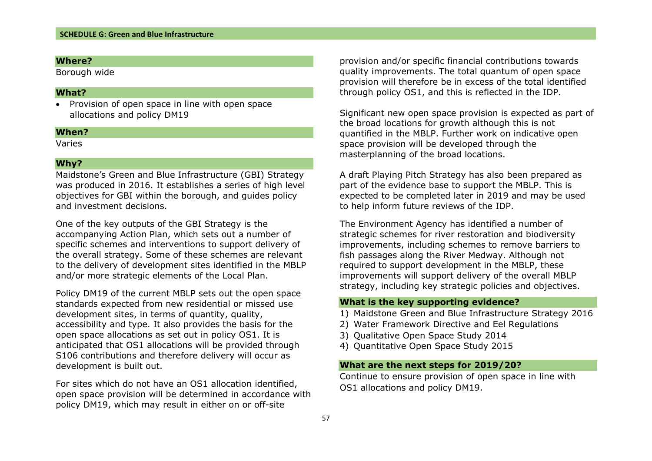Borough wide

#### **What?**

• Provision of open space in line with open space allocations and policy DM19

#### **When?**

Varies

## **Why?**

Maidstone's Green and Blue Infrastructure (GBI) Strategy was produced in 2016. It establishes a series of high level objectives for GBI within the borough, and guides policy and investment decisions.

One of the key outputs of the GBI Strategy is the accompanying Action Plan, which sets out a number of specific schemes and interventions to support delivery of the overall strategy. Some of these schemes are relevant to the delivery of development sites identified in the MBLP and/or more strategic elements of the Local Plan.

Policy DM19 of the current MBLP sets out the open space standards expected from new residential or missed use development sites, in terms of quantity, quality, accessibility and type. It also provides the basis for the open space allocations as set out in policy OS1. It is anticipated that OS1 allocations will be provided through S106 contributions and therefore delivery will occur as development is built out.

For sites which do not have an OS1 allocation identified, open space provision will be determined in accordance with policy DM19, which may result in either on or off-site

provision and/or specific financial contributions towards quality improvements. The total quantum of open space provision will therefore be in excess of the total identified through policy OS1, and this is reflected in the IDP.

Significant new open space provision is expected as part of the broad locations for growth although this is not quantified in the MBLP. Further work on indicative open space provision will be developed through the masterplanning of the broad locations.

A draft Playing Pitch Strategy has also been prepared as part of the evidence base to support the MBLP. This is expected to be completed later in 2019 and may be used to help inform future reviews of the IDP.

The Environment Agency has identified a number of strategic schemes for river restoration and biodiversity improvements, including schemes to remove barriers to fish passages along the River Medway. Although not required to support development in the MBLP, these improvements will support delivery of the overall MBLP strategy, including key strategic policies and objectives.

#### **What is the key supporting evidence?**

- 1) Maidstone Green and Blue Infrastructure Strategy 2016
- 2) Water Framework Directive and Eel Regulations
- 3) Qualitative Open Space Study 2014
- 4) Quantitative Open Space Study 2015

## **What are the next steps for 2019/20?**

Continue to ensure provision of open space in line with OS1 allocations and policy DM19.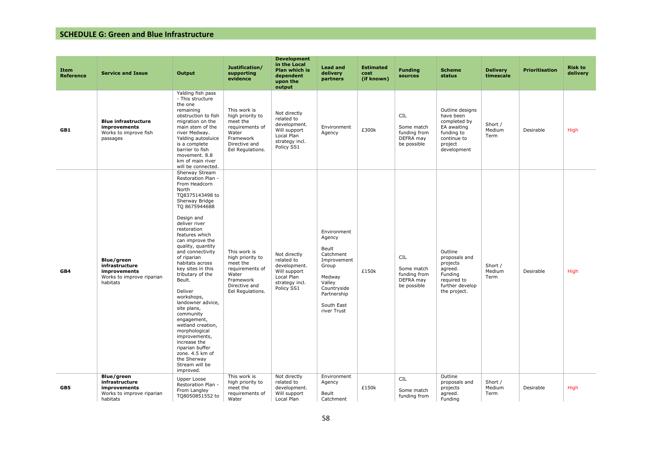| Item<br><b>Reference</b> | <b>Service and Issue</b>                                                              | Output                                                                                                                                                                                                                                                                                                                                                                                                                                                                                                                                                                                    | Justification/<br>supporting<br>evidence                                                                                   | <b>Development</b><br>in the Local<br>Plan which is<br>dependent<br>upon the<br>output                   | <b>Lead and</b><br>delivery<br>partners                                                                                                            | <b>Estimated</b><br>cost<br>(if known) | <b>Funding</b><br>sources                                            | <b>Scheme</b><br>status                                                                                            | <b>Delivery</b><br>timescale | <b>Prioritisation</b> | <b>Risk to</b><br>delivery |
|--------------------------|---------------------------------------------------------------------------------------|-------------------------------------------------------------------------------------------------------------------------------------------------------------------------------------------------------------------------------------------------------------------------------------------------------------------------------------------------------------------------------------------------------------------------------------------------------------------------------------------------------------------------------------------------------------------------------------------|----------------------------------------------------------------------------------------------------------------------------|----------------------------------------------------------------------------------------------------------|----------------------------------------------------------------------------------------------------------------------------------------------------|----------------------------------------|----------------------------------------------------------------------|--------------------------------------------------------------------------------------------------------------------|------------------------------|-----------------------|----------------------------|
| GB1                      | <b>Blue infrastructure</b><br>improvements<br>Works to improve fish<br>passages       | Yalding fish pass<br>- This structure<br>the one<br>remaining<br>obstruction to fish<br>migration on the<br>main stem of the<br>river Medway.<br>Yalding autosluice<br>is a complete<br>barrier to fish<br>movement. 8.8<br>km of main river<br>will be connected.                                                                                                                                                                                                                                                                                                                        | This work is<br>high priority to<br>meet the<br>requirements of<br>Water<br>Framework<br>Directive and<br>Eel Regulations. | Not directly<br>related to<br>development.<br>Will support<br>Local Plan<br>strategy incl.<br>Policy SS1 | Environment<br>Agency                                                                                                                              | £300k                                  | <b>CIL</b><br>Some match<br>funding from<br>DEFRA may<br>be possible | Outline designs<br>have been<br>completed by<br>EA awaiting<br>funding to<br>continue to<br>project<br>development | Short /<br>Medium<br>Term    | Desirable             | <b>High</b>                |
| GB4                      | Blue/green<br>infrastructure<br>improvements<br>Works to improve riparian<br>habitats | Sherway Stream<br>Restoration Plan -<br>From Headcorn<br>North<br>TQ8375143498 to<br>Sherway Bridge<br>TQ 8675944688<br>Design and<br>deliver river<br>restoration<br>features which<br>can improve the<br>quality, quantity<br>and connectivity<br>of riparian<br>habitats across<br>key sites in this<br>tributary of the<br>Beult.<br>Deliver<br>workshops,<br>landowner advice,<br>site plans,<br>community<br>engagement,<br>wetland creation,<br>morphological<br>improvements,<br>increase the<br>riparian buffer<br>zone. 4.5 km of<br>the Sherway<br>Stream will be<br>improved. | This work is<br>high priority to<br>meet the<br>requirements of<br>Water<br>Framework<br>Directive and<br>Eel Regulations. | Not directly<br>related to<br>development.<br>Will support<br>Local Plan<br>strategy incl.<br>Policy SS1 | Environment<br>Agency<br>Beult<br>Catchment<br>Improvement<br>Group<br>Medway<br>Valley<br>Countryside<br>Partnership<br>South East<br>river Trust | £150k                                  | <b>CIL</b><br>Some match<br>funding from<br>DEFRA may<br>be possible | Outline<br>proposals and<br>projects<br>agreed.<br>Funding<br>required to<br>further develop<br>the project.       | Short /<br>Medium<br>Term    | Desirable             | <b>High</b>                |
| GB5                      | Blue/green<br>infrastructure<br>improvements<br>Works to improve riparian<br>habitats | Upper Loose<br>Restoration Plan -<br>From Langley<br>TQ8050851552 to                                                                                                                                                                                                                                                                                                                                                                                                                                                                                                                      | This work is<br>high priority to<br>meet the<br>requirements of<br>Water                                                   | Not directly<br>related to<br>development.<br>Will support<br>Local Plan                                 | Environment<br>Agency<br>Beult<br>Catchment                                                                                                        | £150k                                  | <b>CIL</b><br>Some match<br>funding from                             | Outline<br>proposals and<br>projects<br>agreed.<br>Fundina                                                         | Short /<br>Medium<br>Term    | Desirable             | High                       |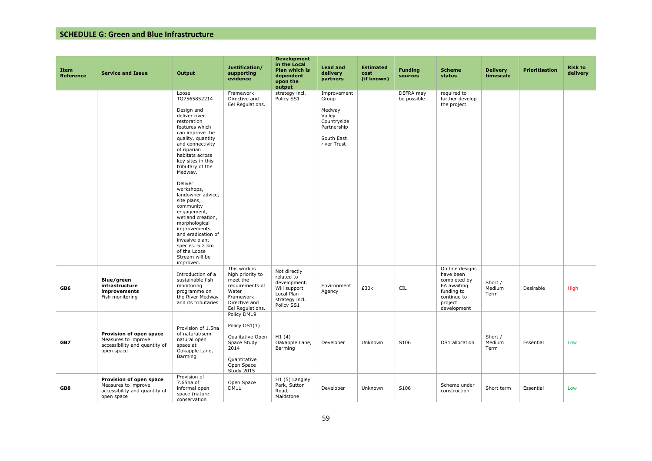| Item<br>Reference | <b>Service and Issue</b>                                                                      | Output                                                                                                                                                                                                                                                                                                                                                                                                                                                                                           | Justification/<br>supporting<br>evidence                                                                                   | <b>Development</b><br>in the Local<br>Plan which is<br>dependent<br>upon the<br>output                   | <b>Lead and</b><br>delivery<br>partners                                                             | <b>Estimated</b><br>cost<br>(if known) | <b>Funding</b><br>sources | <b>Scheme</b><br>status                                                                                            | <b>Delivery</b><br>timescale | <b>Prioritisation</b> | <b>Risk to</b><br>delivery |
|-------------------|-----------------------------------------------------------------------------------------------|--------------------------------------------------------------------------------------------------------------------------------------------------------------------------------------------------------------------------------------------------------------------------------------------------------------------------------------------------------------------------------------------------------------------------------------------------------------------------------------------------|----------------------------------------------------------------------------------------------------------------------------|----------------------------------------------------------------------------------------------------------|-----------------------------------------------------------------------------------------------------|----------------------------------------|---------------------------|--------------------------------------------------------------------------------------------------------------------|------------------------------|-----------------------|----------------------------|
|                   |                                                                                               | Loose<br>TQ7565852214<br>Design and<br>deliver river<br>restoration<br>features which<br>can improve the<br>quality, quantity<br>and connectivity<br>of riparian<br>habitats across<br>key sites in this<br>tributary of the<br>Medway.<br>Deliver<br>workshops,<br>landowner advice,<br>site plans,<br>community<br>engagement,<br>wetland creation,<br>morphological<br>improvements<br>and eradication of<br>invasive plant<br>species. 5.2 km<br>of the Loose<br>Stream will be<br>improved. | Framework<br>Directive and<br>Eel Regulations.                                                                             | strategy incl.<br>Policy SS1                                                                             | Improvement<br>Group<br>Medway<br>Valley<br>Countryside<br>Partnership<br>South East<br>river Trust |                                        | DEFRA may<br>be possible  | required to<br>further develop<br>the project.                                                                     |                              |                       |                            |
| GB6               | Blue/green<br>infrastructure<br>improvements<br>Fish monitoring                               | Introduction of a<br>sustainable fish<br>monitoring<br>programme on<br>the River Medway<br>and its tributaries                                                                                                                                                                                                                                                                                                                                                                                   | This work is<br>high priority to<br>meet the<br>requirements of<br>Water<br>Framework<br>Directive and<br>Eel Regulations. | Not directly<br>related to<br>development.<br>Will support<br>Local Plan<br>strategy incl.<br>Policy SS1 | Environment<br>Agency                                                                               | £30k                                   | <b>CIL</b>                | Outline designs<br>have been<br>completed by<br>EA awaiting<br>funding to<br>continue to<br>project<br>development | Short /<br>Medium<br>Term    | Desirable             | High                       |
| GB7               | Provision of open space<br>Measures to improve<br>accessibility and quantity of<br>open space | Provision of 1.5ha<br>of natural/semi-<br>natural open<br>space at<br>Oakapple Lane,<br>Barming                                                                                                                                                                                                                                                                                                                                                                                                  | Policy DM19<br>Policy OS1(1)<br>Qualitative Open<br>Space Study<br>2014<br>Quantitative<br>Open Space<br>Study 2015        | H1(4)<br>Oakapple Lane,<br>Barming                                                                       | Developer                                                                                           | Unknown                                | S106                      | OS1 allocation                                                                                                     | Short /<br>Medium<br>Term    | Essential             | Low                        |
| GB8               | Provision of open space<br>Measures to improve<br>accessibility and quantity of<br>open space | Provision of<br>7.65ha of<br>informal open<br>space (nature<br>conservation                                                                                                                                                                                                                                                                                                                                                                                                                      | Open Space<br><b>DM11</b>                                                                                                  | H1 (5) Langley<br>Park, Sutton<br>Road,<br>Maidstone                                                     | Developer                                                                                           | Unknown                                | S106                      | Scheme under<br>construction                                                                                       | Short term                   | Essential             | Low                        |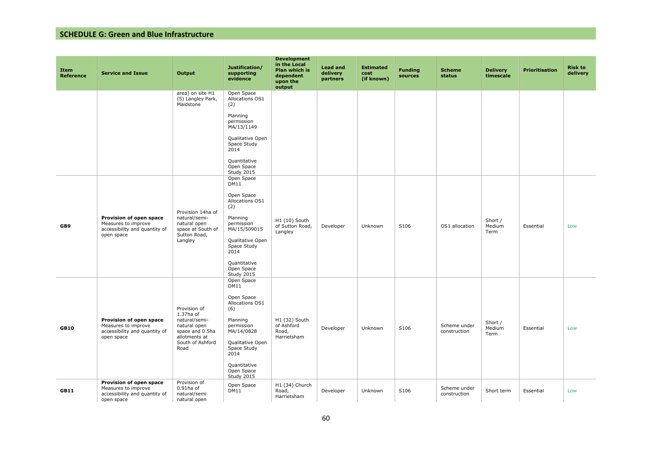| <b>Item</b><br><b>Reference</b> | <b>Service and Issue</b>                                                                      | Output                                                                                                                     | Justification/<br>supporting<br>evidence                                                                                                                                                         | <b>Development</b><br>in the Local<br>Plan which is<br>dependent<br>upon the<br>output | <b>Lead and</b><br>delivery<br>partners | <b>Estimated</b><br>cost<br>(if known) | <b>Funding</b><br>sources | <b>Scheme</b><br><b>status</b> | <b>Delivery</b><br>timescale | <b>Prioritisation</b> | <b>Risk to</b><br>delivery |
|---------------------------------|-----------------------------------------------------------------------------------------------|----------------------------------------------------------------------------------------------------------------------------|--------------------------------------------------------------------------------------------------------------------------------------------------------------------------------------------------|----------------------------------------------------------------------------------------|-----------------------------------------|----------------------------------------|---------------------------|--------------------------------|------------------------------|-----------------------|----------------------------|
|                                 |                                                                                               | area) on site H1<br>(5) Langley Park,<br>Maidstone                                                                         | Open Space<br>Allocations OS1<br>(2)<br>Planning<br>permission<br>MA/13/1149<br>Qualitative Open<br>Space Study<br>2014<br>Quantitative<br>Open Space<br>Study 2015                              |                                                                                        |                                         |                                        |                           |                                |                              |                       |                            |
| GB9                             | Provision of open space<br>Measures to improve<br>accessibility and quantity of<br>open space | Provision 14ha of<br>natural/semi-<br>natural open<br>space at South of<br>Sutton Road,<br>Langley                         | Open Space<br>DM11<br>Open Space<br>Allocations OS1<br>(2)<br>Planning<br>permission<br>MA/15/509015<br>Qualitative Open<br>Space Study<br>2014<br>Quantitative<br>Open Space<br>Study 2015      | H1 (10) South<br>of Sutton Road,<br>Langley                                            | Developer                               | Unknown                                | S106                      | OS1 allocation                 | Short /<br>Medium<br>Term    | Essential             | Low                        |
| <b>GB10</b>                     | Provision of open space<br>Measures to improve<br>accessibility and quantity of<br>open space | Provision of<br>1.37ha of<br>natural/semi-<br>natural open<br>space and 0.5ha<br>allotments at<br>South of Ashford<br>Road | Open Space<br><b>DM11</b><br>Open Space<br>Allocations OS1<br>(6)<br>Planning<br>permission<br>MA/14/0828<br>Qualitative Open<br>Space Study<br>2014<br>Quantitative<br>Open Space<br>Study 2015 | H1 (32) South<br>of Ashford<br>Road,<br>Harrietsham                                    | Developer                               | Unknown                                | S106                      | Scheme under<br>construction   | Short /<br>Medium<br>Term    | Essential             | Low                        |
| <b>GB11</b>                     | Provision of open space<br>Measures to improve<br>accessibility and quantity of<br>open space | Provision of<br>$0.91$ ha of<br>natural/semi<br>natural open                                                               | Open Space<br><b>DM11</b>                                                                                                                                                                        | H1 (34) Church<br>Road,<br>Harrietsham                                                 | Developer                               | Unknown                                | S106                      | Scheme under<br>construction   | Short term                   | Essential             | Low                        |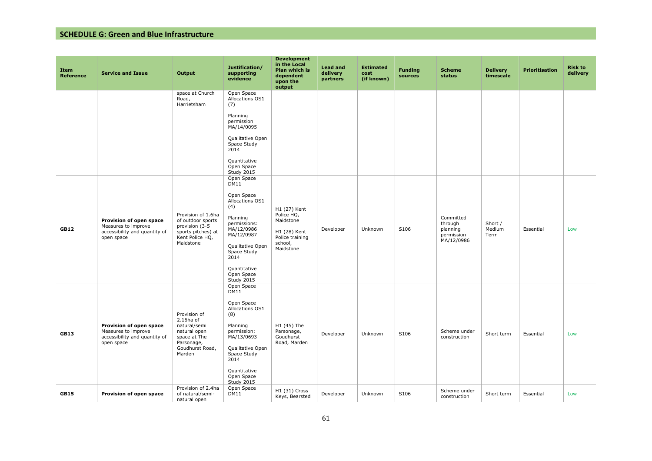| <b>Item</b><br><b>Reference</b> | <b>Service and Issue</b>                                                                      | Output                                                                                                               | Justification/<br>supporting<br>evidence                                                                                                                                                                         | <b>Development</b><br>in the Local<br>Plan which is<br>dependent<br>upon the<br>output             | <b>Lead and</b><br>delivery<br>partners | <b>Estimated</b><br>cost<br>(if known) | <b>Funding</b><br>sources | <b>Scheme</b><br>status                                      | <b>Delivery</b><br>timescale | <b>Prioritisation</b> | <b>Risk to</b><br>delivery |
|---------------------------------|-----------------------------------------------------------------------------------------------|----------------------------------------------------------------------------------------------------------------------|------------------------------------------------------------------------------------------------------------------------------------------------------------------------------------------------------------------|----------------------------------------------------------------------------------------------------|-----------------------------------------|----------------------------------------|---------------------------|--------------------------------------------------------------|------------------------------|-----------------------|----------------------------|
|                                 |                                                                                               | space at Church<br>Road,<br>Harrietsham                                                                              | Open Space<br>Allocations OS1<br>(7)<br>Planning<br>permission<br>MA/14/0095<br>Qualitative Open<br>Space Study<br>2014<br>Quantitative<br>Open Space<br>Study 2015                                              |                                                                                                    |                                         |                                        |                           |                                                              |                              |                       |                            |
| <b>GB12</b>                     | Provision of open space<br>Measures to improve<br>accessibility and quantity of<br>open space | Provision of 1.6ha<br>of outdoor sports<br>provision (3-5<br>sports pitches) at<br>Kent Police HQ,<br>Maidstone      | Open Space<br><b>DM11</b><br>Open Space<br>Allocations OS1<br>(4)<br>Planning<br>permissions:<br>MA/12/0986<br>MA/12/0987<br>Qualitative Open<br>Space Study<br>2014<br>Quantitative<br>Open Space<br>Study 2015 | H1 (27) Kent<br>Police HQ,<br>Maidstone<br>H1 (28) Kent<br>Police training<br>school,<br>Maidstone | Developer                               | Unknown                                | S106                      | Committed<br>through<br>planning<br>permission<br>MA/12/0986 | Short /<br>Medium<br>Term    | Essential             | Low                        |
| <b>GB13</b>                     | Provision of open space<br>Measures to improve<br>accessibility and quantity of<br>open space | Provision of<br>2.16ha of<br>natural/semi<br>natural open<br>space at The<br>Parsonage,<br>Goudhurst Road,<br>Marden | Open Space<br>DM11<br>Open Space<br>Allocations OS1<br>(8)<br>Planning<br>permission:<br>MA/13/0693<br>Qualitative Open<br>Space Study<br>2014<br>Quantitative<br>Open Space<br>Study 2015                       | H1 (45) The<br>Parsonage,<br>Goudhurst<br>Road, Marden                                             | Developer                               | Unknown                                | S106                      | Scheme under<br>construction                                 | Short term                   | Essential             | Low                        |
| <b>GB15</b>                     | Provision of open space                                                                       | Provision of 2.4ha<br>of natural/semi-<br>natural open                                                               | Open Space<br><b>DM11</b>                                                                                                                                                                                        | H1 (31) Cross<br>Keys, Bearsted                                                                    | Developer                               | Unknown                                | S106                      | Scheme under<br>construction                                 | Short term                   | Essential             | Low                        |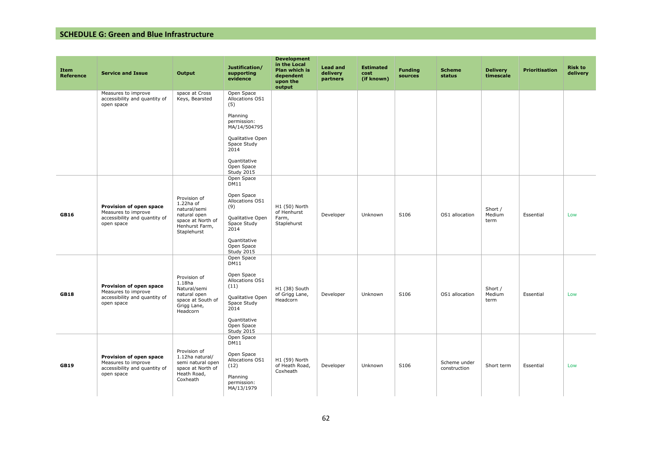| <b>Item</b><br><b>Reference</b> | <b>Service and Issue</b>                                                                      | Output                                                                                                             | Justification/<br>supporting<br>evidence                                                                                                           | <b>Development</b><br>in the Local<br>Plan which is<br>dependent<br>upon the<br>output | <b>Lead and</b><br>delivery<br>partners | <b>Estimated</b><br>cost<br>(if known) | <b>Funding</b><br>sources | <b>Scheme</b><br>status      | <b>Delivery</b><br>timescale | <b>Prioritisation</b> | <b>Risk to</b><br>delivery |
|---------------------------------|-----------------------------------------------------------------------------------------------|--------------------------------------------------------------------------------------------------------------------|----------------------------------------------------------------------------------------------------------------------------------------------------|----------------------------------------------------------------------------------------|-----------------------------------------|----------------------------------------|---------------------------|------------------------------|------------------------------|-----------------------|----------------------------|
|                                 | Measures to improve<br>accessibility and quantity of<br>open space                            | space at Cross<br>Keys, Bearsted                                                                                   | Open Space<br>Allocations OS1<br>(5)                                                                                                               |                                                                                        |                                         |                                        |                           |                              |                              |                       |                            |
|                                 |                                                                                               |                                                                                                                    | Planning<br>permission:<br>MA/14/504795                                                                                                            |                                                                                        |                                         |                                        |                           |                              |                              |                       |                            |
|                                 |                                                                                               |                                                                                                                    | Qualitative Open<br>Space Study<br>2014                                                                                                            |                                                                                        |                                         |                                        |                           |                              |                              |                       |                            |
|                                 |                                                                                               |                                                                                                                    | Quantitative<br>Open Space<br>Study 2015                                                                                                           |                                                                                        |                                         |                                        |                           |                              |                              |                       |                            |
| <b>GB16</b>                     | Provision of open space<br>Measures to improve<br>accessibility and quantity of<br>open space | Provision of<br>$1.22$ ha of<br>natural/semi<br>natural open<br>space at North of<br>Henhurst Farm,<br>Staplehurst | Open Space<br>DM11<br>Open Space<br>Allocations OS1<br>(9)<br>Qualitative Open<br>Space Study<br>2014<br>Quantitative<br>Open Space<br>Study 2015  | H1 (50) North<br>of Henhurst<br>Farm,<br>Staplehurst                                   | Developer                               | Unknown                                | S106                      | OS1 allocation               | Short /<br>Medium<br>term    | Essential             | Low                        |
| <b>GB18</b>                     | Provision of open space<br>Measures to improve<br>accessibility and quantity of<br>open space | Provision of<br>1.18 <sub>ha</sub><br>Natural/semi<br>natural open<br>space at South of<br>Grigg Lane,<br>Headcorn | Open Space<br>DM11<br>Open Space<br>Allocations OS1<br>(11)<br>Qualitative Open<br>Space Study<br>2014<br>Quantitative<br>Open Space<br>Study 2015 | H1 (38) South<br>of Grigg Lane,<br>Headcorn                                            | Developer                               | Unknown                                | S106                      | OS1 allocation               | Short /<br>Medium<br>term    | Essential             | Low                        |
| <b>GB19</b>                     | Provision of open space<br>Measures to improve<br>accessibility and quantity of<br>open space | Provision of<br>1.12ha natural/<br>semi natural open<br>space at North of<br>Heath Road,<br>Coxheath               | Open Space<br>DM11<br>Open Space<br>Allocations OS1<br>(12)<br>Planning<br>permission:<br>MA/13/1979                                               | H1 (59) North<br>of Heath Road,<br>Coxheath                                            | Developer                               | Unknown                                | S106                      | Scheme under<br>construction | Short term                   | Essential             | Low                        |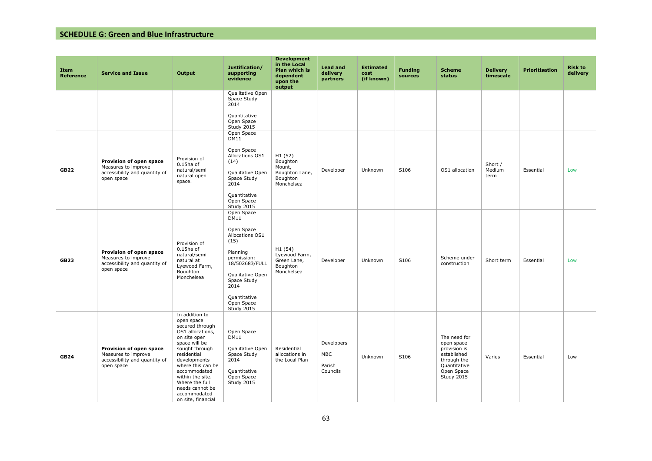| <b>Item</b><br>Reference | <b>Service and Issue</b>                                                                      | Output                                                                                                                                                                                                                                                                                    | Justification/<br>supporting<br>evidence                                                                                                                                                               | <b>Development</b><br>in the Local<br>Plan which is<br>dependent<br>upon the<br>output | <b>Lead and</b><br>delivery<br>partners        | <b>Estimated</b><br>cost<br>(if known) | <b>Funding</b><br>sources | <b>Scheme</b><br>status                                                                                              | <b>Delivery</b><br>timescale | <b>Prioritisation</b> | <b>Risk to</b><br>delivery |
|--------------------------|-----------------------------------------------------------------------------------------------|-------------------------------------------------------------------------------------------------------------------------------------------------------------------------------------------------------------------------------------------------------------------------------------------|--------------------------------------------------------------------------------------------------------------------------------------------------------------------------------------------------------|----------------------------------------------------------------------------------------|------------------------------------------------|----------------------------------------|---------------------------|----------------------------------------------------------------------------------------------------------------------|------------------------------|-----------------------|----------------------------|
|                          |                                                                                               |                                                                                                                                                                                                                                                                                           | Qualitative Open<br>Space Study<br>2014<br>Quantitative<br>Open Space<br>Study 2015                                                                                                                    |                                                                                        |                                                |                                        |                           |                                                                                                                      |                              |                       |                            |
| <b>GB22</b>              | Provision of open space<br>Measures to improve<br>accessibility and quantity of<br>open space | Provision of<br>$0.15$ ha of<br>natural/semi<br>natural open<br>space.                                                                                                                                                                                                                    | Open Space<br><b>DM11</b><br>Open Space<br>Allocations OS1<br>(14)<br>Qualitative Open<br>Space Study<br>2014<br>Quantitative<br>Open Space<br>Study 2015                                              | H1 (52)<br>Boughton<br>Mount,<br>Boughton Lane,<br>Boughton<br>Monchelsea              | Developer                                      | Unknown                                | S106                      | OS1 allocation                                                                                                       | Short /<br>Medium<br>term    | Essential             | Low                        |
| <b>GB23</b>              | Provision of open space<br>Measures to improve<br>accessibility and quantity of<br>open space | Provision of<br>$0.15$ ha of<br>natural/semi<br>natural at<br>Lyewood Farm,<br>Boughton<br>Monchelsea                                                                                                                                                                                     | Open Space<br><b>DM11</b><br>Open Space<br>Allocations OS1<br>(15)<br>Planning<br>permission:<br>18/502683/FULL<br>Qualitative Open<br>Space Study<br>2014<br>Quantitative<br>Open Space<br>Study 2015 | H1 (54)<br>Lyewood Farm,<br>Green Lane,<br>Boughton<br>Monchelsea                      | Developer                                      | Unknown                                | S106                      | Scheme under<br>construction                                                                                         | Short term                   | Essential             | Low                        |
| <b>GB24</b>              | Provision of open space<br>Measures to improve<br>accessibility and quantity of<br>open space | In addition to<br>open space<br>secured through<br>OS1 allocations,<br>on site open<br>space will be<br>sought through<br>residential<br>developments<br>where this can be<br>accommodated<br>within the site.<br>Where the full<br>needs cannot be<br>accommodated<br>on site, financial | Open Space<br>DM11<br>Qualitative Open<br>Space Study<br>2014<br>Quantitative<br>Open Space<br>Study 2015                                                                                              | Residential<br>allocations in<br>the Local Plan                                        | Developers<br><b>MBC</b><br>Parish<br>Councils | Unknown                                | S106                      | The need for<br>open space<br>provision is<br>established<br>through the<br>Quantitative<br>Open Space<br>Study 2015 | Varies                       | Essential             | Low                        |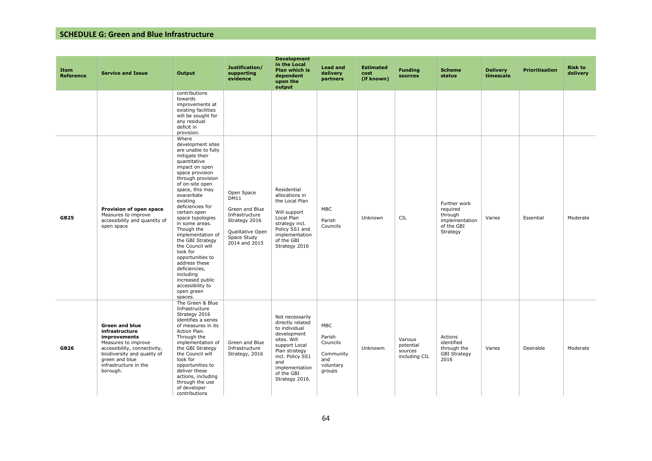| Item<br><b>Reference</b> | <b>Service and Issue</b>                                                                                                                                                                             | Output                                                                                                                                                                                                                                                                                                                                                                                                                                                                                                             | Justification/<br>supporting<br>evidence                                                                                           | <b>Development</b><br>in the Local<br>Plan which is<br>dependent<br>upon the<br>output                                                                                                            | <b>Lead and</b><br>delivery<br>partners                                     | <b>Estimated</b><br>cost<br>(if known) | <b>Funding</b><br>sources                        | <b>Scheme</b><br>status                                                         | <b>Delivery</b><br>timescale | <b>Prioritisation</b> | <b>Risk to</b><br>delivery |
|--------------------------|------------------------------------------------------------------------------------------------------------------------------------------------------------------------------------------------------|--------------------------------------------------------------------------------------------------------------------------------------------------------------------------------------------------------------------------------------------------------------------------------------------------------------------------------------------------------------------------------------------------------------------------------------------------------------------------------------------------------------------|------------------------------------------------------------------------------------------------------------------------------------|---------------------------------------------------------------------------------------------------------------------------------------------------------------------------------------------------|-----------------------------------------------------------------------------|----------------------------------------|--------------------------------------------------|---------------------------------------------------------------------------------|------------------------------|-----------------------|----------------------------|
|                          |                                                                                                                                                                                                      | contributions<br>towards<br>improvements at<br>existing facilities<br>will be sought for<br>any residual<br>deficit in<br>provision.                                                                                                                                                                                                                                                                                                                                                                               |                                                                                                                                    |                                                                                                                                                                                                   |                                                                             |                                        |                                                  |                                                                                 |                              |                       |                            |
| <b>GB25</b>              | Provision of open space<br>Measures to improve<br>accessibility and quantity of<br>open space                                                                                                        | Where<br>development sites<br>are unable to fully<br>mitigate their<br>quantitative<br>impact on open<br>space provision<br>through provision<br>of on-site open<br>space, this may<br>exacerbate<br>existing<br>deficiencies for<br>certain open<br>space typologies<br>in some areas.<br>Though the<br>implementation of<br>the GBI Strategy<br>the Council will<br>look for<br>opportunities to<br>address these<br>deficiencies,<br>including<br>increased public<br>accessibility to<br>open green<br>spaces. | Open Space<br><b>DM11</b><br>Green and Blue<br>Infrastructure<br>Strategy 2016<br>Qualitative Open<br>Space Study<br>2014 and 2015 | Residential<br>allocations in<br>the Local Plan<br>Will support<br>Local Plan<br>strategy incl.<br>Policy SS1 and<br>implementation<br>of the GBI<br>Strategy 2016                                | <b>MBC</b><br>Parish<br>Councils                                            | Unknown                                | <b>CIL</b>                                       | Further work<br>required<br>through<br>implementation<br>of the GBI<br>Strategy | Varies                       | Essential             | Moderate                   |
| <b>GB26</b>              | <b>Green and blue</b><br>infrastructure<br>improvements<br>Measures to improve<br>accessibility, connectivity,<br>biodiversity and quality of<br>green and blue<br>infrastructure in the<br>borough. | The Green & Blue<br>Infrastructure<br>Strategy 2016<br>identifies a series<br>of measures in its<br>Action Plan.<br>Through the<br>implementation of<br>the GBI Strategy<br>the Council will<br>look for<br>opportunities to<br>deliver these<br>actions, including<br>through the use<br>of developer<br>contributions                                                                                                                                                                                            | Green and Blue<br>Infrastructure<br>Strategy, 2016                                                                                 | Not necessarily<br>directly related<br>to individual<br>development<br>sites. Will<br>support Local<br>Plan strategy<br>incl. Policy SS1<br>and<br>implementation<br>of the GBI<br>Strategy 2016. | <b>MBC</b><br>Parish<br>Councils<br>Community<br>and<br>voluntary<br>groups | Unknowm                                | Various<br>potential<br>sources<br>including CIL | Actions<br>identified<br>through the<br><b>GBI Strategy</b><br>2016             | Varies                       | Desirable             | Moderate                   |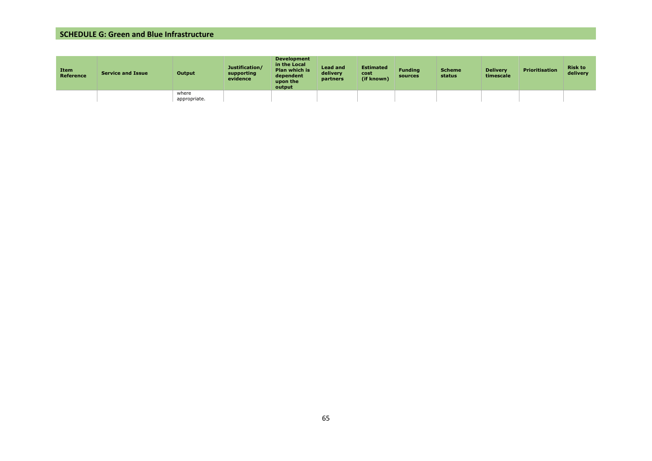| Item<br>Reference | <b>Service and Issue</b> | Output                | Justification/<br>supporting<br>evidence | <b>Development</b><br>in the Local<br><b>Plan which is</b><br>dependent<br>upon the<br>output | <b>Lead and</b><br>delivery<br>partners | <b>Estimated</b><br>cost<br>(if known) | <b>Fundina</b><br>sources | <b>Scheme</b><br>status | <b>Delivery</b><br>timescale | <b>Prioritisation</b> | <b>Risk to</b><br>delivery |
|-------------------|--------------------------|-----------------------|------------------------------------------|-----------------------------------------------------------------------------------------------|-----------------------------------------|----------------------------------------|---------------------------|-------------------------|------------------------------|-----------------------|----------------------------|
|                   |                          | where<br>appropriate. |                                          |                                                                                               |                                         |                                        |                           |                         |                              |                       |                            |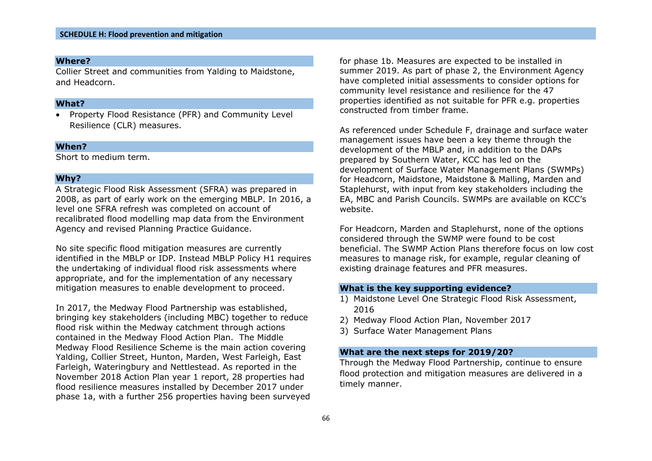Collier Street and communities from Yalding to Maidstone, and Headcorn.

#### **What?**

• Property Flood Resistance (PFR) and Community Level Resilience (CLR) measures.

#### **When?**

Short to medium term.

#### **Why?**

A Strategic Flood Risk Assessment (SFRA) was prepared in 2008, as part of early work on the emerging MBLP. In 2016, a level one SFRA refresh was completed on account of recalibrated flood modelling map data from the Environment Agency and revised Planning Practice Guidance.

No site specific flood mitigation measures are currently identified in the MBLP or IDP. Instead MBLP Policy H1 requires the undertaking of individual flood risk assessments where appropriate, and for the implementation of any necessary mitigation measures to enable development to proceed.

In 2017, the Medway Flood Partnership was established, bringing key stakeholders (including MBC) together to reduce flood risk within the Medway catchment through actions contained in the Medway Flood Action Plan. The Middle Medway Flood Resilience Scheme is the main action covering Yalding, Collier Street, Hunton, Marden, West Farleigh, East Farleigh, Wateringbury and Nettlestead. As reported in the November 2018 Action Plan year 1 report, 28 properties had flood resilience measures installed by December 2017 under phase 1a, with a further 256 properties having been surveyed for phase 1b. Measures are expected to be installed in summer 2019. As part of phase 2, the Environment Agency have completed initial assessments to consider options for community level resistance and resilience for the 47 properties identified as not suitable for PFR e.g. properties constructed from timber frame.

As referenced under Schedule F, drainage and surface water management issues have been a key theme through the development of the MBLP and, in addition to the DAPs prepared by Southern Water, KCC has led on the development of Surface Water Management Plans (SWMPs) for Headcorn, Maidstone, Maidstone & Malling, Marden and Staplehurst, with input from key stakeholders including the EA, MBC and Parish Councils. SWMPs are available on KCC's website.

For Headcorn, Marden and Staplehurst, none of the options considered through the SWMP were found to be cost beneficial. The SWMP Action Plans therefore focus on low cost measures to manage risk, for example, regular cleaning of existing drainage features and PFR measures.

#### **What is the key supporting evidence?**

- 1) Maidstone Level One Strategic Flood Risk Assessment, 2016
- 2) Medway Flood Action Plan, November 2017
- 3) Surface Water Management Plans

#### **What are the next steps for 2019/20?**

Through the Medway Flood Partnership, continue to ensure flood protection and mitigation measures are delivered in a timely manner.